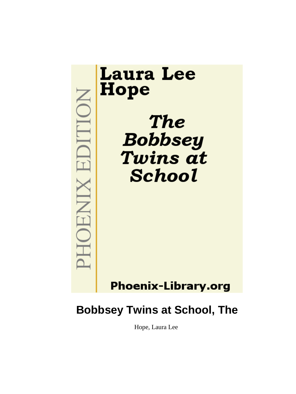

# **Bobbsey Twins at School, The**

Hope, Laura Lee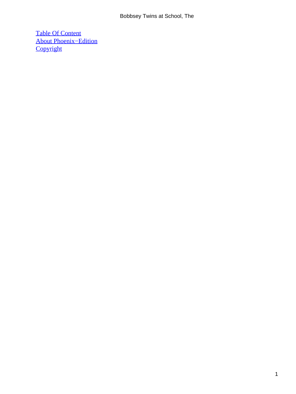[Table Of Content](#page-113-0) [About Phoenix−Edition](#page-115-0) **[Copyright](#page-116-0)**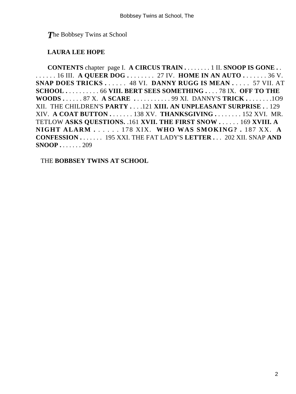*T*he Bobbsey Twins at School

### **LAURA LEE HOPE**

**CONTENTS** chapter page I. **A CIRCUS TRAIN .** . . . . . . . 1 II. **SNOOP IS GONE .** . . . . . . . 16 III. **A QUEER DOG .** . . . . . . . 27 IV. **HOME IN AN AUTO .** . . . . . . 36 V. **SNAP DOES TRICKS .** . . . . . 48 VI. **DANNY RUGG IS MEAN .** . . . . 57 VII. AT **SCHOOL .** . . . . . . . . . 66 **VIII. BERT SEES SOMETHING .** . . . 78 IX. **OFF TO THE WOODS .** . . . . . 87 X. **A SCARE .** . . . . . . . . . . 99 XI. DANNY'S **TRICK .** . . . . . . .1O9 XII. THE CHILDREN'S **PARTY .** . . .121 **XIII. AN UNPLEASANT SURPRISE .** . 129 XIV. **A COAT BUTTON .** . . . . . . 138 XV. **THANKSGIVING .** . . . . . . . 152 XVI. MR. TETLOW **ASKS QUESTIONS.** .161 **XVII. THE FIRST SNOW .** . . . . . 169 **XVIII. A NIGHT ALARM .** . . . . . 178 XIX. **WHO WAS SMOKING? .** 187 XX. **A CONFESSION .** . . . . . . 195 XXI. THE FAT LADY'S **LETTER .** . . 202 XII. SNAP **AND SNOOP .** . . . . . . 209

THE **BOBBSEY TWINS AT SCHOOL**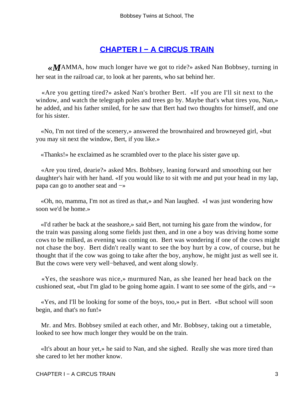## **[CHAPTER I − A CIRCUS TRAIN](#page-113-0)**

*«M*AMMA, how much longer have we got to ride?» asked Nan Bobbsey, turning in her seat in the railroad car, to look at her parents, who sat behind her.

 «Are you getting tired?» asked Nan's brother Bert. «If you are I'll sit next to the window, and watch the telegraph poles and trees go by. Maybe that's what tires you, Nan,» he added, and his father smiled, for he saw that Bert had two thoughts for himself, and one for his sister.

 «No, I'm not tired of the scenery,» answered the brownhaired and browneyed girl, «but you may sit next the window, Bert, if you like.»

«Thanks!» he exclaimed as he scrambled over to the place his sister gave up.

 «Are you tired, dearie?» asked Mrs. Bobbsey, leaning forward and smoothing out her daughter's hair with her hand. «If you would like to sit with me and put your head in my lap, papa can go to another seat and −»

 «Oh, no, mamma, I'm not as tired as that,» and Nan laughed. «I was just wondering how soon we'd be home.»

 «I'd rather be back at the seashore,» said Bert, not turning his gaze from the window, for the train was passing along some fields just then, and in one a boy was driving home some cows to be milked, as evening was coming on. Bert was wondering if one of the cows might not chase the boy. Bert didn't really want to see the boy hurt by a cow, of course, but he thought that if the cow was going to take after the boy, anyhow, he might just as well see it. But the cows were very well−behaved, and went along slowly.

 «Yes, the seashore was nice,» murmured Nan, as she leaned her head back on the cushioned seat, «but I'm glad to be going home again. I want to see some of the girls, and −»

 «Yes, and I'll be looking for some of the boys, too,» put in Bert. «But school will soon begin, and that's no fun!»

 Mr. and Mrs. Bobbsey smiled at each other, and Mr. Bobbsey, taking out a timetable, looked to see how much longer they would be on the train.

 «It's about an hour yet,» he said to Nan, and she sighed. Really she was more tired than she cared to let her mother know.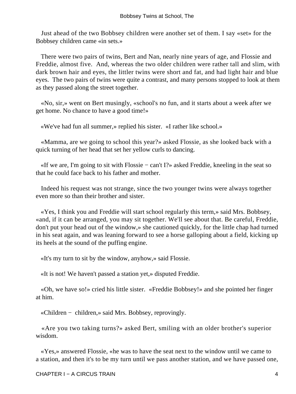Just ahead of the two Bobbsey children were another set of them. I say «set» for the Bobbsey children came «in sets.»

 There were two pairs of twins, Bert and Nan, nearly nine years of age, and Flossie and Freddie, almost five. And, whereas the two older children were rather tall and slim, with dark brown hair and eyes, the littler twins were short and fat, and had light hair and blue eyes. The two pairs of twins were quite a contrast, and many persons stopped to look at them as they passed along the street together.

 «No, sir,» went on Bert musingly, «school's no fun, and it starts about a week after we get home. No chance to have a good time!»

«We've had fun all summer,» replied his sister. «I rather like school.»

 «Mamma, are we going to school this year?» asked Flossie, as she looked back with a quick turning of her head that set her yellow curls to dancing.

 «If we are, I'm going to sit with Flossie − can't I?» asked Freddie, kneeling in the seat so that he could face back to his father and mother.

 Indeed his request was not strange, since the two younger twins were always together even more so than their brother and sister.

 «Yes, I think you and Freddie will start school regularly this term,» said Mrs. Bobbsey, «and, if it can be arranged, you may sit together. We'll see about that. Be careful, Freddie, don't put your head out of the window,» she cautioned quickly, for the little chap had turned in his seat again, and was leaning forward to see a horse galloping about a field, kicking up its heels at the sound of the puffing engine.

«It's my turn to sit by the window, anyhow,» said Flossie.

«It is not! We haven't passed a station yet,» disputed Freddie.

 «Oh, we have so!» cried his little sister. «Freddie Bobbsey!» and she pointed her finger at him.

«Children − children,» said Mrs. Bobbsey, reprovingly.

 «Are you two taking turns?» asked Bert, smiling with an older brother's superior wisdom.

 «Yes,» answered Flossie, «he was to have the seat next to the window until we came to a station, and then it's to be my turn until we pass another station, and we have passed one,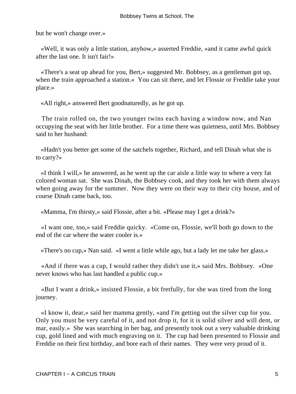but he won't change over.»

 «Well, it was only a little station, anyhow,» asserted Freddie, «and it came awful quick after the last one. It isn't fair!»

 «There's a seat up ahead for you, Bert,» suggested Mr. Bobbsey, as a gentleman got up, when the train approached a station.« You can sit there, and let Flossie or Freddie take your place.»

«All right,» answered Bert goodnaturedly, as he got up.

 The train rolled on, the two younger twins each having a window now, and Nan occupying the seat with her little brother. For a time there was quietness, until Mrs. Bobbsey said to her husband:

 «Hadn't you better get some of the satchels together, Richard, and tell Dinah what she is to carry?»

 «I think I will,» he answered, as he went up the car aisle a little way to where a very fat colored woman sat. She was Dinah, the Bobbsey cook, and they took her with them always when going away for the summer. Now they were on their way to their city house, and of course Dinah came back, too.

«Mamma, I'm thirsty,» said Flossie, after a bit. «Please may I get a drink?»

 «I want one, too,» said Freddie quicky. «Come on, Flossie, we'll both go down to the end of the car where the water cooler is.»

«There's no cup,» Nan said. «I went a little while ago, but a lady let me take her glass.»

 «And if there was a cup, I would rather they didn't use it,» said Mrs. Bobbsey. «One never knows who has last handled a public cup.»

 «But I want a drink,» insisted Flossie, a bit fretfully, for she was tired from the long journey.

 «I know it, dear,» said her mamma gently, «and I'm getting out the silver cup for you. Only you must be very careful of it, and not drop it, for it is solid silver and will dent, or mar, easily.» She was searching in her bag, and presently took out a very valuable drinking cup, gold lined and with much engraving on it. The cup had been presented to Flossie and Freddie on their first birthday, and bore each of their names. They were very proud of it.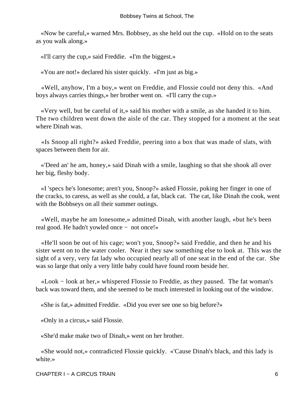«Now be careful,» warned Mrs. Bobbsey, as she held out the cup. «Hold on to the seats as you walk along.»

«I'll carry the cup,» said Freddie. «I'm the biggest.»

«You are not!» declared his sister quickly. «I'm just as big.»

 «Well, anyhow, I'm a boy,» went on Freddie, and Flossie could not deny this. «And boys always carries things,» her brother went on. «I'll carry the cup.»

 «Very well, but be careful of it,» said his mother with a smile, as she handed it to him. The two children went down the aisle of the car. They stopped for a moment at the seat where Dinah was.

 «Is Snoop all right?» asked Freddie, peering into a box that was made of slats, with spaces between them for air.

 «'Deed an' he am, honey,» said Dinah with a smile, laughing so that she shook all over her big, fleshy body.

 «I 'specs he's lonesome; aren't you, Snoop?» asked Flossie, poking her finger in one of the cracks, to caress, as well as she could, a fat, black cat. The cat, like Dinah the cook, went with the Bobbseys on all their summer outings.

 «Well, maybe he am lonesome,» admitted Dinah, with another laugh, «but he's been real good. He hadn't yowled once − not once!»

 «He'll soon be out of his cage; won't you, Snoop?» said Freddie, and then he and his sister went on to the water cooler. Near it they saw something else to look at. This was the sight of a very, very fat lady who occupied nearly all of one seat in the end of the car. She was so large that only a very little baby could have found room beside her.

 «Look − look at her,» whispered Flossie to Freddie, as they paused. The fat woman's back was toward them, and she seemed to be much interested in looking out of the window.

«She is fat,» admitted Freddie. «Did you ever see one so big before?»

«Only in a circus,» said Flossie.

«She'd make make two of Dinah,» went on her brother.

 «She would not,» contradicted Flossie quickly. «'Cause Dinah's black, and this lady is white.»

CHAPTER I − A CIRCUS TRAIN 6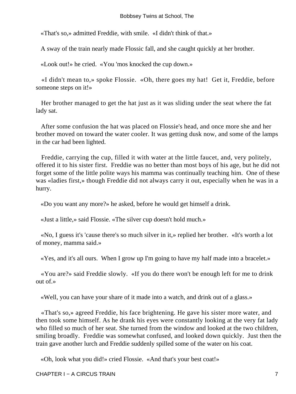«That's so,» admitted Freddie, with smile. «I didn't think of that.»

A sway of the train nearly made Flossic fall, and she caught quickly at her brother.

«Look out!» he cried. «You 'mos knocked the cup down.»

 «I didn't mean to,» spoke Flossie. «Oh, there goes my hat! Get it, Freddie, before someone steps on it!»

 Her brother managed to get the hat just as it was sliding under the seat where the fat lady sat.

 After some confusion the hat was placed on Flossie's head, and once more she and her brother moved on toward the water cooler. It was getting dusk now, and some of the lamps in the car had been lighted.

 Freddie, carrying the cup, filled it with water at the little faucet, and, very politely, offered it to his sister first. Freddie was no better than most boys of his age, but he did not forget some of the little polite ways his mamma was continually teaching him. One of these was «ladies first,» though Freddie did not always carry it out, especially when he was in a hurry.

«Do you want any more?» he asked, before he would get himself a drink.

«Just a little,» said Flossie. «The silver cup doesn't hold much.»

 «No, I guess it's 'cause there's so much silver in it,» replied her brother. «It's worth a lot of money, mamma said.»

«Yes, and it's all ours. When I grow up I'm going to have my half made into a bracelet.»

 «You are?» said Freddie slowly. «If you do there won't be enough left for me to drink out of.»

«Well, you can have your share of it made into a watch, and drink out of a glass.»

 «That's so,» agreed Freddie, his face brightening. He gave his sister more water, and then took some himself. As he drank his eyes were constantly looking at the very fat lady who filled so much of her seat. She turned from the window and looked at the two children, smiling broadly. Freddie was somewhat confused, and looked down quickly. Just then the train gave another lurch and Freddie suddenly spilled some of the water on his coat.

«Oh, look what you did!» cried Flossie. «And that's your best coat!»

CHAPTER I − A CIRCUS TRAIN 7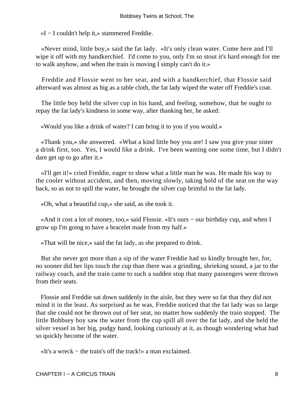«I − I couldn't help it,» stammered Freddie.

 «Never mind, little boy,» said the fat lady. «It's only clean water. Come here and I'll wipe it off with my handkerchief. I'd come to you, only I'm so stout it's hard enough for me to walk anyhow, and when the train is moving I simply can't do it.»

 Freddie and Flossie went to her seat, and with a handkerchief, that Flossie said afterward was almost as big as a table cloth, the fat lady wiped the water off Freddie's coat.

 The little boy held the silver cup in his hand, and feeling, somehow, that he ought to repay the fat lady's kindness in some way, after thanking her, he asked:

«Would you like a drink of water? I can bring it to you if you would.»

 «Thank you,» she answered. «What a kind little boy you are! I saw you give your sister a drink first, too. Yes, I would like a drink. I've been wanting one some time, but I didn't dare get up to go after it.»

 «I'll get it!» cried Freddie, eager to show what a little man he was. He made his way to the cooler without accident, and then, moving slowly, taking hold of the seat on the way back, so as not to spill the water, he brought the silver cup brimful to the fat lady.

«Oh, what a beautiful cup,» she said, as she took it.

 «And it cost a lot of money, too,» said Flossie. «It's ours − our birthday cup, and when I grow up I'm going to have a bracelet made from my half.»

«That will be nice,» said the fat lady, as she prepared to drink.

 But she never got more than a sip of the water Freddie had so kindly brought her, for, no sooner did her lips touch the cup than there was a grinding, shrieking sound, a jar to the railway coach, and the train came to such a sudden stop that many passengers were thrown from their seats.

 Flossie and Freddie sat down suddenly in the aisle, but they were so fat that they did not mind it in the least. As surprised as he was, Freddie noticed that the fat lady was so large that she could not be thrown out of her seat, no matter how suddenly the train stopped. The little Bobbsey boy saw the water from the cup spill all over the fat lady, and she held the silver vessel in her big, pudgy hand, looking curiously at it, as though wondering what had so quickly become of the water.

«It's a wreck − the train's off the track!» a man exclaimed.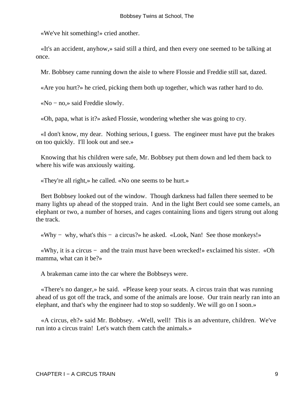«We've hit something!» cried another.

 «It's an accident, anyhow,» said still a third, and then every one seemed to be talking at once.

Mr. Bobbsey came running down the aisle to where Flossie and Freddie still sat, dazed.

«Are you hurt?» he cried, picking them both up together, which was rather hard to do.

«No − no,» said Freddie slowly.

«Oh, papa, what is it?» asked Flossie, wondering whether she was going to cry.

 «I don't know, my dear. Nothing serious, I guess. The engineer must have put the brakes on too quickly. I'll look out and see.»

 Knowing that his children were safe, Mr. Bobbsey put them down and led them back to where his wife was anxiously waiting.

«They're all right,» he called. «No one seems to be hurt.»

 Bert Bobbsey looked out of the window. Though darkness had fallen there seemed to be many lights up ahead of the stopped train. And in the light Bert could see some camels, an elephant or two, a number of horses, and cages containing lions and tigers strung out along the track.

«Why − why, what's this − a circus?» he asked. «Look, Nan! See those monkeys!»

 «Why, it is a circus − and the train must have been wrecked!» exclaimed his sister. «Oh mamma, what can it be?»

A brakeman came into the car where the Bobbseys were.

 «There's no danger,» he said. «Please keep your seats. A circus train that was running ahead of us got off the track, and some of the animals are loose. Our train nearly ran into an elephant, and that's why the engineer had to stop so suddenly. We will go on I soon.»

 «A circus, eh?» said Mr. Bobbsey. «Well, well! This is an adventure, children. We've run into a circus train! Let's watch them catch the animals.»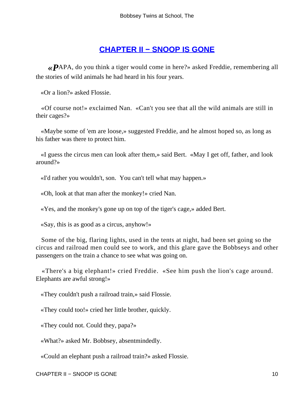### **[CHAPTER II − SNOOP IS GONE](#page-113-0)**

*«P*APA, do you think a tiger would come in here?» asked Freddie, remembering all the stories of wild animals he had heard in his four years.

«Or a lion?» asked Flossie.

 «Of course not!» exclaimed Nan. «Can't you see that all the wild animals are still in their cages?»

 «Maybe some of 'em are loose,» suggested Freddie, and he almost hoped so, as long as his father was there to protect him.

 «I guess the circus men can look after them,» said Bert. «May I get off, father, and look around?»

«I'd rather you wouldn't, son. You can't tell what may happen.»

«Oh, look at that man after the monkey!» cried Nan.

«Yes, and the monkey's gone up on top of the tiger's cage,» added Bert.

«Say, this is as good as a circus, anyhow!»

 Some of the big, flaring lights, used in the tents at night, had been set going so the circus and railroad men could see to work, and this glare gave the Bobbseys and other passengers on the train a chance to see what was going on.

 «There's a big elephant!» cried Freddie. «See him push the lion's cage around. Elephants are awful strong!»

«They couldn't push a railroad train,» said Flossie.

«They could too!» cried her little brother, quickly.

«They could not. Could they, papa?»

«What?» asked Mr. Bobbsey, absentmindedly.

«Could an elephant push a railroad train?» asked Flossie.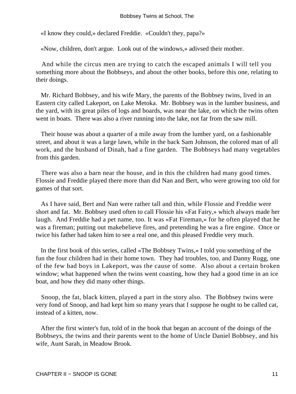#### Bobbsey Twins at School, The

«I know they could,» declared Freddie. «Couldn't they, papa?»

«Now, children, don't argue. Look out of the windows,» adivsed their mother.

 And while the circus men are trying to catch the escaped animals I will tell you something more about the Bobbseys, and about the other books, before this one, relating to their doings.

 Mr. Richard Bobbsey, and his wife Mary, the parents of the Bobbsey twins, lived in an Eastern city called Lakeport, on Lake Metoka. Mr. Bobbsey was in the lumber business, and the yard, with its great piles of logs and boards, was near the lake, on which the twins often went in boats. There was also a river running into the lake, not far from the saw mill.

 Their house was about a quarter of a mile away from the lumber yard, on a fashionable street, and about it was a large lawn, while in the back Sam Johnson, the colored man of all work, and the husband of Dinah, had a fine garden. The Bobbseys had many vegetables from this garden.

 There was also a barn near the house, and in this the children had many good times. Flossie and Freddie played there more than did Nan and Bert, who were growing too old for games of that sort.

 As I have said, Bert and Nan were rather tall and thin, while Flossie and Freddie were short and fat. Mr. Bobbsey used often to call Flossie his «Fat Fairy,» which always made her laugh. And Freddie had a pet name, too. It was «Fat Fireman,» for he often played that he was a fireman; putting out makebelieve fires, and pretending he was a fire engine. Once or twice his father had taken him to see a real one, and this pleased Freddie very much.

 In the first book of this series, called «The Bobbsey Twins,» I told you something of the fun the four children had in their home town. They had troubles, too, and Danny Rugg, one of the few bad boys in Lakeport, was the cause of some. Also about a certain broken window; what happened when the twins went coasting, how they had a good time in an ice boat, and how they did many other things.

 Snoop, the fat, black kitten, played a part in the story also. The Bobbsey twins were very fond of Snoop, and had kept him so many years that I suppose he ought to be called cat, instead of a kitten, now.

 After the first winter's fun, told of in the book that began an account of the doings of the Bobbseys, the twins and their parents went to the home of Uncle Daniel Bobbsey, and his wife, Aunt Sarah, in Meadow Brook.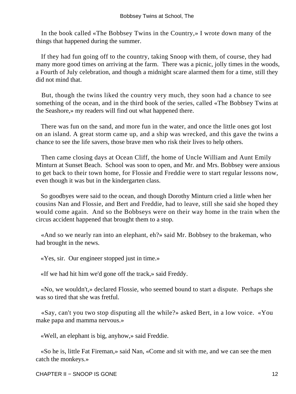In the book called «The Bobbsey Twins in the Country,» I wrote down many of the things that happened during the summer.

 If they had fun going off to the country, taking Snoop with them, of course, they had many more good times on arriving at the farm. There was a picnic, jolly times in the woods, a Fourth of July celebration, and though a midnight scare alarmed them for a time, still they did not mind that.

 But, though the twins liked the country very much, they soon had a chance to see something of the ocean, and in the third book of the series, called «The Bobbsey Twins at the Seashore,» my readers will find out what happened there.

 There was fun on the sand, and more fun in the water, and once the little ones got lost on an island. A great storm came up, and a ship was wrecked, and this gave the twins a chance to see the life savers, those brave men who risk their lives to help others.

 Then came closing days at Ocean Cliff, the home of Uncle William and Aunt Emily Minturn at Sunset Beach. School was soon to open, and Mr. and Mrs. Bobbsey were anxious to get back to their town home, for Flossie and Freddie were to start regular lessons now, even though it was but in the kindergarten class.

 So goodbyes were said to the ocean, and though Dorothy Minturn cried a little when her cousins Nan and Flossie, and Bert and Freddie, had to leave, still she said she hoped they would come again. And so the Bobbseys were on their way home in the train when the circus accident happened that brought them to a stop.

 «And so we nearly ran into an elephant, eh?» said Mr. Bobbsey to the brakeman, who had brought in the news.

«Yes, sir. Our engineer stopped just in time.»

«If we had hit him we'd gone off the track,» said Freddy.

 «No, we wouldn't,» declared Flossie, who seemed bound to start a dispute. Perhaps she was so tired that she was fretful.

 «Say, can't you two stop disputing all the while?» asked Bert, in a low voice. «You make papa and mamma nervous.»

«Well, an elephant is big, anyhow,» said Freddie.

 «So he is, little Fat Fireman,» said Nan, «Come and sit with me, and we can see the men catch the monkeys.»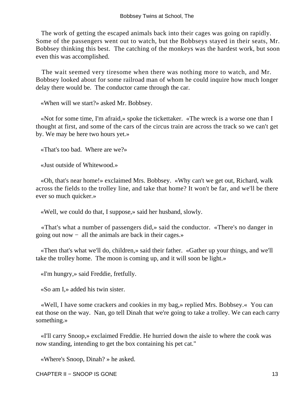The work of getting the escaped animals back into their cages was going on rapidly. Some of the passengers went out to watch, but the Bobbseys stayed in their seats, Mr. Bobbsey thinking this best. The catching of the monkeys was the hardest work, but soon even this was accomplished.

 The wait seemed very tiresome when there was nothing more to watch, and Mr. Bobbsey looked about for some railroad man of whom he could inquire how much longer delay there would be. The conductor came through the car.

«When will we start?» asked Mr. Bobbsey.

 «Not for some time, I'm afraid,» spoke the tickettaker. «The wreck is a worse one than I thought at first, and some of the cars of the circus train are across the track so we can't get by. We may be here two hours yet.»

«That's too bad. Where are we?»

«Just outside of Whitewood.»

 «Oh, that's near home!» exclaimed Mrs. Bobbsey. «Why can't we get out, Richard, walk across the fields to the trolley line, and take that home? It won't be far, and we'll be there ever so much quicker.»

«Well, we could do that, I suppose,» said her husband, slowly.

 «That's what a number of passengers did,» said the conductor. «There's no danger in going out now − all the animals are back in their cages.»

 «Then that's what we'll do, children,» said their father. «Gather up your things, and we'll take the trolley home. The moon is coming up, and it will soon be light.»

«I'm hungry,» said Freddie, fretfully.

«So am I,» added his twin sister.

 «Well, I have some crackers and cookies in my bag,» replied Mrs. Bobbsey.« You can eat those on the way. Nan, go tell Dinah that we're going to take a trolley. We can each carry something.»

 «I'll carry Snoop,» exclaimed Freddie. He hurried down the aisle to where the cook was now standing, intending to get the box containing his pet cat."

«Where's Snoop, Dinah? » he asked.

CHAPTER II – SNOOP IS GONE 13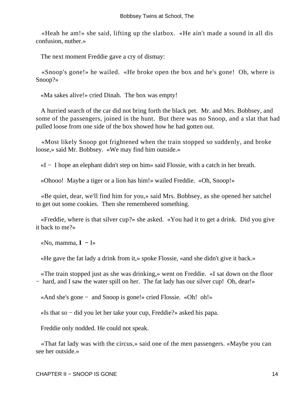«Heah he am!» she said, lifting up the slatbox. «He ain't made a sound in all dis confusion, nuther.»

The next moment Freddie gave a cry of dismay:

 «Snoop's gone!» he wailed. «He broke open the box and he's gone! Oh, where is Snoop?»

«Ma sakes alive!» cried Dinah. The box was empty!

 A hurried search of the car did not bring forth the black pet. Mr. and Mrs. Bobbsey, and some of the passengers, joined in the hunt. But there was no Snoop, and a slat that had pulled loose from one side of the box showed how he had gotten out.

 «Most likely Snoop got frightened when the train stopped so suddenly, and broke loose,» said Mr. Bobbsey. «We may find him outside.»

«I − I hope an elephant didn't step on him» said Flossie, with a catch in her breath.

«Ohooo! Maybe a tiger or a lion has him!» wailed Freddie. «Oh, Snoop!»

 «Be quiet, dear, we'll find him for you,» said Mrs. Bobbsey, as she opened her satchel to get out some cookies. Then she remembered something.

 «Freddie, where is that silver cup?» she asked. «You had it to get a drink. Did you give it back to me?»

«No, mamma, **I −** I»

«He gave the fat lady a drink from it,» spoke Flossie, «and she didn't give it back.»

 «The train stopped just as she was drinking,» went on Freddie. «I sat down on the floor − hard, and I saw the water spill on her. The fat lady has our silver cup! Oh, dear!»

«And she's gone − and Snoop is gone!» cried Flossie. «Oh! oh!»

«Is that so − did you let her take your cup, Freddie?» asked his papa.

Freddie only nodded. He could not speak.

 «That fat lady was with the circus,» said one of the men passengers. «Maybe you can see her outside.»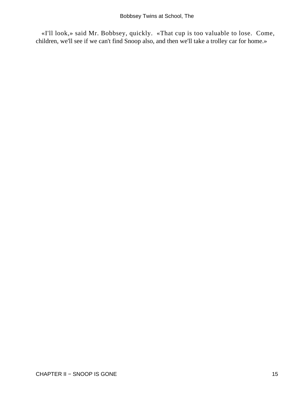«I'll look,» said Mr. Bobbsey, quickly. «That cup is too valuable to lose. Come, children, we'll see if we can't find Snoop also, and then we'll take a trolley car for home.»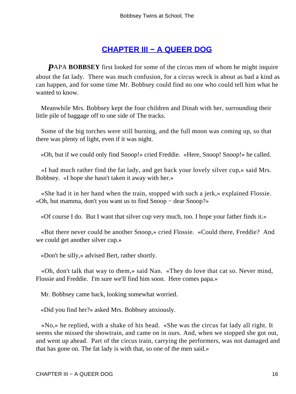### **[CHAPTER III − A QUEER DOG](#page-113-0)**

**PAPA BOBBSEY** first looked for some of the circus men of whom he might inquire about the fat lady. There was much confusion, for a circus wreck is about as bad a kind as can happen, and for some time Mr. Bobbsey could find no one who could tell him what he wanted to know.

 Meanwhile Mrs. Bobbsey kept the four children and Dinah with her, surrounding their little pile of baggage off to one side of The tracks.

 Some of the big torches were still burning, and the full moon was coming up, so that there was plenty of light, even if it was night.

«Oh, but if we could only find Snoop!» cried Freddie. «Here, Snoop! Snoop!» he called.

 «I had much rather find the fat lady, and get back your lovely silver cup,» said Mrs. Bobbsey. «I hope she hasn't taken it away with her.»

 «She had it in her hand when the train, stopped with such a jerk,» explained Flossie. «Oh, but mamma, don't you want us to find Snoop − dear Snoop?»

«Of course I do. But I want that silver cup very much, too. I hope your father finds it.»

 «But there never could be another Snoop,» cried Flossie. «Could there, Freddie? And we could get another silver cup.»

«Don't be silly,» advised Bert, rather shortly.

 «Oh, don't talk that way to them,» said Nan. «They do love that cat so. Never mind, Flossie and Freddie. I'm sure we'll find him soon. Here comes papa.»

Mr. Bobbsey came back, looking somewhat worried.

«Did you find her?» asked Mrs. Bobbsey anxiously.

 «No,» he replied, with a shake of his head. «She was the circus fat lady all right. It seems she missed the showtrain, and came on in ours. And, when we stopped she got out, and went up ahead. Part of the circus train, carrying the performers, was not damaged and that has gone on. The fat lady is with that, so one of the men said.»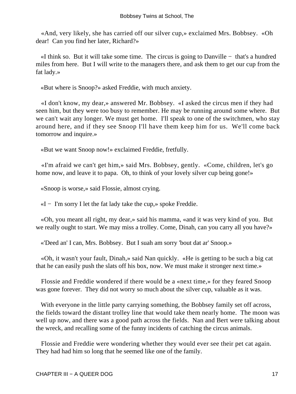«And, very likely, she has carried off our silver cup,» exclaimed Mrs. Bobbsey. «Oh dear! Can you find her later, Richard?»

 «I think so. But it will take some time. The circus is going to Danville − that's a hundred miles from here. But I will write to the managers there, and ask them to get our cup from the fat lady.»

«But where is Snoop?» asked Freddie, with much anxiety.

 «I don't know, my dear,» answered Mr. Bobbsey. «I asked the circus men if they had seen him, but they were too busy to remember. He may be running around some where. But we can't wait any longer. We must get home. I'll speak to one of the switchmen, who stay around here, and if they see Snoop I'll have them keep him for us. We'll come back tomorrow and inquire.»

«But we want Snoop now!» exclaimed Freddie, fretfully.

 «I'm afraid we can't get him,» said Mrs. Bobbsey, gently. «Come, children, let's go home now, and leave it to papa. Oh, to think of your lovely silver cup being gone!»

«Snoop is worse,» said Flossie, almost crying.

«I − I'm sorry I let the fat lady take the cup,» spoke Freddie.

 «Oh, you meant all right, my dear,» said his mamma, «and it was very kind of you. But we really ought to start. We may miss a trolley. Come, Dinah, can you carry all you have?»

«'Deed an' I can, Mrs. Bobbsey. But I suah am sorry 'bout dat ar' Snoop.»

 «Oh, it wasn't your fault, Dinah,» said Nan quickly. «He is getting to be such a big cat that he can easily push the slats off his box, now. We must make it stronger next time.»

 Flossie and Freddie wondered if there would be a «next time,» for they feared Snoop was gone forever. They did not worry so much about the silver cup, valuable as it was.

With everyone in the little party carrying something, the Bobbsey family set off across, the fields toward the distant trolley line that would take them nearly home. The moon was well up now, and there was a good path across the fields. Nan and Bert were talking about the wreck, and recalling some of the funny incidents of catching the circus animals.

 Flossie and Freddie were wondering whether they would ever see their pet cat again. They had had him so long that he seemed like one of the family.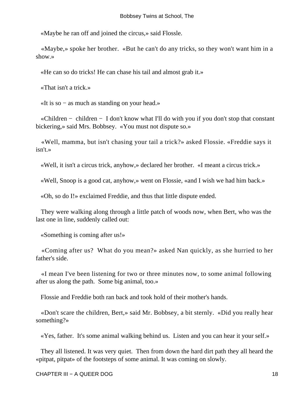«Maybe he ran off and joined the circus,» said Flossle.

 «Maybe,» spoke her brother. «But he can't do any tricks, so they won't want him in a show.»

«He can so do tricks! He can chase his tail and almost grab it.»

«That isn't a trick.»

«It is so − as much as standing on your head.»

 «Children − children − I don't know what I'll do with you if you don't stop that constant bickering,» said Mrs. Bobbsey. «You must not dispute so.»

 «Well, mamma, but isn't chasing your tail a trick?» asked Flossie. «Freddie says it isn't.»

«Well, it isn't a circus trick, anyhow,» declared her brother. «I meant a circus trick.»

«Well, Snoop is a good cat, anyhow,» went on Flossie, «and I wish we had him back.»

«Oh, so do I!» exclaimed Freddie, and thus that little dispute ended.

 They were walking along through a little patch of woods now, when Bert, who was the last one in line, suddenly called out:

«Something is coming after us!»

 «Coming after us? What do you mean?» asked Nan quickly, as she hurried to her father's side.

 «I mean I've been listening for two or three minutes now, to some animal following after us along the path. Some big animal, too.»

Flossie and Freddie both ran back and took hold of their mother's hands.

 «Don't scare the children, Bert,» said Mr. Bobbsey, a bit sternly. «Did you really hear something?»

«Yes, father. It's some animal walking behind us. Listen and you can hear it your self.»

 They all listened. It was very quiet. Then from down the hard dirt path they all heard the «pitpat, pitpat» of the footsteps of some animal. It was coming on slowly.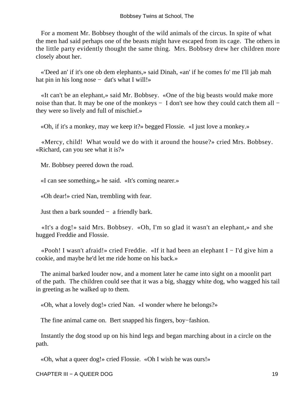For a moment Mr. Bobbsey thought of the wild animals of the circus. In spite of what the men had said perhaps one of the beasts might have escaped from its cage. The others in the little party evidently thought the same thing. Mrs. Bobbsey drew her children more closely about her.

 «'Deed an' if it's one ob dem elephants,» said Dinah, «an' if he comes fo' me I'll jab mah hat pin in his long nose  $-$  dat's what I will!»

 «It can't be an elephant,» said Mr. Bobbsey. «One of the big beasts would make more noise than that. It may be one of the monkeys – I don't see how they could catch them all – they were so lively and full of mischief.»

«Oh, if it's a monkey, may we keep it?» begged Flossie. «I just love a monkey.»

 «Mercy, child! What would we do with it around the house?» cried Mrs. Bobbsey. «Richard, can you see what it is?»

Mr. Bobbsey peered down the road.

«I can see something,» he said. «It's coming nearer.»

«Oh dear!» cried Nan, trembling with fear.

Just then a bark sounded  $-$  a friendly bark.

 «It's a dog!» said Mrs. Bobbsey. «Oh, I'm so glad it wasn't an elephant,» and she hugged Freddie and Flossie.

 «Pooh! I wasn't afraid!» cried Freddie. «If it had been an elephant I − I'd give him a cookie, and maybe he'd let me ride home on his back.»

 The animal barked louder now, and a moment later he came into sight on a moonlit part of the path. The children could see that it was a big, shaggy white dog, who wagged his tail in greeting as he walked up to them.

«Oh, what a lovely dog!» cried Nan. «I wonder where he belongs?»

The fine animal came on. Bert snapped his fingers, boy−fashion.

 Instantly the dog stood up on his hind legs and began marching about in a circle on the path.

«Oh, what a queer dog!» cried Flossie. «Oh I wish he was ours!»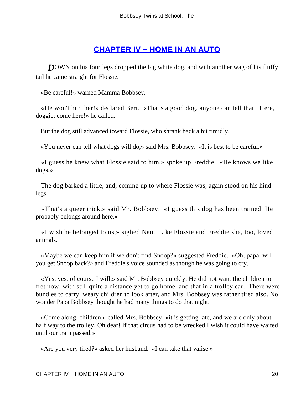### **[CHAPTER IV − HOME IN AN AUTO](#page-113-0)**

**DOWN** on his four legs dropped the big white dog, and with another wag of his fluffy tail he came straight for Flossie.

«Be careful!» warned Mamma Bobbsey.

 «He won't hurt her!» declared Bert. «That's a good dog, anyone can tell that. Here, doggie; come here!» he called.

But the dog still advanced toward Flossie, who shrank back a bit timidly.

«You never can tell what dogs will do,» said Mrs. Bobbsey. «It is best to be careful.»

 «I guess he knew what Flossie said to him,» spoke up Freddie. «He knows we like dogs.»

 The dog barked a little, and, coming up to where Flossie was, again stood on his hind legs.

 «That's a queer trick,» said Mr. Bobbsey. «I guess this dog has been trained. He probably belongs around here.»

 «I wish he belonged to us,» sighed Nan. Like Flossie and Freddie she, too, loved animals.

 «Maybe we can keep him if we don't find Snoop?» suggested Freddie. «Oh, papa, will you get Snoop back?» and Freddie's voice sounded as though he was going to cry.

 «Yes, yes, of course I will,» said Mr. Bobbsey quickly. He did not want the children to fret now, with still quite a distance yet to go home, and that in a trolley car. There were bundles to carry, weary children to look after, and Mrs. Bobbsey was rather tired also. No wonder Papa Bobbsey thought he had many things to do that night.

 «Come along, children,» called Mrs. Bobbsey, «it is getting late, and we are only about half way to the trolley. Oh dear! If that circus had to be wrecked I wish it could have waited until our train passed.»

«Are you very tired?» asked her husband. «I can take that valise.»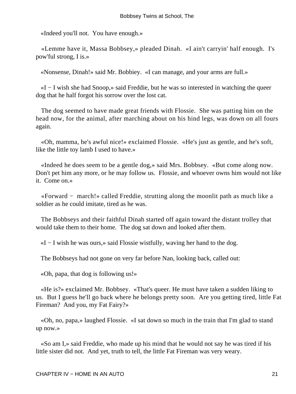«Indeed you'll not. You have enough.»

 «Lemme have it, Massa Bobbsey,» pleaded Dinah. «I ain't carryin' half enough. I's pow'ful strong, I is.»

«Nonsense, Dinah!» said Mr. Bobbiey. «I can manage, and your arms are full.»

 «I − I wish she had Snoop,» said Freddie, but he was so interested in watching the queer dog that he half forgot his sorrow over the lost cat.

 The dog seemed to have made great friends with Flossie. She was patting him on the head now, for the animal, after marching about on his hind legs, was down on all fours again.

 «Oh, mamma, he's awful nice!» exclaimed Flossie. «He's just as gentle, and he's soft, like the little toy lamb I used to have.»

 «Indeed he does seem to be a gentle dog,» said Mrs. Bobbsey. «But come along now. Don't pet him any more, or he may follow us. Flossie, and whoever owns him would not like it. Come on.»

 «Forward − march!» called Freddie, strutting along the moonlit path as much like a soldier as he could imitate, tired as he was.

 The Bobbseys and their faithful Dinah started off again toward the distant trolley that would take them to their home. The dog sat down and looked after them.

«I − I wish he was ours,» said Flossie wistfully, waving her hand to the dog.

The Bobbseys had not gone on very far before Nan, looking back, called out:

«Oh, papa, that dog is following us!»

 «He is?» exclaimed Mr. Bobbsey. «That's queer. He must have taken a sudden liking to us. But I guess he'll go back where he belongs pretty soon. Are you getting tired, little Fat Fireman? And you, my Fat Fairy?»

 «Oh, no, papa,» laughed Flossie. «I sat down so much in the train that I'm glad to stand up now.»

 «So am I,» said Freddie, who made up his mind that he would not say he was tired if his little sister did not. And yet, truth to tell, the little Fat Fireman was very weary.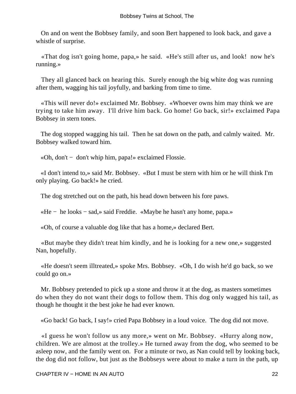On and on went the Bobbsey family, and soon Bert happened to look back, and gave a whistle of surprise.

 «That dog isn't going home, papa,» he said. «He's still after us, and look! now he's running.»

 They all glanced back on hearing this. Surely enough the big white dog was running after them, wagging his tail joyfully, and barking from time to time.

 «This will never do!» exclaimed Mr. Bobbsey. «Whoever owns him may think we are trying to take him away. I'll drive him back. Go home! Go back, sir!» exclaimed Papa Bobbsey in stern tones.

 The dog stopped wagging his tail. Then he sat down on the path, and calmly waited. Mr. Bobbsey walked toward him.

«Oh, don't − don't whip him, papa!» exclaimed Flossie.

 «I don't intend to,» said Mr. Bobbsey. «But I must be stern with him or he will think I'm only playing. Go back!» he cried.

The dog stretched out on the path, his head down between his fore paws.

«He − he looks − sad,» said Freddie. «Maybe he hasn't any home, papa.»

«Oh, of course a valuable dog like that has a home,» declared Bert.

 «But maybe they didn't treat him kindly, and he is looking for a new one,» suggested Nan, hopefully.

 «He doesn't seem illtreated,» spoke Mrs. Bobbsey. «Oh, I do wish he'd go back, so we could go on.»

 Mr. Bobbsey pretended to pick up a stone and throw it at the dog, as masters sometimes do when they do not want their dogs to follow them. This dog only wagged his tail, as though he thought it the best joke he had ever known.

«Go back! Go back, I say!» cried Papa Bobbsey in a loud voice. The dog did not move.

 «I guess he won't follow us any more,» went on Mr. Bobbsey. «Hurry along now, children. We are almost at the trolley.» He turned away from the dog, who seemed to be asleep now, and the family went on. For a minute or two, as Nan could tell by looking back, the dog did not follow, but just as the Bobbseys were about to make a turn in the path, up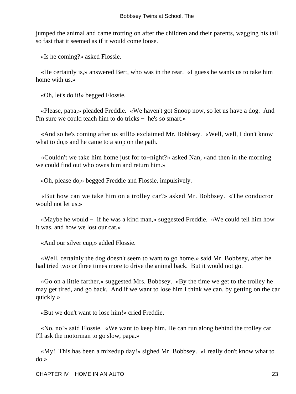jumped the animal and came trotting on after the children and their parents, wagging his tail so fast that it seemed as if it would come loose.

«Is he coming?» asked Flossie.

 «He certainly is,» answered Bert, who was in the rear. «I guess he wants us to take him home with us.»

«Oh, let's do it!» begged Flossie.

 «Please, papa,» pleaded Freddie. «We haven't got Snoop now, so let us have a dog. And I'm sure we could teach him to do tricks − he's so smart.»

 «And so he's coming after us still!» exclaimed Mr. Bobbsey. «Well, well, I don't know what to do,» and he came to a stop on the path.

 «Couldn't we take him home just for to−night?» asked Nan, «and then in the morning we could find out who owns him and return him.»

«Oh, please do,» begged Freddie and Flossie, impulsively.

 «But how can we take him on a trolley car?» asked Mr. Bobbsey. «The conductor would not let us »

 «Maybe he would − if he was a kind man,» suggested Freddie. «We could tell him how it was, and how we lost our cat.»

«And our silver cup,» added Flossie.

 «Well, certainly the dog doesn't seem to want to go home,» said Mr. Bobbsey, after he had tried two or three times more to drive the animal back. But it would not go.

 «Go on a little farther,» suggested Mrs. Bobbsey. «By the time we get to the trolley he may get tired, and go back. And if we want to lose him I think we can, by getting on the car quickly.»

«But we don't want to lose him!» cried Freddie.

 «No, no!» said Flossie. «We want to keep him. He can run along behind the trolley car. I'll ask the motorman to go slow, papa.»

 «My! This has been a mixedup day!» sighed Mr. Bobbsey. «I really don't know what to do.»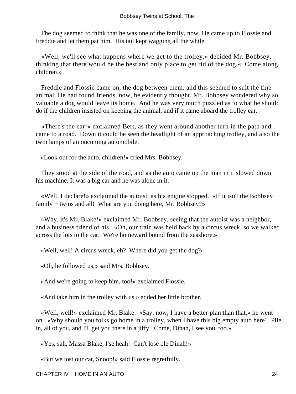The dog seemed to think that he was one of the family, now. He came up to Flossie and Freddie and let them pat him. His tail kept wagging all the while.

 «Well, we'll see what happens where we get to the trolley,» decided Mr. Bobbsey, thinking that there would be the best and only place to get rid of the dog.« Come along, children.»

 Freddie and Flossie came on, the dog between them, and this seemed to suit the fine animal. He had found friends, now, he evidently thought. Mr. Bobbsey wondered why so valuable a dog would leave its home. And he was very much puzzled as to what he should do if the children insisted on keeping the animal, and if it came aboard the trolley car.

 «There's the car!» exclaimed Bert, as they went around another turn in the path and came to a road. Down it could be seen the headlight of an approaching trolley, and also the twin lamps of an oncoming automobile.

«Look out for the auto, children!» cried Mrs. Bobbsey.

 They stood at the side of the road, and as the auto came up the man in it slowed down his machine. It was a big car and he was alone in it.

 «Well, I declare!» exclaimed the autoist, as his engine stopped. «If it isn't the Bobbsey family − twins and all! What are you doing here, Mr. Bobbsey?»

 «Why, it's Mr. Blake!» exclaimed Mr. Bobbsey, seeing that the autoist was a neighbor, and a business friend of his. «Oh, our train was held back by a circus wreck, so we walked across the lots to the car. We're homeward bound from the seashore.»

«Well, well! A circus wreck, eh? Where did you get the dog?»

«Oh, he followed us,» said Mrs. Bobbsey.

«And we're going to keep him, too!» exclaimed Flossie.

«And take him in the trolley with us,» added her little brother.

 «Well, well!» exclaimed Mr. Blake. «Say, now, I have a better plan than that,» he went on. «Why should you folks go home in a trolley, when I have this big empty auto here? Pile in, all of you, and I'll get you there in a jiffy. Come, Dinah, I see you, too.»

«Yes, sah, Massa Blake, I'se heah! Can't lose ole Dinah!»

«But we lost our cat, Snoop!» said Flossie regretfully.

CHAPTER IV − HOME IN AN AUTO 24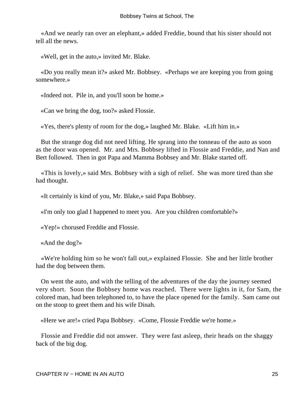«And we nearly ran over an elephant,» added Freddie, bound that his sister should not tell all the news.

«Well, get in the auto,» invited Mr. Blake.

 «Do you really mean it?» asked Mr. Bobbsey. «Perhaps we are keeping you from going somewhere.»

«Indeed not. Pile in, and you'll soon be home.»

«Can we bring the dog, too?» asked Flossie.

«Yes, there's plenty of room for the dog,» laughed Mr. Blake. «Lift him in.»

 But the strange dog did not need lifting. He sprang into the tonneau of the auto as soon as the door was opened. Mr. and Mrs. Bobbsey lifted in Flossie and Freddie, and Nan and Bert followed. Then in got Papa and Mamma Bobbsey and Mr. Blake started off.

 «This is lovely,» said Mrs. Bobbsey with a sigh of relief. She was more tired than she had thought.

«It certainly is kind of you, Mr. Blake,» said Papa Bobbsey.

«I'm only too glad I happened to meet you. Are you children comfortable?»

«Yep!» chorused Freddie and Flossie.

«And the dog?»

 «We're holding him so he won't fall out,» explained Flossie. She and her little brother had the dog between them.

 On went the auto, and with the telling of the adventures of the day the journey seemed very short. Soon the Bobbsey home was reached. There were lights in it, for Sam, the colored man, had been telephoned to, to have the place opened for the family. Sam came out on the stoop to greet them and his wife Dinah.

«Here we are!» cried Papa Bobbsey. «Come, Flossie Freddie we're home.»

 Flossie and Freddie did not answer. They were fast asleep, their heads on the shaggy back of the big dog.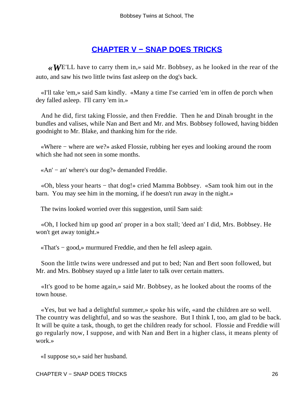### **[CHAPTER V − SNAP DOES TRICKS](#page-113-0)**

*«W*E'LL have to carry them in,» said Mr. Bobbsey, as he looked in the rear of the auto, and saw his two little twins fast asleep on the dog's back.

 «I'll take 'em,» said Sam kindly. «Many a time I'se carried 'em in offen de porch when dey falled asleep. I'll carry 'em in.»

 And he did, first taking Flossie, and then Freddie. Then he and Dinah brought in the bundles and valises, while Nan and Bert and Mr. and Mrs. Bobbsey followed, having bidden goodnight to Mr. Blake, and thanking him for the ride.

 «Where − where are we?» asked Flossie, rubbing her eyes and looking around the room which she had not seen in some months.

«An' − an' where's our dog?» demanded Freddie.

 «Oh, bless your hearts − that dog!» cried Mamma Bobbsey. «Sam took him out in the barn. You may see him in the morning, if he doesn't run away in the night.»

The twins looked worried over this suggestion, until Sam said:

 «Oh, I locked him up good an' proper in a box stall; 'deed an' I did, Mrs. Bobbsey. He won't get away tonight.»

«That's − good,» murmured Freddie, and then he fell asleep again.

 Soon the little twins were undressed and put to bed; Nan and Bert soon followed, but Mr. and Mrs. Bobbsey stayed up a little later to talk over certain matters.

 «It's good to be home again,» said Mr. Bobbsey, as he looked about the rooms of the town house.

 «Yes, but we had a delightful summer,» spoke his wife, «and the children are so well. The country was delightful, and so was the seashore. But I think I, too, am glad to be back. It will be quite a task, though, to get the children ready for school. Flossie and Freddie will go regularly now, I suppose, and with Nan and Bert in a higher class, it means plenty of work.»

«I suppose so,» said her husband.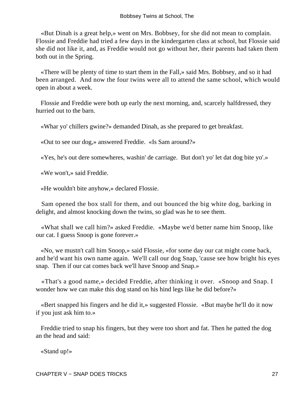«But Dinah is a great help,» went on Mrs. Bobbsey, for she did not mean to complain. Flossie and Freddie had tried a few days in the kindergarten class at school, but Flossie said she did not like it, and, as Freddie would not go without her, their parents had taken them both out in the Spring.

 «There will be plenty of time to start them in the Fall,» said Mrs. Bobbsey, and so it had been arranged. And now the four twins were all to attend the same school, which would open in about a week.

 Flossie and Freddie were both up early the next morning, and, scarcely halfdressed, they hurried out to the barn.

«Whar yo' chillers gwine?» demanded Dinah, as she prepared to get breakfast.

«Out to see our dog,» answered Freddie. «Is Sam around?»

«Yes, he's out dere somewheres, washin' de carriage. But don't yo' let dat dog bite yo'.»

«We won't,» said Freddie.

«He wouldn't bite anyhow,» declared Flossie.

 Sam opened the box stall for them, and out bounced the big white dog, barking in delight, and almost knocking down the twins, so glad was he to see them.

 «What shall we call him?» asked Freddie. «Maybe we'd better name him Snoop, like our cat. I guess Snoop is gone forever.»

 «No, we mustn't call him Snoop,» said Flossie, «for some day our cat might come back, and he'd want his own name again. We'll call our dog Snap, 'cause see how bright his eyes snap. Then if our cat comes back we'll have Snoop and Snap.»

 «That's a good name,» decided Freddie, after thinking it over. «Snoop and Snap. I wonder how we can make this dog stand on his hind legs like he did before?»

 «Bert snapped his fingers and he did it,» suggested Flossie. «But maybe he'll do it now if you just ask him to.»

 Freddie tried to snap his fingers, but they were too short and fat. Then he patted the dog an the head and said:

«Stand up!»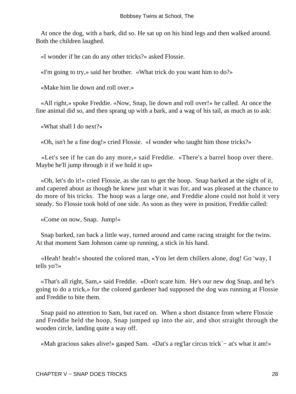At once the dog, with a bark, did so. He sat up on his hind legs and then walked around. Both the children laughed.

«I wonder if he can do any other tricks?» asked Flossie.

«I'm going to try,» said her brother. «What trick do you want him to do?»

«Make him lie down and roll over.»

 «All right,» spoke Freddie. «Now, Snap, lie down and roll over!» he called. At once the fine animal did so, and then sprang up with a bark, and a wag of his tail, as much as to ask:

«What shall I do next?»

«Oh, isn't he a fine dog!» cried Flossie. «I wonder who taught him those tricks?»

 «Let's see if he can do any more,» said Freddie. «There's a barrel hoop over there. Maybe he'll jump through it if we hold it up»

 «Oh, let's do it!» cried Flossie, as she ran to get the hoop. Snap barked at the sight of it, and capered about as though he knew just what it was for, and was pleased at the chance to do more of his tricks. The hoop was a large one, and Freddie alone could not hold it very steady. So Flossie took hold of one side. As soon as they were in position, Freddie called:

«Come on now, Snap. Jump!»

 Snap barked, ran back a little way, turned around and came racing straight for the twins. At that moment Sam Johnson came up running, a stick in his hand.

 «Heah! heah!» shouted the colored man, «You let dem chillers alone, dog! Go 'way, I tells yo'!»

 «That's all right, Sam,» said Freddie. «Don't scare him. He's our new dog Snap, and he's going to do a trick,» for the colored gardener had supposed the dog was running at Flossie and Freddie to bite them.

 Snap paid no attention to Sam, but raced on. When a short distance from where Flosxie and Freddie held the hoop, Snap jumped up into the air, and shot straight through the wooden circle, landing quite a way off.

«Mah gracious sakes alive!» gasped Sam. «Dat's a reg'lar circus trick`− at's what it am!»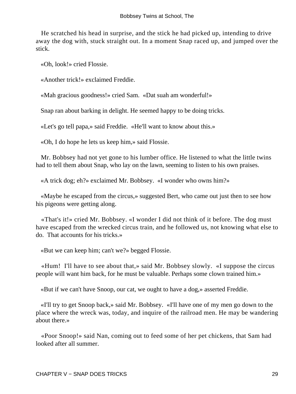He scratched his head in surprise, and the stick he had picked up, intending to drive away the dog with, stuck straight out. In a moment Snap raced up, and jumped over the stick.

«Oh, look!» cried Flossie.

«Another trick!» exclaimed Freddie.

«Mah gracious goodness!» cried Sam. «Dat suah am wonderful!»

Snap ran about barking in delight. He seemed happy to be doing tricks.

«Let's go tell papa,» said Freddie. «He'll want to know about this.»

«Oh, I do hope he lets us keep him,» said Flossie.

 Mr. Bobbsey had not yet gone to his lumber office. He listened to what the little twins had to tell them about Snap, who lay on the lawn, seeming to listen to his own praises.

«A trick dog; eh?» exclaimed Mr. Bobbsey. «I wonder who owns him?»

 «Maybe he escaped from the circus,» suggested Bert, who came out just then to see how his pigeons were getting along.

 «That's it!» cried Mr. Bobbsey. «I wonder I did not think of it before. The dog must have escaped from the wrecked circus train, and he followed us, not knowing what else to do. That accounts for his tricks.»

«But we can keep him; can't we?» begged Flossie.

 «Hum! I'll have to see about that,» said Mr. Bobbsey slowly. «I suppose the circus people will want him back, for he must be valuable. Perhaps some clown trained him.»

«But if we can't have Snoop, our cat, we ought to have a dog,» asserted Freddie.

 «I'll try to get Snoop back,» said Mr. Bobbsey. «I'll have one of my men go down to the place where the wreck was, today, and inquire of the railroad men. He may be wandering about there.»

 «Poor Snoop!» said Nan, coming out to feed some of her pet chickens, that Sam had looked after all summer.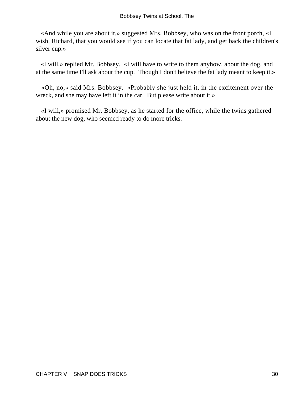«And while you are about it,» suggested Mrs. Bobbsey, who was on the front porch, «I wish, Richard, that you would see if you can locate that fat lady, and get back the children's silver cup.»

 «I will,» replied Mr. Bobbsey. «I will have to write to them anyhow, about the dog, and at the same time I'll ask about the cup. Though I don't believe the fat lady meant to keep it.»

 «Oh, no,» said Mrs. Bobbsey. «Probably she just held it, in the excitement over the wreck, and she may have left it in the car. But please write about it.»

 «I will,» promised Mr. Bobbsey, as he started for the office, while the twins gathered about the new dog, who seemed ready to do more tricks.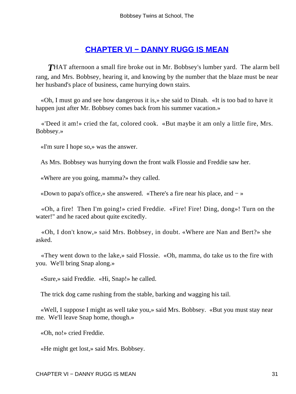### **[CHAPTER VI − DANNY RUGG IS MEAN](#page-113-0)**

**THAT** afternoon a small fire broke out in Mr. Bobbsey's lumber yard. The alarm bell rang, and Mrs. Bobbsey, hearing it, and knowing by the number that the blaze must be near her husband's place of business, came hurrying down stairs.

 «Oh, I must go and see how dangerous it is,» she said to Dinah. «It is too bad to have it happen just after Mr. Bobbsey comes back from his summer vacation.»

 «'Deed it am!» cried the fat, colored cook. «But maybe it am only a little fire, Mrs. Bobbsey.»

«I'm sure I hope so,» was the answer.

As Mrs. Bobbsey was hurrying down the front walk Flossie and Freddie saw her.

«Where are you going, mamma?» they called.

«Down to papa's office,» she answered. «There's a fire near his place, and − »

 «Oh, a fire! Then I'm going!» cried Freddie. «Fire! Fire! Ding, dong»! Turn on the water!" and he raced about quite excitedly.

 «Oh, I don't know,» said Mrs. Bobbsey, in doubt. «Where are Nan and Bert?» she asked.

 «They went down to the lake,» said Flossie. «Oh, mamma, do take us to the fire with you. We'll bring Snap along.»

«Sure,» said Freddie. «Hi, Snap!» he called.

The trick dog came rushing from the stable, barking and wagging his tail.

 «Well, I suppose I might as well take you,» said Mrs. Bobbsey. «But you must stay near me. We'll leave Snap home, though.»

«Oh, no!» cried Freddie.

«He might get lost,» said Mrs. Bobbsey.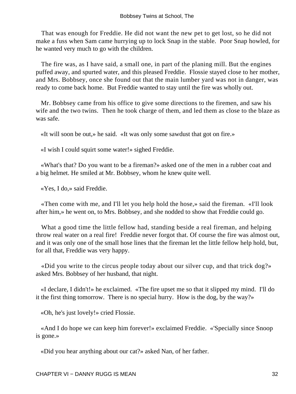That was enough for Freddie. He did not want the new pet to get lost, so he did not make a fuss when Sam came hurrying up to lock Snap in the stable. Poor Snap howled, for he wanted very much to go with the children.

 The fire was, as I have said, a small one, in part of the planing mill. But the engines puffed away, and spurted water, and this pleased Freddie. Flossie stayed close to her mother, and Mrs. Bobbsey, once she found out that the main lumber yard was not in danger, was ready to come back home. But Freddie wanted to stay until the fire was wholly out.

 Mr. Bobbsey came from his office to give some directions to the firemen, and saw his wife and the two twins. Then he took charge of them, and led them as close to the blaze as was safe.

«It will soon be out,» he said. «It was only some sawdust that got on fire.»

«I wish I could squirt some water!» sighed Freddie.

 «What's that? Do you want to be a fireman?» asked one of the men in a rubber coat and a big helmet. He smiled at Mr. Bobbsey, whom he knew quite well.

«Yes, I do,» said Freddie.

 «Then come with me, and I'll let you help hold the hose,» said the fireman. «I'll look after him,» he went on, to Mrs. Bobbsey, and she nodded to show that Freddie could go.

 What a good time the little fellow had, standing beside a real fireman, and helping throw real water on a real fire! Freddie never forgot that. Of course the fire was almost out, and it was only one of the small hose lines that the fireman let the little fellow help hold, but, for all that, Freddie was very happy.

 «Did you write to the circus people today about our silver cup, and that trick dog?» asked Mrs. Bobbsey of her husband, that night.

 «I declare, I didn't!» he exclaimed. «The fire upset me so that it slipped my mind. I'll do it the first thing tomorrow. There is no special hurry. How is the dog, by the way?»

«Oh, he's just lovely!» cried Flossie.

 «And I do hope we can keep him forever!» exclaimed Freddie. «'Specially since Snoop is gone.»

«Did you hear anything about our cat?» asked Nan, of her father.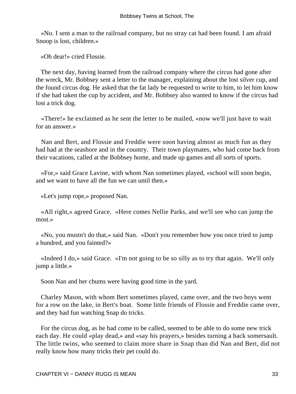«No. I sent a man to the railroad company, but no stray cat had been found. I am afraid Snoop is lost, children.»

«Oh dear!» cried Flossie.

 The next day, having learned from the railroad company where the circus had gone after the wreck, Mr. Bobbsey sent a letter to the manager, explaining about the lost silver cup, and the found circus dog. He asked that the fat lady be requested to write to him, to let him know if she had taken the cup by accident, and Mr. Bobbsey also wanted to know if the circus had lost a trick dog.

 «There!» he exclaimed as he sent the letter to be mailed, «now we'll just have to wait for an answer.»

 Nan and Bert, and Flossie and Freddie were soon having almost as much fun as they had had at the seashore and in the country. Their town playmates, who had come back from their vacations, called at the Bobbsey home, and made up games and all sorts of sports.

 «For,» said Grace Lavine, with whom Nan sometimes played, «school will soon begin, and we want to have all the fun we can until then.»

«Let's jump rope,» proposed Nan.

 «All right,» agreed Grace. «Here comes Nellie Parks, and we'll see who can jump the most.»

 «No, you mustn't do that,» said Nan. «Don't you remember how you once tried to jump a hundred, and you fainted?»

 «Indeed I do,» said Grace. «I'm not going to be so silly as to try that again. We'll only jump a little.»

Soon Nan and her chums were having good time in the yard.

 Charley Mason, with whom Bert sometimes played, came over, and the two boys went for a row on the lake, in Bert's boat. Some little friends of Flossie and Freddie came over, and they had fun watching Snap do tricks.

 For the circus dog, as he had come to be called, seemed to be able to do some new trick each day. He could «play dead,» and «say his prayers,» besides turning a back somersault. The little twins, who seemed to claim more share in Snap than did Nan and Bert, did not really know how many tricks their pet could do.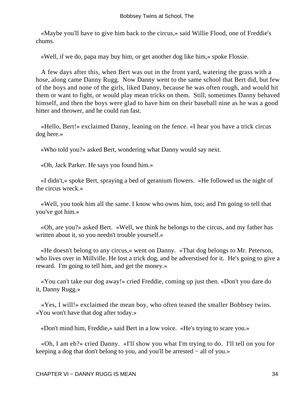«Maybe you'll have to give him back to the circus,» said Willie Flood, one of Freddie's chums.

«Well, if we do, papa may buy him, or get another dog like him,» spoke Flossie.

 A few days after this, when Bert was out in the front yard, watering the grass with a hose, along came Danny Rugg. Now Danny went to the same school that Bert did, but few of the boys and none of the girls, liked Danny, because he was often rough, and would hit them or want to fight, or would play mean tricks on them. Still, sometimes Danny behaved himself, and then the boys were glad to have him on their baseball nine as he was a good hitter and thrower, and he could run fast.

 «Hello, Bert!» exclaimed Danny, leaning on the fence. «I hear you have a trick circus dog here.»

«Who told you?» asked Bert, wondering what Danny would say next.

«Oh, Jack Parker. He says you found him.»

 «I didn't,» spoke Bert, spraying a bed of geranium flowers. «He followed us the night of the circus wreck.»

 «Well, you took him all the same. I know who owns him, too; and I'm going to tell that you've got him.»

 «Oh, are you?» asked Bert. «Well, we think he belongs to the circus, and my father has written about it, so you needn't trouble yourself.»

 «He doesn't belong to any circus,» went on Danny. «That dog belongs to Mr. Peterson, who lives over in Millville. He lost a trick dog, and he adverstised for it. He's going to give a reward. I'm going to tell him, and get the money.»

 «You can't take our dog away!» cried Freddie, coming up just then. «Don't you dare do it, Danny Rugg.»

 «Yes, I will!» exclaimed the mean boy, who often teased the smaller Bobbsey twins. «You won't have that dog after today.»

«Don't mind him, Freddie,» said Bert in a low voice. «He's trying to scare you.»

 «Oh, I am eh?» cried Danny. «I'll show you what I'm trying to do. I'll tell on you for keeping a dog that don't belong to you, and you'll be arrested − all of you.»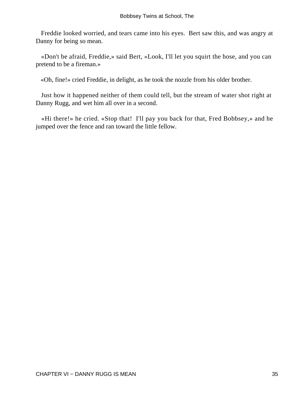Freddie looked worried, and tears came into his eyes. Bert saw this, and was angry at Danny for being so mean.

 «Don't be afraid, Freddie,» said Bert, «Look, I'll let you squirt the hose, and you can pretend to be a fireman.»

«Oh, fine!» cried Freddie, in delight, as he took the nozzle from his older brother.

 Just how it happened neither of them could tell, but the stream of water shot right at Danny Rugg, and wet him all over in a second.

 «Hi there!» he cried. «Stop that! I'll pay you back for that, Fred Bobbsey,» and he jumped over the fence and ran toward the little fellow.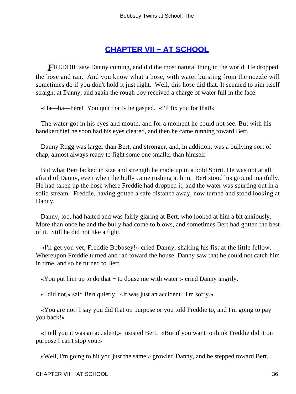### **[CHAPTER VII − AT SCHOOL](#page-113-0)**

**FREDDIE** saw Danny coming, and did the most natural thing in the world. He dropped the hose and ran. And you know what a hose, with water bursting from the nozzle will sometimes do if you don't hold it just right. Well, this hose did that. It seemed to aim itself straight at Danny, and again the rough boy received a charge of water full in the face.

«Ha—ha—here! You quit that!» he gasped. «I'll fix you for that!»

 The water got in his eyes and mouth, and for a moment he could not see. But with his handkerchief he soon had his eyes cleared, and then he came running toward Bert.

 Danny Rugg was larger than Bert, and stronger, and, in addition, was a bullying sort of chap, almost always ready to fight some one smaller than himself.

 But what Bert lacked in size and strength he made up in a bold Spirit. He was not at all afraid of Danny, even when the bully came rushing at him. Bert stood his ground manfully. He had taken up the hose where Freddie had dropped it, and the water was spurting out in a solid stream. Freddie, having gotten a safe distance away, now turned and stood looking at Danny.

 Danny, too, had halted and was fairly glaring at Bert, who looked at him a bit anxiously. More than once he and the bully had come to blows, and sometimes Bert had gotten the best of it. Still he did not like a fight.

 «I'll get you yet, Freddie Bobbsey!» cried Danny, shaking his fist at the little fellow. Whereupon Freddie turned and ran toward the house. Danny saw that he could not catch him in time, and so he turned to Bert.

«You put him up to do that − to douse me with water!» cried Danny angrily.

«I did not,» said Bert quietly. «It was just an accident. I'm sorry.»

 «You are not! I say you did that on purpose or you told Freddie to, and I'm going to pay you back!»

 «I tell you it was an accident,» insisted Bert. «But if you want to think Freddie did it on purpose I can't stop you.»

«Well, I'm going to hit you just the same,» growled Danny, and he stepped toward Bert.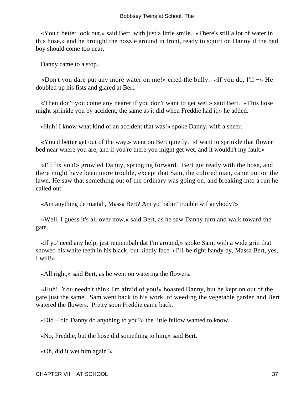«You'd better look out,» said Bert, with just a little smile. «There's still a lot of water in this hose,» and he brought the nozzle around in front, ready to squirt on Danny if the bad boy should come too near.

Danny came to a stop.

 «Don't you dare put any more water on me!» cried the bully. «If you do, I'll −» He doubled up his fists and glared at Bert.

 «Then don't you come any nearer if you don't want to get wet,» said Bert. «This hose might sprinkle you by accident, the same as it did when Freddie had it,» he added.

«Huh! I know what kind of an accident that was!» spoke Danny, with a sneer.

 «You'd better get out of the way,» went on Bert quietly. «I want to sprinkle that flower bed near where you are, and if you're there you might get wet, and it wouldn't my fault.»

 «I'll fix you!» growled Danny, springing forward. Bert got ready with the hose, and there might have been more trouble, except that Sam, the colored man, came out on the lawn. He saw that something out of the ordinary was going on, and breaking into a run he called out:

«Am anything de mattah, Massa Bert? Am yo' habin' trouble wif anybody?»

 «Well, I guess it's all over now,» said Bert, as he saw Danny turn and walk toward the gate.

 «If yo' need any help, jest remembah dat I'm around,» spoke Sam, with a wide grin that showed his white teeth in his black, but kindly face. «I'l1 be right handy by, Massa Bert, yes, I will!»

«All right,» said Bert, as he went on watering the flowers.

 «Huh! You needn't think I'm afraid of you!» boasted Danny, but he kept on out of the gate just the same. Sam went back to his work, of weeding the vegetable garden and Bert watered the flowers. Pretty soon Freddie came back.

«Did − did Danny do anything to you?» the little fellow wanted to know.

«No, Freddie, but the hose did something to him,» said Bert.

«Oh, did it wet him again?»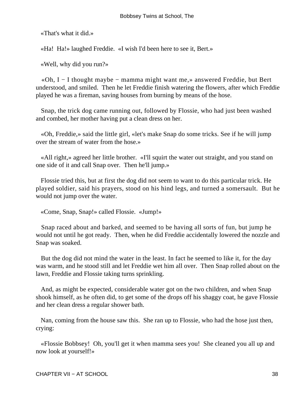«That's what it did.»

«Ha! Ha!» laughed Freddie. «I wish I'd been here to see it, Bert.»

«Well, why did you run?»

 «Oh, I − I thought maybe − mamma might want me,» answered Freddie, but Bert understood, and smiled. Then he let Freddie finish watering the flowers, after which Freddie played he was a fireman, saving houses from burning by means of the hose.

 Snap, the trick dog came running out, followed by Flossie, who had just been washed and combed, her mother having put a clean dress on her.

 «Oh, Freddie,» said the little girl, «let's make Snap do some tricks. See if he will jump over the stream of water from the hose.»

 «All right,» agreed her little brother. «I'll squirt the water out straight, and you stand on one side of it and call Snap over. Then he'll jump.»

 Flossie tried this, but at first the dog did not seem to want to do this particular trick. He played soldier, said his prayers, stood on his hind legs, and turned a somersault. But he would not jump over the water.

«Come, Snap, Snap!» called Flossie. «Jump!»

 Snap raced about and barked, and seemed to be having all sorts of fun, but jump he would not until he got ready. Then, when he did Freddie accidentally lowered the nozzle and Snap was soaked.

 But the dog did not mind the water in the least. In fact he seemed to like it, for the day was warm, and he stood still and let Freddie wet him all over. Then Snap rolled about on the lawn, Freddie and Flossie taking turns sprinkling.

 And, as might be expected, considerable water got on the two children, and when Snap shook himself, as he often did, to get some of the drops off his shaggy coat, he gave Flossie and her clean dress a regular shower bath.

 Nan, coming from the house saw this. She ran up to Flossie, who had the hose just then, crying:

 «Flossie Bobbsey! Oh, you'll get it when mamma sees you! She cleaned you all up and now look at yourself!»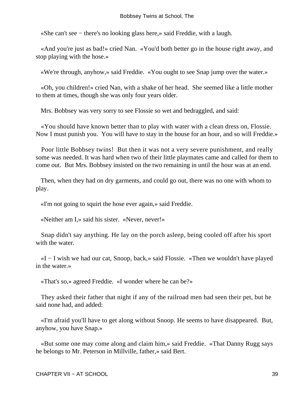«She can't see − there's no looking glass here,» said Freddie, with a laugh.

 «And you're just as bad!» cried Nan. «You'd both better go in the house right away, and stop playing with the hose.»

«We're through, anyhow,» said Freddie. «You ought to see Snap jump over the water.»

 «Oh, you children!» cried Nan, with a shake of her head. She seemed like a little mother to them at times, though she was only four years older.

Mrs. Bobbsey was very sorry to see Flossie so wet and bedraggled, and said:

 «You should have known better than to play with water with a clean dress on, Flossie. Now I must punish you. You will have to stay in the house for an hour, and so will Freddie.»

 Poor little Bobbsey twins! But then it was not a very severe punishment, and really some was needed. It was hard when two of their little playmates came and called for them to come out. But Mrs. Bobbsey insisted on the two remaining in until the hour was at an end.

 Then, when they had on dry garments, and could go out, there was no one with whom to play.

«I'm not going to squirt the hose ever again,» said Freddie.

«Neither am I,» said his sister. «Never, never!»

 Snap didn't say anything. He lay on the porch asleep, being cooled off after his sport with the water.

 «I − I wish we had our cat, Snoop, back,» said Flossie. «Then we wouldn't have played in the water.»

«That's so,» agreed Freddie. «I wonder where he can be?»

 They asked their father that night if any of the railroad men had seen their pet, but he said none had, and added:

 «I'm afraid you'll have to get along without Snoop. He seems to have disappeared. But, anyhow, you have Snap.»

 «But some one may come along and claim him,» said Freddie. «That Danny Rugg says he belongs to Mr. Peterson in Millville, father,» said Bert.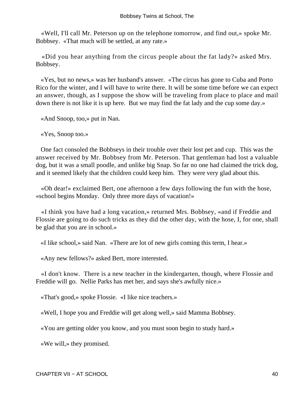«Well, I'll call Mr. Peterson up on the telephone tomorrow, and find out,» spoke Mr. Bobbsey. «That much will be settled, at any rate.»

 «Did you hear anything from the circus people about the fat lady?» asked Mrs. Bobbsey.

 «Yes, but no news,» was her husband's answer. «The circus has gone to Cuba and Porto Rico for the winter, and I will have to write there. It will be some time before we can expect an answer, though, as I suppose the show will be traveling from place to place and mail down there is not like it is up here. But we may find the fat lady and the cup some day.»

«And Snoop, too,» put in Nan.

«Yes, Snoop too.»

 One fact consoled the Bobbseys in their trouble over their lost pet and cup. This was the answer received by Mr. Bobbsey from Mr. Peterson. That gentleman had lost a valuable dog, but it was a small poodle, and unlike big Snap. So far no one had claimed the trick dog, and it seemed likely that the children could keep him. They were very glad about this.

 «Oh dear!» exclaimed Bert, one afternoon a few days following the fun with the hose, «school begins Monday. Only three more days of vacation!»

 «I think you have had a long vacation,» returned Mrs. Bobbsey, «and if Freddie and Flossie are going to do such tricks as they did the other day, with the hose, I, for one, shall be glad that you are in school.»

«I like school,» said Nan. «There are lot of new girls coming this term, I hear.»

«Any new fellows?» asked Bert, more interested.

 «I don't know. There is a new teacher in the kindergarten, though, where Flossie and Freddie will go. Nellie Parks has met her, and says she's awfully nice.»

«That's good,» spoke Flossie. «I like nice teachers.»

«Well, I hope you and Freddie will get along well,» said Mamma Bobbsey.

«You are getting older you know, and you must soon begin to study hard.»

«We will,» they promised.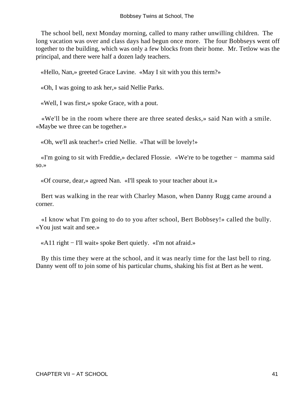The school bell, next Monday morning, called to many rather unwilling children. The long vacation was over and class days had begun once more. The four Bobbseys went off together to the building, which was only a few blocks from their home. Mr. Tetlow was the principal, and there were half a dozen lady teachers.

«Hello, Nan,» greeted Grace Lavine. «May I sit with you this term?»

«Oh, I was going to ask her,» said Nellie Parks.

«Well, I was first,» spoke Grace, with a pout.

 «We'll be in the room where there are three seated desks,» said Nan with a smile. «Maybe we three can be together.»

«Oh, we'll ask teacher!» cried Nellie. «That will be lovely!»

 «I'm going to sit with Freddie,» declared Flossie. «We're to be together − mamma said so.»

«Of course, dear,» agreed Nan. «I'll speak to your teacher about it.»

 Bert was walking in the rear with Charley Mason, when Danny Rugg came around a corner.

 «I know what I'm going to do to you after school, Bert Bobbsey!» called the bully. «You just wait and see.»

«A11 right − I'll wait» spoke Bert quietly. «I'm not afraid.»

 By this time they were at the school, and it was nearly time for the last bell to ring. Danny went off to join some of his particular chums, shaking his fist at Bert as he went.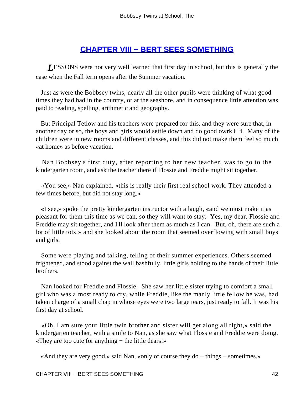# **[CHAPTER VIII − BERT SEES SOMETHING](#page-113-0)**

**LESSONS** were not very well learned that first day in school, but this is generally the case when the Fall term opens after the Summer vacation.

 Just as were the Bobbsey twins, nearly all the other pupils were thinking of what good times they had had in the country, or at the seashore, and in consequence little attention was paid to reading, spelling, arithmetic and geography.

 But Principal Tetlow and his teachers were prepared for this, and they were sure that, in another day or so, the boys and girls would settle down and do good owrk [sic]. Many of the children were in new rooms and different classes, and this did not make them feel so much «at home» as before vacation.

 Nan Bobbsey's first duty, after reporting to her new teacher, was to go to the kindergarten room, and ask the teacher there if Flossie and Freddie might sit together.

 «You see,» Nan explained, «this is really their first real school work. They attended a few times before, but did not stay long.»

 «I see,» spoke the pretty kindergarten instructor with a laugh, «and we must make it as pleasant for them this time as we can, so they will want to stay. Yes, my dear, Flossie and Freddie may sit together, and I'll look after them as much as I can. But, oh, there are such a lot of little tots!» and she looked about the room that seemed overflowing with small boys and girls.

 Some were playing and talking, telling of their summer experiences. Others seemed frightened, and stood against the wall bashfully, little girls holding to the hands of their little brothers.

 Nan looked for Freddie and Flossie. She saw her little sister trying to comfort a small girl who was almost ready to cry, while Freddie, like the manly little fellow he was, had taken charge of a small chap in whose eyes were two large tears, just ready to fall. It was his first day at school.

 «Oh, I am sure your little twin brother and sister will get along all right,» said the kindergarten teacher, with a smile to Nan, as she saw what Flossie and Freddie were doing. «They are too cute for anything − the little dears!»

«And they are very good,» said Nan, «only of course they do − things − sometimes.»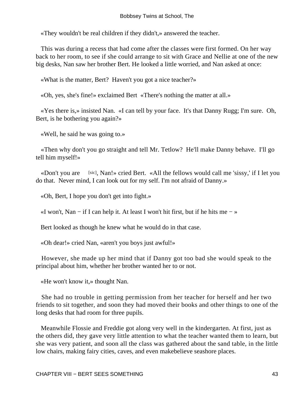«They wouldn't be real children if they didn't,» answered the teacher.

 This was during a recess that had come after the classes were first formed. On her way back to her room, to see if she could arrange to sit with Grace and Nellie at one of the new big desks, Nan saw her brother Bert. He looked a little worried, and Nan asked at once:

«What is the matter, Bert? Haven't you got a nice teacher?»

«Oh, yes, she's fine!» exclaimed Bert «There's nothing the matter at all.»

 «Yes there is,» insisted Nan. «I can tell by your face. It's that Danny Rugg; I'm sure. Oh, Bert, is he bothering you again?»

«Well, he said he was going to.»

 «Then why don't you go straight and tell Mr. Tetlow? He'll make Danny behave. I'll go tell him myself!»

«Don't you are [sic], Nan!» cried Bert. «All the fellows would call me 'sissy,' if I let you do that. Never mind, I can look out for my self. I'm not afraid of Danny.»

«Oh, Bert, I hope you don't get into fight.»

«I won't, Nan – if I can help it. At least I won't hit first, but if he hits me – »

Bert looked as though he knew what he would do in that case.

«Oh dear!» cried Nan, «aren't you boys just awful!»

 However, she made up her mind that if Danny got too bad she would speak to the principal about him, whether her brother wanted her to or not.

«He won't know it,» thought Nan.

 She had no trouble in getting permission from her teacher for herself and her two friends to sit together, and soon they had moved their books and other things to one of the long desks that had room for three pupils.

 Meanwhile Flossie and Freddie got along very well in the kindergarten. At first, just as the others did, they gave very little attention to what the teacher wanted them to learn, but she was very patient, and soon all the class was gathered about the sand table, in the little low chairs, making fairy cities, caves, and even makebelieve seashore places.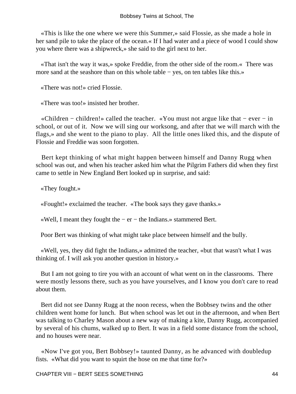«This is like the one where we were this Summer,» said Flossie, as she made a hole in her sand pile to take the place of the ocean.« If I had water and a piece of wood I could show you where there was a shipwreck,» she said to the girl next to her.

 «That isn't the way it was,» spoke Freddie, from the other side of the room.« There was more sand at the seashore than on this whole table − yes, on ten tables like this.»

«There was not!» cried Flossie.

«There was too!» insisted her brother.

 «Children − children!» called the teacher. «You must not argue like that − ever − in school, or out of it. Now we will sing our worksong, and after that we will march with the flags,» and she went to the piano to play. All the little ones liked this, and the dispute of Flossie and Freddie was soon forgotten.

 Bert kept thinking of what might happen between himself and Danny Rugg when school was out, and when his teacher asked him what the Pilgrim Fathers did when they first came to settle in New England Bert looked up in surprise, and said:

«They fought.»

«Fought!» exclaimed the teacher. «The book says they gave thanks.»

«Well, I meant they fought the − er − the Indians.» stammered Bert.

Poor Bert was thinking of what might take place between himself and the bully.

 «Well, yes, they did fight the Indians,» admitted the teacher, «but that wasn't what I was thinking of. I will ask you another question in history.»

 But I am not going to tire you with an account of what went on in the classrooms. There were mostly lessons there, such as you have yourselves, and I know you don't care to read about them.

 Bert did not see Danny Rugg at the noon recess, when the Bobbsey twins and the other children went home for lunch. But when school was let out in the afternoon, and when Bert was talking to Charley Mason about a new way of making a kite, Danny Rugg, accompanied by several of his chums, walked up to Bert. It was in a field some distance from the school, and no houses were near.

 «Now I've got you, Bert Bobbsey!» taunted Danny, as he advanced with doubledup fists. «What did you want to squirt the hose on me that time for?»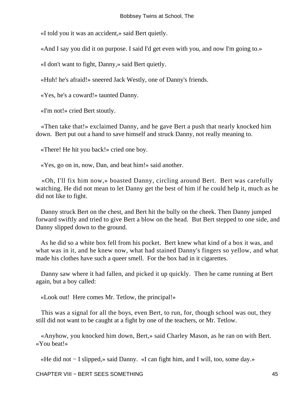«I told you it was an accident,» said Bert quietly.

«And I say you did it on purpose. I said I'd get even with you, and now I'm going to.»

«I don't want to fight, Danny,» said Bert quietly.

«Huh! he's afraid!» sneered Jack Westly, one of Danny's friends.

«Yes, he's a coward!» taunted Danny.

«I'm not!» cried Bert stoutly.

 «Then take that!» exclaimed Danny, and he gave Bert a push that nearly knocked him down. Bert put out a hand to save himself and struck Danny, not really meaning to.

«There! He hit you back!» cried one boy.

«Yes, go on in, now, Dan, and beat him!» said another.

 «Oh, I'll fix him now,» boasted Danny, circling around Bert. Bert was carefully watching. He did not mean to let Danny get the best of him if he could help it, much as he did not like to fight.

 Danny struck Bert on the chest, and Bert hit the bully on the cheek. Then Danny jumped forward swiftly and tried to give Bert a blow on the head. But Bert stepped to one side, and Danny slipped down to the ground.

 As he did so a white box fell from his pocket. Bert knew what kind of a box it was, and what was in it, and he knew now, what had stained Danny's fingers so yellow, and what made his clothes have such a queer smell. For the box had in it cigarettes.

 Danny saw where it had fallen, and picked it up quickly. Then he came running at Bert again, but a boy called:

«Look out! Here comes Mr. Tetlow, the principal!»

 This was a signal for all the boys, even Bert, to run, for, though school was out, they still did not want to be caught at a fight by one of the teachers, or Mr. Tetlow.

 «Anyhow, you knocked him down, Bert,» said Charley Mason, as he ran on with Bert. «You beat!»

«He did not − I slipped,» said Danny. «I can fight him, and I will, too, some day.»

CHAPTER VIII − BERT SEES SOMETHING 45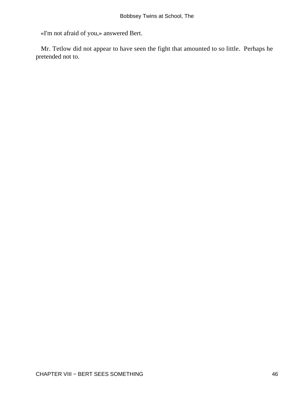«I'm not afraid of you,» answered Bert.

 Mr. Tetlow did not appear to have seen the fight that amounted to so little. Perhaps he pretended not to.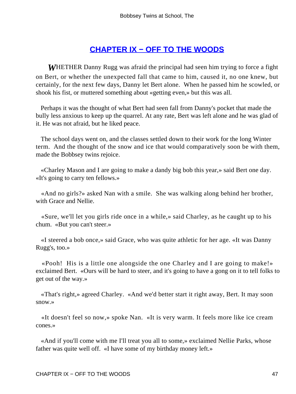# **[CHAPTER IX − OFF TO THE WOODS](#page-113-0)**

*W*HETHER Danny Rugg was afraid the principal had seen him trying to force a fight on Bert, or whether the unexpected fall that came to him, caused it, no one knew, but certainly, for the next few days, Danny let Bert alone. When he passed him he scowled, or shook his fist, or muttered something about «getting even,» but this was all.

 Perhaps it was the thought of what Bert had seen fall from Danny's pocket that made the bully less anxious to keep up the quarrel. At any rate, Bert was left alone and he was glad of it. He was not afraid, but he liked peace.

 The school days went on, and the classes settled down to their work for the long Winter term. And the thought of the snow and ice that would comparatively soon be with them, made the Bobbsey twins rejoice.

 «Charley Mason and I are going to make a dandy big bob this year,» said Bert one day. «It's going to carry ten fellows.»

 «And no girls?» asked Nan with a smile. She was walking along behind her brother, with Grace and Nellie.

 «Sure, we'll let you girls ride once in a while,» said Charley, as he caught up to his chum. «But you can't steer.»

 «I steered a bob once,» said Grace, who was quite athletic for her age. «It was Danny Rugg's, too.»

 «Pooh! His is a little one alongside the one Charley and I are going to make!» exclaimed Bert. «Ours will be hard to steer, and it's going to have a gong on it to tell folks to get out of the way.»

 «That's right,» agreed Charley. «And we'd better start it right away, Bert. It may soon snow.»

 «It doesn't feel so now,» spoke Nan. «It is very warm. It feels more like ice cream cones.»

 «And if you'll come with me I'll treat you all to some,» exclaimed Nellie Parks, whose father was quite well off. «I have some of my birthday money left.»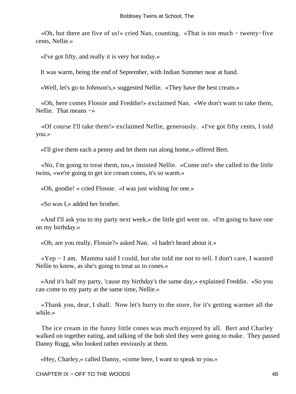«Oh, but there are five of us!» cried Nan, counting. «That is too much − twenty−five cents, Nellie.»

«I've got fifty, and really it is very hot today.»

It was warm, being the end of September, with Indian Summer near at hand.

«Well, let's go to Johnson's,» suggested Nellie. «They have the best cream.»

 «Oh, here comes Flossie and Freddie!» exclaimed Nan. «We don't want to take them, Nellie. That means −»

 «Of course I'll take them!» exclaimed Nellie, generously. «I've got fifty cents, I told you.»

«I'll give them each a penny and let them run along home,» offered Bert.

 «No, I'm going to treat them, too,» insisted Nellie. «Come on!» she called to the little twins, «we're going to get ice cream cones, it's so warm.»

«Oh, goodie! » cried Flossie. «I was just wishing for one.»

«So was I,» added her brother.

 «And I'll ask you to my party next week,» the little girl went on. «I'm going to have one on my birthday.»

«Oh, are you really, Flossie?» asked Nan. «I hadn't heard about it.»

 «Yep − I am. Mamma said I could, but she told me not to tell. I don't care, I wanted Nellie to know, as she's going to treat us to cones.»

 «And it's half my party, 'cause my birthday's the same day,» explained Freddie. «So you can come to my party at the same time, Nellie.»

 «Thank you, dear, I shall. Now let's hurry to the store, for it's getting warmer all the while.»

 The ice cream in the funny little cones was much enjoyed by all. Bert and Charley walked on together eating, and talking of the bob sled they were going to make. They passed Danny Rugg, who looked rather enviously at them.

«Hey, Charley,» called Danny, «come here, I want to speak to you.»

CHAPTER IX − OFF TO THE WOODS 48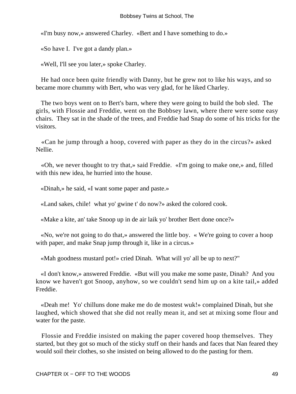«I'm busy now,» answered Charley. «Bert and I have something to do.»

«So have I. I've got a dandy plan.»

«Well, I'll see you later,» spoke Charley.

 He had once been quite friendly with Danny, but he grew not to like his ways, and so became more chummy with Bert, who was very glad, for he liked Charley.

 The two boys went on to Bert's barn, where they were going to build the bob sled. The girls, with Flossie and Freddie, went on the Bobbsey lawn, where there were some easy chairs. They sat in the shade of the trees, and Freddie had Snap do some of his tricks for the visitors.

 «Can he jump through a hoop, covered with paper as they do in the circus?» asked Nellie.

 «Oh, we never thought to try that,» said Freddie. «I'm going to make one,» and, filled with this new idea, he hurried into the house.

«Dinah,» he said, «I want some paper and paste.»

«Land sakes, chile! what yo' gwine t' do now?» asked the colored cook.

«Make a kite, an' take Snoop up in de air laik yo' brother Bert done once?»

 «No, we're not going to do that,» answered the little boy. « We're going to cover a hoop with paper, and make Snap jump through it, like in a circus.»

«Mah goodness mustard pot!» cried Dinah. What will yo' all be up to next?"

 «I don't know,» answered Freddie. «But will you make me some paste, Dinah? And you know we haven't got Snoop, anyhow, so we couldn't send him up on a kite tail,» added Freddie.

 «Deah me! Yo' chilluns done make me do de mostest wuk!» complained Dinah, but she laughed, which showed that she did not really mean it, and set at mixing some flour and water for the paste.

 Flossie and Freddie insisted on making the paper covered hoop themselves. They started, but they got so much of the sticky stuff on their hands and faces that Nan feared they would soil their clothes, so she insisted on being allowed to do the pasting for them.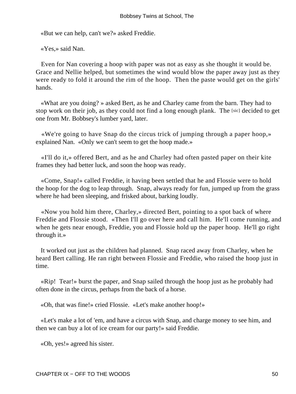«But we can help, can't we?» asked Freddie.

«Yes,» said Nan.

 Even for Nan covering a hoop with paper was not as easy as she thought it would be. Grace and Nellie helped, but sometimes the wind would blow the paper away just as they were ready to fold it around the rim of the hoop. Then the paste would get on the girls' hands.

 «What are you doing? » asked Bert, as he and Charley came from the barn. They had to stop work on their job, as they could not find a long enough plank. The [sic] decided to get one from Mr. Bobbsey's lumber yard, later.

 «We're going to have Snap do the circus trick of jumping through a paper hoop,» explained Nan. «Only we can't seem to get the hoop made.»

 «I'll do it,» offered Bert, and as he and Charley had often pasted paper on their kite frames they had better luck, and soon the hoop was ready.

 «Come, Snap!» called Freddie, it having been settled that he and Flossie were to hold the hoop for the dog to leap through. Snap, always ready for fun, jumped up from the grass where he had been sleeping, and frisked about, barking loudly.

 «Now you hold him there, Charley,» directed Bert, pointing to a spot back of where Freddie and Flossie stood. «Then I'll go over here and call him. He'll come running, and when he gets near enough, Freddie, you and Flossie hold up the paper hoop. He'll go right through it.»

 It worked out just as the children had planned. Snap raced away from Charley, when he heard Bert calling. He ran right between Flossie and Freddie, who raised the hoop just in time.

 «Rip! Tear!» burst the paper, and Snap sailed through the hoop just as he probably had often done in the circus, perhaps from the back of a horse.

«Oh, that was fine!» cried Flossie. «Let's make another hoop!»

 «Let's make a lot of 'em, and have a circus with Snap, and charge money to see him, and then we can buy a lot of ice cream for our party!» said Freddie.

«Oh, yes!» agreed his sister.

CHAPTER IX – OFF TO THE WOODS 50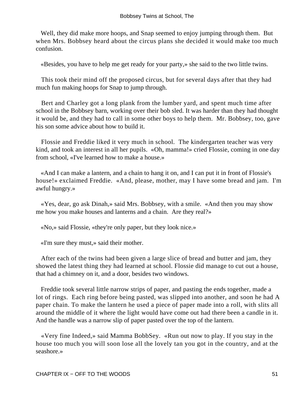Well, they did make more hoops, and Snap seemed to enjoy jumping through them. But when Mrs. Bobbsey heard about the circus plans she decided it would make too much confusion.

«Besides, you have to help me get ready for your party,» she said to the two little twins.

 This took their mind off the proposed circus, but for several days after that they had much fun making hoops for Snap to jump through.

 Bert and Charley got a long plank from the lumber yard, and spent much time after school in the Bobbsey barn, working over their bob sled. It was harder than they had thought it would be, and they had to call in some other boys to help them. Mr. Bobbsey, too, gave his son some advice about how to build it.

 Flossie and Freddie liked it very much in school. The kindergarten teacher was very kind, and took an interest in all her pupils. «Oh, mamma!» cried Flossie, coming in one day from school, «I've learned how to make a house.»

 «And I can make a lantern, and a chain to hang it on, and I can put it in front of Flossie's house!» exclaimed Freddie. «And, please, mother, may I have some bread and jam. I'm awful hungry.»

 «Yes, dear, go ask Dinah,» said Mrs. Bobbsey, with a smile. «And then you may show me how you make houses and lanterns and a chain. Are they real?»

«No,» said Flossie, «they're only paper, but they look nice.»

«I'm sure they must,» said their mother.

 After each of the twins had been given a large slice of bread and butter and jam, they showed the latest thing they had learned at school. Flossie did manage to cut out a house, that had a chimney on it, and a door, besides two windows.

 Freddie took several little narrow strips of paper, and pasting the ends together, made a lot of rings. Each ring before being pasted, was slipped into another, and soon he had A paper chain. To make the lantern he used a piece of paper made into a roll, with slits all around the middle of it where the light would have come out had there been a candle in it. And the handle was a narrow slip of paper pasted over the top of the lantern.

 «Very fine Indeed,» said Mamma BobbSey. «Run out now to play. If you stay in the house too much you will soon lose all the lovely tan you got in the country, and at the seashore.»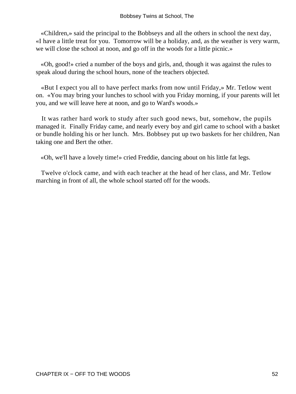«Children,» said the principal to the Bobbseys and all the others in school the next day, «I have a little treat for you. Tomorrow will be a holiday, and, as the weather is very warm, we will close the school at noon, and go off in the woods for a little picnic.»

 «Oh, good!» cried a number of the boys and girls, and, though it was against the rules to speak aloud during the school hours, none of the teachers objected.

 «But I expect you all to have perfect marks from now until Friday,» Mr. Tetlow went on. «You may bring your lunches to school with you Friday morning, if your parents will let you, and we will leave here at noon, and go to Ward's woods.»

 It was rather hard work to study after such good news, but, somehow, the pupils managed it. Finally Friday came, and nearly every boy and girl came to school with a basket or bundle holding his or her lunch. Mrs. Bobbsey put up two baskets for her children, Nan taking one and Bert the other.

«Oh, we'll have a lovely time!» cried Freddie, dancing about on his little fat legs.

 Twelve o'clock came, and with each teacher at the head of her class, and Mr. Tetlow marching in front of all, the whole school started off for the woods.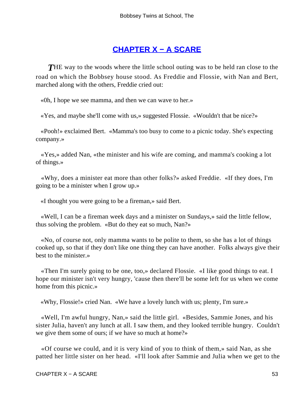# **[CHAPTER X − A SCARE](#page-113-0)**

**THE** way to the woods where the little school outing was to be held ran close to the road on which the Bobbsey house stood. As Freddie and Flossie, with Nan and Bert, marched along with the others, Freddie cried out:

«0h, I hope we see mamma, and then we can wave to her.»

«Yes, and maybe she'll come with us,» suggested Flossie. «Wouldn't that be nice?»

 «Pooh!» exclaimed Bert. «Mamma's too busy to come to a picnic today. She's expecting company.»

 «Yes,» added Nan, «the minister and his wife are coming, and mamma's cooking a lot of things.»

 «Why, does a minister eat more than other folks?» asked Freddie. «If they does, I'm going to be a minister when I grow up.»

«I thought you were going to be a fireman,» said Bert.

 «Well, I can be a fireman week days and a minister on Sundays,» said the little fellow, thus solving the problem. «But do they eat so much, Nan?»

 «No, of course not, only mamma wants to be polite to them, so she has a lot of things cooked up, so that if they don't like one thing they can have another. Folks always give their best to the minister »

 «Then I'm surely going to be one, too,» declared Flossie. «I like good things to eat. I hope our minister isn't very hungry, 'cause then there'll be some left for us when we come home from this picnic.»

«Why, Flossie!» cried Nan. «We have a lovely lunch with us; plenty, I'm sure.»

 «Well, I'm awful hungry, Nan,» said the little girl. «Besides, Sammie Jones, and his sister Julia, haven't any lunch at all. I saw them, and they looked terrible hungry. Couldn't we give them some of ours; if we have so much at home?»

 «Of course we could, and it is very kind of you to think of them,» said Nan, as she patted her little sister on her head. «I'll look after Sammie and Julia when we get to the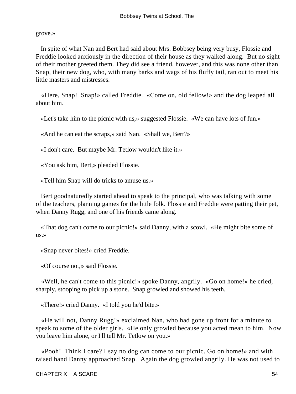#### grove.»

 In spite of what Nan and Bert had said about Mrs. Bobbsey being very busy, Flossie and Freddie looked anxiously in the direction of their house as they walked along. But no sight of their mother greeted them. They did see a friend, however, and this was none other than Snap, their new dog, who, with many barks and wags of his fluffy tail, ran out to meet his little masters and mistresses.

 «Here, Snap! Snap!» called Freddie. «Come on, old fellow!» and the dog leaped all about him.

«Let's take him to the picnic with us,» suggested Flossie. «We can have lots of fun.»

«And he can eat the scraps,» said Nan. «Shall we, Bert?»

«I don't care. But maybe Mr. Tetlow wouldn't like it.»

«You ask him, Bert,» pleaded Flossie.

«Tell him Snap will do tricks to amuse us.»

 Bert goodnaturedly started ahead to speak to the principal, who was talking with some of the teachers, planning games for the little folk. Flossie and Freddie were patting their pet, when Danny Rugg, and one of his friends came along.

 «That dog can't come to our picnic!» said Danny, with a scowl. «He might bite some of us.»

«Snap never bites!» cried Freddie.

«Of course not,» said Flossie.

 «Well, he can't come to this picnic!» spoke Danny, angrily. «Go on home!» he cried, sharply, stooping to pick up a stone. Snap growled and showed his teeth.

«There!» cried Danny. «I told you he'd bite.»

 «He will not, Danny Rugg!» exclaimed Nan, who had gone up front for a minute to speak to some of the older girls. «He only growled because you acted mean to him. Now you leave him alone, or I'll tell Mr. Tetlow on you.»

 «Pooh! Think I care? I say no dog can come to our picnic. Go on home!» and with raised hand Danny approached Snap. Again the dog growled angrily. He was not used to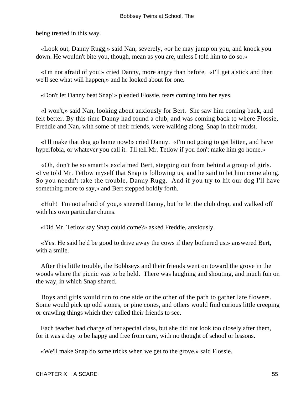being treated in this way.

 «Look out, Danny Rugg,» said Nan, severely, «or he may jump on you, and knock you down. He wouldn't bite you, though, mean as you are, unless I told him to do so.»

 «I'm not afraid of you!» cried Danny, more angry than before. «I'll get a stick and then we'll see what will happen,» and he looked about for one.

«Don't let Danny beat Snap!» pleaded Flossie, tears coming into her eyes.

 «I won't,» said Nan, looking about anxiously for Bert. She saw him coming back, and felt better. By this time Danny had found a club, and was coming back to where Flossie, Freddie and Nan, with some of their friends, were walking along, Snap in their midst.

 «I'll make that dog go home now!» cried Danny. «I'm not going to get bitten, and have hyperfobia, or whatever you call it. I'll tell Mr. Tetlow if you don't make him go home.»

 «Oh, don't be so smart!» exclaimed Bert, stepping out from behind a group of girls. «I've told Mr. Tetlow myself that Snap is following us, and he said to let him come along. So you needn't take the trouble, Danny Rugg. And if you try to hit our dog I'll have something more to say,» and Bert stepped boldly forth.

 «Huh! I'm not afraid of you,» sneered Danny, but he let the club drop, and walked off with his own particular chums.

«Did Mr. Tetlow say Snap could come?» asked Freddie, anxiously.

 «Yes. He said he'd be good to drive away the cows if they bothered us,» answered Bert, with a smile.

 After this little trouble, the Bobbseys and their friends went on toward the grove in the woods where the picnic was to be held. There was laughing and shouting, and much fun on the way, in which Snap shared.

 Boys and girls would run to one side or the other of the path to gather late flowers. Some would pick up odd stones, or pine cones, and others would find curious little creeping or crawling things which they called their friends to see.

 Each teacher had charge of her special class, but she did not look too closely after them, for it was a day to be happy and free from care, with no thought of school or lessons.

«We'll make Snap do some tricks when we get to the grove,» said Flossie.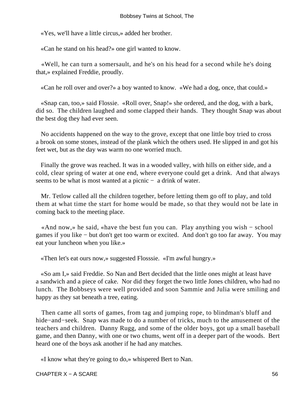«Yes, we'll have a little circus,» added her brother.

«Can he stand on his head?» one girl wanted to know.

 «Well, he can turn a somersault, and he's on his head for a second while he's doing that,» explained Freddie, proudly.

«Can he roll over and over?» a boy wanted to know. «We had a dog, once, that could.»

 «Snap can, too,» said Flossie. «Roll over, Snap!» she ordered, and the dog, with a bark, did so. The children laughed and some clapped their hands. They thought Snap was about the best dog they had ever seen.

 No accidents happened on the way to the grove, except that one little boy tried to cross a brook on some stones, instead of the plank which the others used. He slipped in and got his feet wet, but as the day was warm no one worried much.

 Finally the grove was reached. It was in a wooded valley, with hills on either side, and a cold, clear spring of water at one end, where everyone could get a drink. And that always seems to be what is most wanted at a picnic − a drink of water.

 Mr. Tetlow called all the children together, before letting them go off to play, and told them at what time the start for home would be made, so that they would not be late in coming back to the meeting place.

 «And now,» he said, «have the best fun you can. Play anything you wish − school games if you like − but don't get too warm or excited. And don't go too far away. You may eat your luncheon when you like.»

«Then let's eat ours now,» suggested Flosssie. «I'm awful hungry.»

 «So am I,» said Freddie. So Nan and Bert decided that the little ones might at least have a sandwich and a piece of cake. Nor did they forget the two little Jones children, who had no lunch. The Bobbseys were well provided and soon Sammie and Julia were smiling and happy as they sat beneath a tree, eating.

 Then came all sorts of games, from tag and jumping rope, to blindman's bluff and hide−and−seek. Snap was made to do a number of tricks, much to the amusement of the teachers and children. Danny Rugg, and some of the older boys, got up a small baseball game, and then Danny, with one or two chums, went off in a deeper part of the woods. Bert heard one of the boys ask another if he had any matches.

«I know what they're going to do,» whispered Bert to Nan.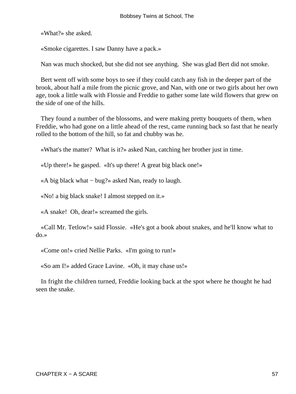«What?» she asked.

«Smoke cigarettes. I saw Danny have a pack.»

Nan was much shocked, but she did not see anything. She was glad Bert did not smoke.

 Bert went off with some boys to see if they could catch any fish in the deeper part of the brook, about half a mile from the picnic grove, and Nan, with one or two girls about her own age, took a little walk with Flossie and Freddie to gather some late wild flowers that grew on the side of one of the hills.

 They found a number of the blossoms, and were making pretty bouquets of them, when Freddie, who had gone on a little ahead of the rest, came running back so fast that he nearly rolled to the bottom of the hill, so fat and chubby was he.

«What's the matter? What is it?» asked Nan, catching her brother just in time.

«Up there!» he gasped. «It's up there! A great big black one!»

«A big black what − bug?» asked Nan, ready to laugh.

«No! a big black snake! I almost stepped on it.»

«A snake! Oh, dear!» screamed the girls.

 «Call Mr. Tetlow!» said Flossie. «He's got a book about snakes, and he'll know what to do.»

«Come on!» cried Nellie Parks. «I'm going to run!»

«So am I!» added Grace Lavine. «Oh, it may chase us!»

 In fright the children turned, Freddie looking back at the spot where he thought he had seen the snake.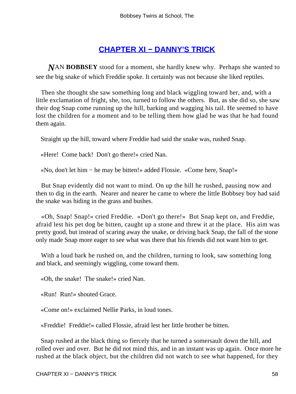# **[CHAPTER XI − DANNY'S TRICK](#page-113-0)**

*N*AN **BOBBSEY** stood for a moment, she hardly knew why. Perhaps she wanted to see the big snake of which Freddie spoke. It certainly was not because she liked reptiles.

 Then she thought she saw something long and black wiggling toward her, and, with a little exclamation of fright, she, too, turned to follow the others. But, as she did so, she saw their dog Snap come running up the hill, barking and wagging his tail. He seemed to have lost the children for a moment and to be telling them how glad he was that he had found them again.

Straight up the hill, toward where Freddie had said the snake was, rushed Snap.

«Here! Come back! Don't go there!» cried Nan.

«No, don't let him − he may be bitten!» added Flossie. «Come here, Snap!»

 But Snap evidently did not want to mind. On up the hill he rushed, pausing now and then to dig in the earth. Nearer and nearer he came to where the little Bobbsey boy had said the snake was hiding in the grass and bushes.

 «Oh, Snap! Snap!» cried Freddie. «Don't go there!» But Snap kept on, and Freddie, afraid lest his pet dog be bitten, caught up a stone and threw it at the place. His aim was pretty good, but instead of scaring away the snake, or driving back Snap, the fall of the stone only made Snap more eager to see what was there that his friends did not want him to get.

With a loud bark he rushed on, and the children, turning to look, saw something long and black, and seemingly wiggling, come toward them.

«Oh, the snake! The snake!» cried Nan.

«Run! Run!» shouted Grace.

«Come on!» exclaimed Nellie Parks, in loud tones.

«Freddie! Freddie!» called Flossie, afraid lest her little brother be bitten.

 Snap rushed at the black thing so fiercely that he turned a somersault down the hill, and rolled over and over. But he did not mind this, and in an instant was up again. Once more he rushed at the black object, but the children did not watch to see what happened, for they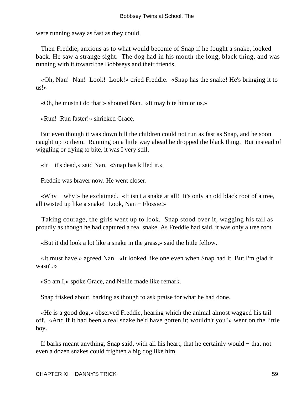were running away as fast as they could.

 Then Freddie, anxious as to what would become of Snap if he fought a snake, looked back. He saw a strange sight. The dog had in his mouth the long, black thing, and was running with it toward the Bobbseys and their friends.

 «Oh, Nan! Nan! Look! Look!» cried Freddie. «Snap has the snake! He's bringing it to us!»

«Oh, he mustn't do that!» shouted Nan. «It may bite him or us.»

«Run! Run faster!» shrieked Grace.

 But even though it was down hill the children could not run as fast as Snap, and he soon caught up to them. Running on a little way ahead he dropped the black thing. But instead of wiggling or trying to bite, it was I very still.

«It − it's dead,» said Nan. «Snap has killed it.»

Freddie was braver now. He went closer.

 «Why − why!» he exclaimed. «It isn't a snake at all! It's only an old black root of a tree, all twisted up like a snake! Look, Nan − Flossie!»

 Taking courage, the girls went up to look. Snap stood over it, wagging his tail as proudly as though he had captured a real snake. As Freddie had said, it was only a tree root.

«But it did look a lot like a snake in the grass,» said the little fellow.

 «It must have,» agreed Nan. «It looked like one even when Snap had it. But I'm glad it wasn't.»

«So am I,» spoke Grace, and Nellie made like remark.

Snap frisked about, barking as though to ask praise for what he had done.

 «He is a good dog,» observed Freddie, hearing which the animal almost wagged his tail off. «And if it had been a real snake he'd have gotten it; wouldn't you?» went on the little boy.

 If barks meant anything, Snap said, with all his heart, that he certainly would − that not even a dozen snakes could frighten a big dog like him.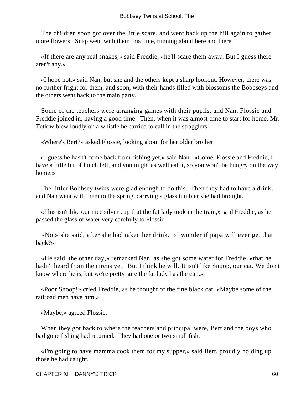The children soon got over the little scare, and went back up the hill again to gather more flowers. Snap went with them this time, running about here and there.

 «If there are any real snakes,» said Freddie, «he'll scare them away. But I guess there aren't any.»

 «I hope not,» said Nan, but she and the others kept a sharp lookout. However, there was no further fright for them, and soon, with their hands filled with blossoms the Bobbseys and the others went back to the main party.

 Some of the teachers were arranging games with their pupils, and Nan, Flossie and Freddie joined in, having a good time. Then, when it was almost time to start for home, Mr. Tetlow blew loudly on a whistle he carried to call in the stragglers.

«Where's Bert?» asked Flossie, looking about for her older brother.

 «I guess he hasn't come back from fishing yet,» said Nan. «Come, Flossie and Freddie, I have a little bit of lunch left, and you might as well eat it, so you won't be hungry on the way home.»

 The littler Bobbsey twins were glad enough to do this. Then they had to have a drink, and Nan went with them to the spring, carrying a glass tumbler she had brought.

 «This isn't like our nice silver cup that the fat lady took in the train,» said Freddie, as he passed the glass of water very carefully to Flossie.

 «No,» she said, after she had taken her drink. «I wonder if papa will ever get that back?»

 «He said, the other day,» remarked Nan, as she got some water for Freddie, «that he hadn't heard from the circus yet. But I think he will. It isn't like Snoop, our cat. We don't know where he is, but we're pretty sure the fat lady has the cup.»

 «Poor Snoop!» cried Freddie, as he thought of the fine black cat. «Maybe some of the railroad men have him.»

«Maybe,» agreed Flossie.

When they got back to where the teachers and principal were, Bert and the boys who bad gone fishing had returned. They had one or two small fish.

 «I'm going to have mamma cook them for my supper,» said Bert, proudly holding up those he had caught.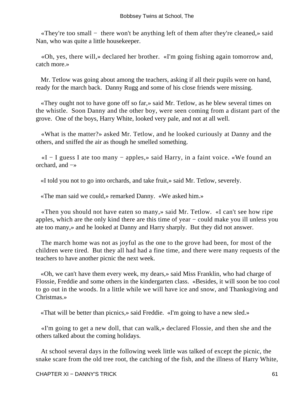«They're too small − there won't be anything left of them after they're cleaned,» said Nan, who was quite a little housekeeper.

 «Oh, yes, there will,» declared her brother. «I'm going fishing again tomorrow and, catch more.»

 Mr. Tetlow was going about among the teachers, asking if all their pupils were on hand, ready for the march back. Danny Rugg and some of his close friends were missing.

 «They ought not to have gone off so far,» said Mr. Tetlow, as he blew several times on the whistle. Soon Danny and the other boy, were seen coming from a distant part of the grove. One of the boys, Harry White, looked very pale, and not at all well.

 «What is the matter?» asked Mr. Tetlow, and he looked curiously at Danny and the others, and sniffed the air as though he smelled something.

 «I − I guess I ate too many − apples,» said Harry, in a faint voice. «We found an orchard, and −»

«I told you not to go into orchards, and take fruit,» said Mr. Tetlow, severely.

«The man said we could,» remarked Danny. «We asked him.»

 «Then you should not have eaten so many,» said Mr. Tetlow. «I can't see how ripe apples, which are the only kind there are this time of year − could make you ill unless you ate too many,» and he looked at Danny and Harry sharply. But they did not answer.

 The march home was not as joyful as the one to the grove had been, for most of the children were tired. But they all had had a fine time, and there were many requests of the teachers to have another picnic the next week.

 «Oh, we can't have them every week, my dears,» said Miss Franklin, who had charge of Flossie, Freddie and some others in the kindergarten class. «Besides, it will soon be too cool to go out in the woods. In a little while we will have ice and snow, and Thanksgiving and Christmas.»

«That will be better than picnics,» said Freddie. «I'm going to have a new sled.»

 «I'm going to get a new doll, that can walk,» declared Flossie, and then she and the others talked about the coming holidays.

 At school several days in the following week little was talked of except the picnic, the snake scare from the old tree root, the catching of the fish, and the illness of Harry White,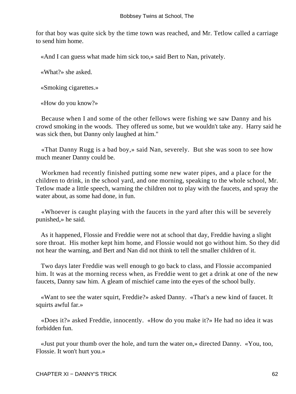for that boy was quite sick by the time town was reached, and Mr. Tetlow called a carriage to send him home.

«And I can guess what made him sick too,» said Bert to Nan, privately.

«What?» she asked.

«Smoking cigarettes.»

«How do you know?»

 Because when I and some of the other fellows were fishing we saw Danny and his crowd smoking in the woods. They offered us some, but we wouldn't take any. Harry said he was sick then, but Danny only laughed at him."

 «That Danny Rugg is a bad boy,» said Nan, severely. But she was soon to see how much meaner Danny could be.

 Workmen had recently finished putting some new water pipes, and a place for the children to drink, in the school yard, and one morning, speaking to the whole school, Mr. Tetlow made a little speech, warning the children not to play with the faucets, and spray the water about, as some had done, in fun.

 «Whoever is caught playing with the faucets in the yard after this will be severely punished,» he said.

 As it happened, Flossie and Freddie were not at school that day, Freddie having a slight sore throat. His mother kept him home, and Flossie would not go without him. So they did not hear the warning, and Bert and Nan did not think to tell the smaller children of it.

 Two days later Freddie was well enough to go back to class, and Flossie accompanied him. It was at the morning recess when, as Freddie went to get a drink at one of the new faucets, Danny saw him. A gleam of mischief came into the eyes of the school bully.

 «Want to see the water squirt, Freddie?» asked Danny. «That's a new kind of faucet. It squirts awful far.»

 «Does it?» asked Freddie, innocently. «How do you make it?» He had no idea it was forbidden fun.

 «Just put your thumb over the hole, and turn the water on,» directed Danny. «You, too, Flossie. It won't hurt you.»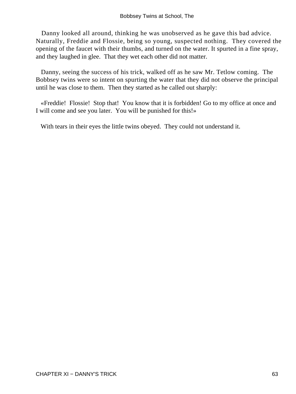Danny looked all around, thinking he was unobserved as he gave this bad advice. Naturally, Freddie and Flossie, being so young, suspected nothing. They covered the opening of the faucet with their thumbs, and turned on the water. It spurted in a fine spray, and they laughed in glee. That they wet each other did not matter.

 Danny, seeing the success of his trick, walked off as he saw Mr. Tetlow coming. The Bobbsey twins were so intent on spurting the water that they did not observe the principal until he was close to them. Then they started as he called out sharply:

 «Freddie! Flossie! Stop that! You know that it is forbidden! Go to my office at once and I will come and see you later. You will be punished for this!»

With tears in their eyes the little twins obeyed. They could not understand it.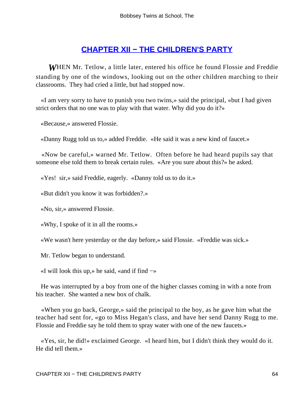# **[CHAPTER XII − THE CHILDREN'S PARTY](#page-113-0)**

*W*HEN Mr. Tetlow, a little later, entered his office he found Flossie and Freddie standing by one of the windows, looking out on the other children marching to their classrooms. They had cried a little, but had stopped now.

 «I am very sorry to have to punish you two twins,» said the principal, «but I had given strict orders that no one was to play with that water. Why did you do it?»

«Because,» answered Flossie.

«Danny Rugg told us to,» added Freddie. «He said it was a new kind of faucet.»

 «Now be careful,» warned Mr. Tetlow. Often before he had heard pupils say that someone else told them to break certain rules. «Are you sure about this?» he asked.

«Yes! sir,» said Freddie, eagerly. «Danny told us to do it.»

«But didn't you know it was forbidden?.»

«No, sir,» answered Flossie.

«Why, I spoke of it in all the rooms.»

«We wasn't here yesterday or the day before,» said Flossie. «Freddie was sick.»

Mr. Tetlow began to understand.

«I will look this up,» he said, «and if find −»

 He was interrupted by a boy from one of the higher classes coming in with a note from his teacher. She wanted a new box of chalk.

 «When you go back, George,» said the principal to the boy, as he gave him what the teacher had sent for, «go to Miss Hegan's class, and have her send Danny Rugg to me. Flossie and Freddie say he told them to spray water with one of the new faucets.»

 «Yes, sir, he did!» exclaimed George. «I heard him, but I didn't think they would do it. He did tell them.»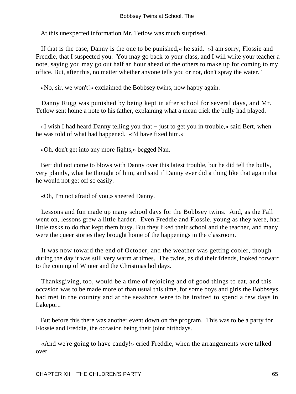At this unexpected information Mr. Tetlow was much surprised.

 If that is the case, Danny is the one to be punished,« he said. »I am sorry, Flossie and Freddie, that I suspected you. You may go back to your class, and I will write your teacher a note, saying you may go out half an hour ahead of the others to make up for coming to my office. But, after this, no matter whether anyone tells you or not, don't spray the water."

«No, sir, we won't!» exclaimed the Bobbsey twins, now happy again.

 Danny Rugg was punished by being kept in after school for several days, and Mr. Tetlow sent home a note to his father, explaining what a mean trick the bully had played.

 «I wish I had heard Danny telling you that − just to get you in trouble,» said Bert, when he was told of what had happened. «I'd have fixed him.»

«Oh, don't get into any more fights,» begged Nan.

 Bert did not come to blows with Danny over this latest trouble, but he did tell the bully, very plainly, what he thought of him, and said if Danny ever did a thing like that again that he would not get off so easily.

«Oh, I'm not afraid of you,» sneered Danny.

 Lessons and fun made up many school days for the Bobbsey twins. And, as the Fall went on, lessons grew a little harder. Even Freddie and Flossie, young as they were, had little tasks to do that kept them busy. But they liked their school and the teacher, and many were the queer stories they brought home of the happenings in the classroom.

 It was now toward the end of October, and the weather was getting cooler, though during the day it was still very warm at times. The twins, as did their friends, looked forward to the coming of Winter and the Christmas holidays.

 Thanksgiving, too, would be a time of rejoicing and of good things to eat, and this occasion was to be made more of than usual this time, for some boys and girls the Bobbseys had met in the country and at the seashore were to be invited to spend a few days in Lakeport.

 But before this there was another event down on the program. This was to be a party for Flossie and Freddie, the occasion being their joint birthdays.

 «And we're going to have candy!» cried Freddie, when the arrangements were talked over.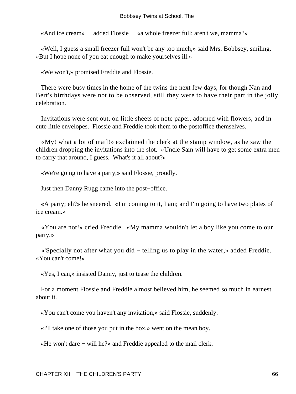«And ice cream» − added Flossie − «a whole freezer full; aren't we, mamma?»

 «Well, I guess a small freezer full won't be any too much,» said Mrs. Bobbsey, smiling. «But I hope none of you eat enough to make yourselves ill.»

«We won't,» promised Freddie and Flossie.

 There were busy times in the home of the twins the next few days, for though Nan and Bert's birthdays were not to be observed, still they were to have their part in the jolly celebration.

 Invitations were sent out, on little sheets of note paper, adorned with flowers, and in cute little envelopes. Flossie and Freddie took them to the postoffice themselves.

 «My! what a lot of mail!» exclaimed the clerk at the stamp window, as he saw the children dropping the invitations into the slot. «Uncle Sam will have to get some extra men to carry that around, I guess. What's it all about?»

«We're going to have a party,» said Flossie, proudly.

Just then Danny Rugg came into the post−office.

 «A party; eh?» he sneered. «I'm coming to it, I am; and I'm going to have two plates of ice cream.»

 «You are not!» cried Freddie. «My mamma wouldn't let a boy like you come to our party.»

 «'Specially not after what you did − telling us to play in the water,» added Freddie. «You can't come!»

«Yes, I can,» insisted Danny, just to tease the children.

 For a moment Flossie and Freddie almost believed him, he seemed so much in earnest about it.

«You can't come you haven't any invitation,» said Flossie, suddenly.

«I'll take one of those you put in the box,» went on the mean boy.

«He won't dare − will he?» and Freddie appealed to the mail clerk.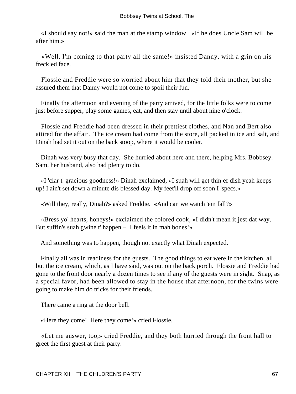«I should say not!» said the man at the stamp window. «If he does Uncle Sam will be after him.»

 «Well, I'm coming to that party all the same!» insisted Danny, with a grin on his freckled face.

 Flossie and Freddie were so worried about him that they told their mother, but she assured them that Danny would not come to spoil their fun.

 Finally the afternoon and evening of the party arrived, for the little folks were to come just before supper, play some games, eat, and then stay until about nine o'clock.

 Flossie and Freddie had been dressed in their prettiest clothes, and Nan and Bert also attired for the affair. The ice cream had come from the store, all packed in ice and salt, and Dinah had set it out on the back stoop, where it would be cooler.

 Dinah was very busy that day. She hurried about here and there, helping Mrs. Bobbsey. Sam, her husband, also had plenty to do.

 «I 'clar t' gracious goodness!» Dinah exclaimed, «I suah will get thin ef dish yeah keeps up! I ain't set down a minute dis blessed day. My feet'll drop off soon I 'specs.»

«Will they, really, Dinah?» asked Freddie. «And can we watch 'em fall?»

 «Bress yo' hearts, honeys!» exclaimed the colored cook, «I didn't mean it jest dat way. But suffin's suah gwine t' happen − I feels it in mah bones!»

And something was to happen, though not exactly what Dinah expected.

 Finally all was in readiness for the guests. The good things to eat were in the kitchen, all but the ice cream, which, as I have said, was out on the back porch. Flossie and Freddie had gone to the front door nearly a dozen times to see if any of the guests were in sight. Snap, as a special favor, had been allowed to stay in the house that afternoon, for the twins were going to make him do tricks for their friends.

There came a ring at the door bell.

«Here they come! Here they come!» cried Flossie.

 «Let me answer, too,» cried Freddie, and they both hurried through the front hall to greet the first guest at their party.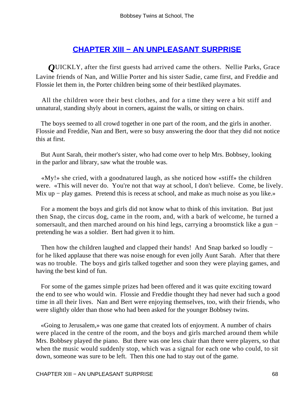# **[CHAPTER XIII − AN UNPLEASANT SURPRISE](#page-113-0)**

*Q*UICKLY, after the first guests had arrived came the others. Nellie Parks, Grace Lavine friends of Nan, and Willie Porter and his sister Sadie, came first, and Freddie and Flossie let them in, the Porter children being some of their bestliked playmates.

 All the children wore their best clothes, and for a time they were a bit stiff and unnatural, standing shyly about in corners, against the walls, or sitting on chairs.

 The boys seemed to all crowd together in one part of the room, and the girls in another. Flossie and Freddie, Nan and Bert, were so busy answering the door that they did not notice this at first.

 But Aunt Sarah, their mother's sister, who had come over to help Mrs. Bobbsey, looking in the parlor and library, saw what the trouble was.

 «My!» she cried, with a goodnatured laugh, as she noticed how «stiff» the children were. «This will never do. You're not that way at school, I don't believe. Come, be lively. Mix up – play games. Pretend this is recess at school, and make as much noise as you like.»

 For a moment the boys and girls did not know what to think of this invitation. But just then Snap, the circus dog, came in the room, and, with a bark of welcome, he turned a somersault, and then marched around on his hind legs, carrying a broomstick like a gun − pretending he was a soldier. Bert had given it to him.

Then how the children laughed and clapped their hands! And Snap barked so loudly − for he liked applause that there was noise enough for even jolly Aunt Sarah. After that there was no trouble. The boys and girls talked together and soon they were playing games, and having the best kind of fun.

 For some of the games simple prizes had been offered and it was quite exciting toward the end to see who would win. Flossie and Freddie thought they had never had such a good time in all their lives. Nan and Bert were enjoying themselves, too, with their friends, who were slightly older than those who had been asked for the younger Bobbsey twins.

 «Going to Jerusalem,» was one game that created lots of enjoyment. A number of chairs were placed in the centre of the room, and the boys and girls marched around them while Mrs. Bobbsey played the piano. But there was one less chair than there were players, so that when the music would suddenly stop, which was a signal for each one who could, to sit down, someone was sure to be left. Then this one had to stay out of the game.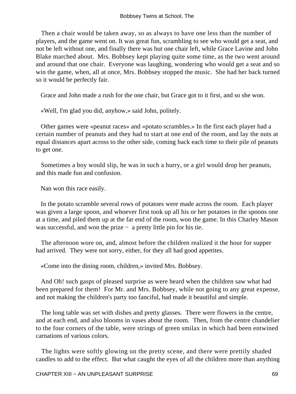Then a chair would be taken away, so as always to have one less than the number of players, and the game went on. It was great fun, scrambling to see who would get a seat, and not be left without one, and finally there was but one chair left, while Grace Lavine and John Blake marched about. Mrs. Bobbsey kept playing quite some time, as the two went around and around that one chair. Everyone was laughing, wondering who would get a seat and so win the game, when, all at once, Mrs. Bobbsey stopped the music. She had her back turned so it would be perfectly fair.

Grace and John made a rush for the one chair, but Grace got to it first, and so she won.

«Well, I'm glad you did, anyhow,» said John, politely.

 Other games were «peanut races» and «potato scrambles.» In the first each player had a certain number of peanuts and they had to start at one end of the room, and lay the nuts at equal distances apart across to the other side, coming back each time to their pile of peanuts to get one.

 Sometimes a boy would slip, he was in such a hurry, or a girl would drop her peanuts, and this made fun and confusion.

Nan won this race easily.

 In the potato scramble several rows of potatoes were made across the room. Each player was given a large spoon, and whoever first took up all his or her potatoes in the spoons one at a time, and piled them up at the far end of the room, won the game. In this Charley Mason was successful, and won the prize − a pretty little pin for his tie.

 The afternoon wore on, and, almost before the children realized it the hour for supper had arrived. They were not sorry, either, for they all had good appetites.

«Come into the dining room, children,» invited Mrs. Bobbsey.

 And Oh! such gasps of pleased surprise as were heard when the children saw what had been prepared for them! For Mr. and Mrs. Bobbsey, while not going to any great expense, and not making the children's party too fanciful, had made it beautiful and simple.

 The long table was set with dishes and pretty glasses. There were flowers in the centre, and at each end, and also blooms in vases about the room. Then, from the centre chandelier to the four corners of the table, were strings of green smilax in which had been entwined carnations of various colors.

 The lights were softly glowing on the pretty scene, and there were prettily shaded candles to add to the effect. But what caught the eyes of all the children more than anything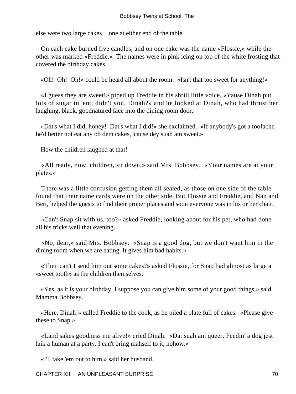else were two large cakes − one at either end of the table.

 On each cake burned five candles, and on one cake was the name «Flossie,» while the other was marked «Freddie.» The names were in pink icing on top of the white frosting that covered the birthday cakes.

«Oh! Oh! Oh!» could be heard all about the room. «Isn't that too sweet for anything!»

 «I guess they are sweet!» piped up Freddie in his shrill little voice, «'cause Dinah put lots of sugar in 'em; didn't you, Dinah?» and he looked at Dinah, who had thrust her laughing, black, goodnatured face into the dining room door.

 «Dat's what I did, honey! Dat's what I did!» she exclaimed. «If anybody's got a toofache he'd better not eat any ob dem cakes, 'cause dey suah am sweet.»

How the children laughed at that!

 «All ready, now, children, sit down,» said Mrs. Bobbsey. «Your names are at your plates.»

 There was a little confusion getting them all seated, as those on one side of the table found that their name cards were on the other side. But Flossie and Freddie, and Nan and Bert, helped the guests to find their proper places and soon everyone was in his or her chair.

 «Can't Snap sit with us, too?» asked Freddie, looking about for his pet, who had done all his tricks well that evening.

 «No, dear,» said Mrs. Bobbsey. «Snap is a good dog, but we don't want him in the dining room when we are eating. It gives him bad habits.»

 «Then can't I send him out some cakes?» asked Flossie, for Snap had almost as large a «sweet tooth» as the children themselves.

 «Yes, as it is your birthday, I suppose you can give him some of your good things,» said Mamma Bobbsey.

 «Here, Dinah!» called Freddie to the cook, as he piled a plate full of cakes. «Please give these to Snap.»

 «Land sakes goodness me alive!» cried Dinah. «Dat suah am queer. Feedin' a dog jest laik a human at a party. I can't bring mahself to it, nohow.»

«I'll take 'em out to him,» said her husband.

CHAPTER XIII − AN UNPLEASANT SURPRISE 70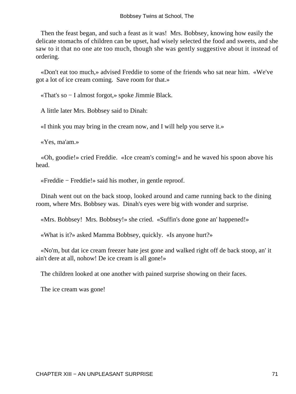Then the feast began, and such a feast as it was! Mrs. Bobbsey, knowing how easily the delicate stomachs of children can be upset, had wisely selected the food and sweets, and she saw to it that no one ate too much, though she was gently suggestive about it instead of ordering.

 «Don't eat too much,» advised Freddie to some of the friends who sat near him. «We've got a lot of ice cream coming. Save room for that.»

«That's so − I almost forgot,» spoke Jimmie Black.

A little later Mrs. Bobbsey said to Dinah:

«I think you may bring in the cream now, and I will help you serve it.»

«Yes, ma'am.»

 «Oh, goodie!» cried Freddie. «Ice cream's coming!» and he waved his spoon above his head.

«Freddie − Freddie!» said his mother, in gentle reproof.

 Dinah went out on the back stoop, looked around and came running back to the dining room, where Mrs. Bobbsey was. Dinah's eyes were big with wonder and surprise.

«Mrs. Bobbsey! Mrs. Bobbsey!» she cried. «Suffin's done gone an' happened!»

«What is it?» asked Mamma Bobbsey, quickly. «Is anyone hurt?»

 «No'm, but dat ice cream freezer hate jest gone and walked right off de back stoop, an' it ain't dere at all, nohow! De ice cream is all gone!»

The children looked at one another with pained surprise showing on their faces.

The ice cream was gone!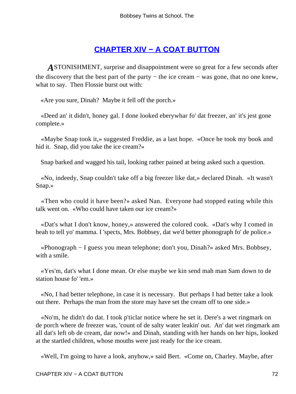# **[CHAPTER XIV − A COAT BUTTON](#page-113-0)**

*A*STONISHMENT, surprise and disappointment were so great for a few seconds after the discovery that the best part of the party − the ice cream − was gone, that no one knew, what to say. Then Flossie burst out with:

«Are you sure, Dinah? Maybe it fell off the porch.»

 «Deed an' it didn't, honey gal. I done looked eberywhar fo' dat freezer, an' it's jest gone complete.»

 «Maybe Snap took it,» suggested Freddie, as a last hope. «Once he took my book and hid it. Snap, did you take the ice cream?»

Snap barked and wagged his tail, looking rather pained at being asked such a question.

 «No, indeedy, Snap couldn't take off a big freezer like dat,» declared Dinah. «It wasn't Snap.»

 «Then who could it have been?» asked Nan. Everyone had stopped eating while this talk went on. «Who could have taken our ice cream?»

 «Dat's what I don't know, honey,» answered the colored cook. «Dat's why I comed in heah to tell yo' mamma. I 'spects, Mrs. Bobbsey, dat we'd better phonograph fo' de police.»

 «Phonograph − I guess you mean telephone; don't you, Dinah?» asked Mrs. Bobbsey, with a smile.

 «Yes'm, dat's what I done mean. Or else maybe we kin send mah man Sam down to de station house fo' 'em.»

 «No, I had better telephone, in case it is necessary. But perhaps I had better take a look out there. Perhaps the man from the store may have set the cream off to one side.»

 «No'm, he didn't do dat. I took p'ticlar notice where he set it. Dere's a wet ringmark on de porch where de freezer was, 'count of de salty water leakin' out. An' dat wet ringmark am all dat's left ob de cream, dar now!» and Dinah, standing with her hands on her hips, looked at the startled children, whose mouths were just ready for the ice cream.

«Well, I'm going to have a look, anyhow,» said Bert. «Come on, Charley. Maybe, after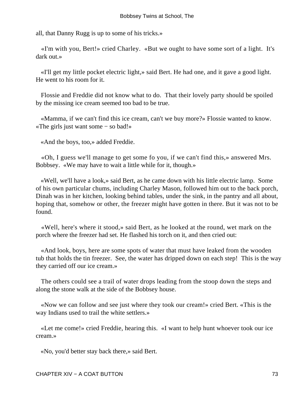all, that Danny Rugg is up to some of his tricks.»

 «I'm with you, Bert!» cried Charley. «But we ought to have some sort of a light. It's dark out.»

 «I'll get my little pocket electric light,» said Bert. He had one, and it gave a good light. He went to his room for it.

 Flossie and Freddie did not know what to do. That their lovely party should be spoiled by the missing ice cream seemed too bad to be true.

 «Mamma, if we can't find this ice cream, can't we buy more?» Flossie wanted to know. «The girls just want some − so bad!»

«And the boys, too,» added Freddie.

 «Oh, I guess we'll manage to get some fo you, if we can't find this,» answered Mrs. Bobbsey. «We may have to wait a little while for it, though.»

 «Well, we'll have a look,» said Bert, as he came down with his little electric lamp. Some of his own particular chums, including Charley Mason, followed him out to the back porch, Dinah was in her kitchen, looking behind tables, under the sink, in the pantry and all about, hoping that, somehow or other, the freezer might have gotten in there. But it was not to be found.

 «Well, here's where it stood,» said Bert, as he looked at the round, wet mark on the porch where the freezer had set. He flashed his torch on it, and then cried out:

 «And look, boys, here are some spots of water that must have leaked from the wooden tub that holds the tin freezer. See, the water has dripped down on each step! This is the way they carried off our ice cream.»

 The others could see a trail of water drops leading from the stoop down the steps and along the stone walk at the side of the Bobbsey house.

 «Now we can follow and see just where they took our cream!» cried Bert. «This is the way Indians used to trail the white settlers.»

 «Let me come!» cried Freddie, hearing this. «I want to help hunt whoever took our ice cream.»

«No, you'd better stay back there,» said Bert.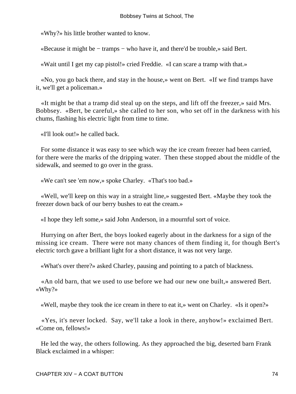«Why?» his little brother wanted to know.

«Because it might be − tramps − who have it, and there'd be trouble,» said Bert.

«Wait until I get my cap pistol!» cried Freddie. «I can scare a tramp with that.»

 «No, you go back there, and stay in the house,» went on Bert. «If we find tramps have it, we'll get a policeman.»

 «It might be that a tramp did steal up on the steps, and lift off the freezer,» said Mrs. Bobbsey. «Bert, be careful,» she called to her son, who set off in the darkness with his chums, flashing his electric light from time to time.

«I'll look out!» he called back.

 For some distance it was easy to see which way the ice cream freezer had been carried, for there were the marks of the dripping water. Then these stopped about the middle of the sidewalk, and seemed to go over in the grass.

«We can't see 'em now,» spoke Charley. «That's too bad.»

 «Well, we'll keep on this way in a straight line,» suggested Bert. «Maybe they took the freezer down back of our berry bushes to eat the cream.»

«I hope they left some,» said John Anderson, in a mournful sort of voice.

 Hurrying on after Bert, the boys looked eagerly about in the darkness for a sign of the missing ice cream. There were not many chances of them finding it, for though Bert's electric torch gave a brilliant light for a short distance, it was not very large.

«What's over there?» asked Charley, pausing and pointing to a patch of blackness.

 «An old barn, that we used to use before we had our new one built,» answered Bert. «Why?»

«Well, maybe they took the ice cream in there to eat it,» went on Charley. «Is it open?»

 «Yes, it's never locked. Say, we'll take a look in there, anyhow!» exclaimed Bert. «Come on, fellows!»

 He led the way, the others following. As they approached the big, deserted barn Frank Black exclaimed in a whisper: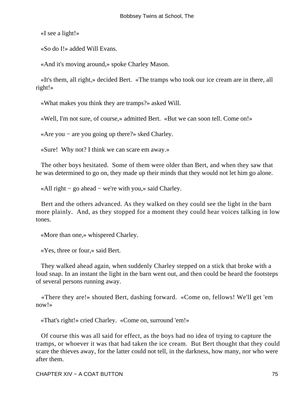«I see a light!»

«So do I!» added Will Evans.

«And it's moving around,» spoke Charley Mason.

 «It's them, all right,» decided Bert. «The tramps who took our ice cream are in there, all right!»

«What makes you think they are tramps?» asked Will.

«Well, I'm not sure, of course,» admitted Bert. «But we can soon tell. Come on!»

«Are you − are you going up there?» sked Charley.

«Sure! Why not? I think we can scare em away.»

 The other boys hesitated. Some of them were older than Bert, and when they saw that he was determined to go on, they made up their minds that they would not let him go alone.

«All right − go ahead − we're with you,» said Charley.

 Bert and the others advanced. As they walked on they could see the light in the barn more plainly. And, as they stopped for a moment they could hear voices talking in low tones.

«More than one,» whispered Charley.

«Yes, three or four,» said Bert.

 They walked ahead again, when suddenly Charley stepped on a stick that broke with a loud snap. In an instant the light in the barn went out, and then could be heard the footsteps of several persons running away.

 «There they are!» shouted Bert, dashing forward. «Come on, fellows! We'll get 'em now!»

«That's right!» cried Charley. «Come on, surround 'em!»

 Of course this was all said for effect, as the boys had no idea of trying to capture the tramps, or whoever it was that had taken the ice cream. But Bert thought that they could scare the thieves away, for the latter could not tell, in the darkness, how many, nor who were after them.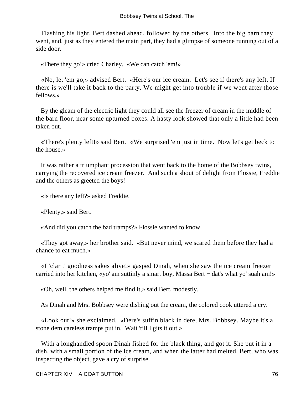Flashing his light, Bert dashed ahead, followed by the others. Into the big barn they went, and, just as they entered the main part, they had a glimpse of someone running out of a side door.

«There they go!» cried Charley. «We can catch 'em!»

 «No, let 'em go,» advised Bert. «Here's our ice cream. Let's see if there's any left. If there is we'll take it back to the party. We might get into trouble if we went after those fellows.»

 By the gleam of the electric light they could all see the freezer of cream in the middle of the barn floor, near some upturned boxes. A hasty look showed that only a little had been taken out.

 «There's plenty left!» said Bert. «We surprised 'em just in time. Now let's get beck to the house.»

 It was rather a triumphant procession that went back to the home of the Bobbsey twins, carrying the recovered ice cream freezer. And such a shout of delight from Flossie, Freddie and the others as greeted the boys!

«Is there any left?» asked Freddie.

«Plenty,» said Bert.

«And did you catch the bad tramps?» Flossie wanted to know.

 «They got away,» her brother said. «But never mind, we scared them before they had a chance to eat much.»

 «I 'clar t' goodness sakes alive!» gasped Dinah, when she saw the ice cream freezer carried into her kitchen, «yo' am suttinly a smart boy, Massa Bert − dat's what yo' suah am!»

«Oh, well, the others helped me find it,» said Bert, modestly.

As Dinah and Mrs. Bobbsey were dishing out the cream, the colored cook uttered a cry.

 «Look out!» she exclaimed. «Dere's suffin black in dere, Mrs. Bobbsey. Maybe it's a stone dem careless tramps put in. Wait 'till I gits it out.»

 With a longhandled spoon Dinah fished for the black thing, and got it. She put it in a dish, with a small portion of the ice cream, and when the latter had melted, Bert, who was inspecting the object, gave a cry of surprise.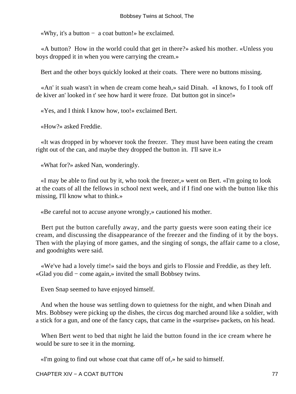«Why, it's a button − a coat button!» he exclaimed.

 «A button? How in the world could that get in there?» asked his mother. «Unless you boys dropped it in when you were carrying the cream.»

Bert and the other boys quickly looked at their coats. There were no buttons missing.

 «An' it suah wasn't in when de cream come heah,» said Dinah. «I knows, fo I took off de kiver an' looked in t' see how hard it were froze. Dat button got in since!»

«Yes, and I think I know how, too!» exclaimed Bert.

«How?» asked Freddie.

 «It was dropped in by whoever took the freezer. They must have been eating the cream right out of the can, and maybe they dropped the button in. I'll save it.»

«What for?» asked Nan, wonderingly.

 «I may be able to find out by it, who took the freezer,» went on Bert. «I'm going to look at the coats of all the fellows in school next week, and if I find one with the button like this missing, I'll know what to think.»

«Be careful not to accuse anyone wrongly,» cautioned his mother.

 Bert put the button carefully away, and the party guests were soon eating their ice cream, and discussing the disappearance of the freezer and the finding of it by the boys. Then with the playing of more games, and the singing of songs, the affair came to a close, and goodnights were said.

 «We've had a lovely time!» said the boys and girls to Flossie and Freddie, as they left. «Glad you did − come again,» invited the small Bobbsey twins.

Even Snap seemed to have enjoyed himself.

 And when the house was settling down to quietness for the night, and when Dinah and Mrs. Bobbsey were picking up the dishes, the circus dog marched around like a soldier, with a stick for a gun, and one of the fancy caps, that came in the «surprise» packets, on his head.

 When Bert went to bed that night he laid the button found in the ice cream where he would be sure to see it in the morning.

«I'm going to find out whose coat that came off of,» he said to himself.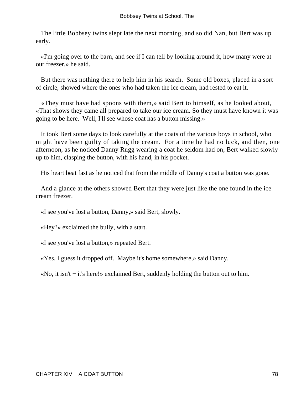The little Bobbsey twins slept late the next morning, and so did Nan, but Bert was up early.

 «I'm going over to the barn, and see if I can tell by looking around it, how many were at our freezer,» he said.

 But there was nothing there to help him in his search. Some old boxes, placed in a sort of circle, showed where the ones who had taken the ice cream, had rested to eat it.

 «They must have had spoons with them,» said Bert to himself, as he looked about, «That shows they came all prepared to take our ice cream. So they must have known it was going to be here. Well, I'll see whose coat has a button missing.»

 It took Bert some days to look carefully at the coats of the various boys in school, who might have been guilty of taking the cream. For a time he had no luck, and then, one afternoon, as he noticed Danny Rugg wearing a coat he seldom had on, Bert walked slowly up to him, clasping the button, with his hand, in his pocket.

His heart beat fast as he noticed that from the middle of Danny's coat a button was gone.

 And a glance at the others showed Bert that they were just like the one found in the ice cream freezer.

«I see you've lost a button, Danny,» said Bert, slowly.

«Hey?» exclaimed the bully, with a start.

«I see you've lost a button,» repeated Bert.

«Yes, I guess it dropped off. Maybe it's home somewhere,» said Danny.

«No, it isn't − it's here!» exclaimed Bert, suddenly holding the button out to him.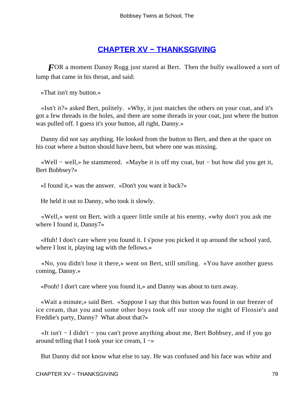# **[CHAPTER XV − THANKSGIVING](#page-113-0)**

*FOR* a moment Danny Rugg just stared at Bert. Then the bully swallowed a sort of lump that came in his throat, and said:

«That isn't my button.»

 «Isn't it?» asked Bert, politely. «Why, it just matches the others on your coat, and it's got a few threads in the holes, and there are some threads in your coat, just where the button was pulled off. I guess it's your button, all right, Danny.»

 Danny did not say anything. He looked from the button to Bert, and then at the space on his coat where a button should have been, but where one was missing.

 «Well − well,» he stammered. «Maybe it is off my coat, but − but how did you get it, Bert Bobbsey?»

«I found it,» was the answer. «Don't you want it back?»

He held it out to Danny, who took it slowly.

 «Well,» went on Bert, with a queer little smile at his enemy, «why don't you ask me where I found it, Danny7»

 «Huh! I don't care where you found it. I s'pose you picked it up around the school yard, where I lost it, playing tag with the fellows.»

 «No, you didn't lose it there,» went on Bert, still smiling. «You have another guess coming, Danny.»

«Pooh! I don't care where you found it,» and Danny was about to turn away.

 «Wait a minute,» said Bert. «Suppose I say that this button was found in our freezer of ice cream, that you and some other boys took off our stoop the night of Flossie's and Freddie's party, Danny? What about that?»

 «It isn't − I didn't − you can't prove anything about me, Bert Bobbsey, and if you go around telling that I took your ice cream,  $I \rightarrow$ 

But Danny did not know what else to say. He was confused and his face was white and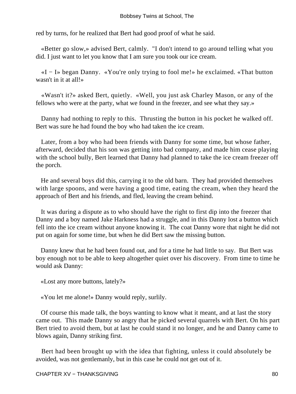red by turns, for he realized that Bert had good proof of what he said.

 «Better go slow,» advised Bert, calmly. "I don't intend to go around telling what you did. I just want to let you know that I am sure you took our ice cream.

 «I − I» began Danny. «You're only trying to fool me!» he exclaimed. «That button wasn't in it at all!»

 «Wasn't it?» asked Bert, quietly. «Well, you just ask Charley Mason, or any of the fellows who were at the party, what we found in the freezer, and see what they say.»

 Danny had nothing to reply to this. Thrusting the button in his pocket he walked off. Bert was sure he had found the boy who had taken the ice cream.

 Later, from a boy who had been friends with Danny for some time, but whose father, afterward, decided that his son was getting into bad company, and made him cease playing with the school bully, Bert learned that Danny had planned to take the ice cream freezer off the porch.

 He and several boys did this, carrying it to the old barn. They had provided themselves with large spoons, and were having a good time, eating the cream, when they heard the approach of Bert and his friends, and fled, leaving the cream behind.

 It was during a dispute as to who should have the right to first dip into the freezer that Danny and a boy named Jake Harkness had a struggle, and in this Danny lost a button which fell into the ice cream without anyone knowing it. The coat Danny wore that night he did not put on again for some time, but when he did Bert saw the missing button.

 Danny knew that he had been found out, and for a time he had little to say. But Bert was boy enough not to be able to keep altogether quiet over his discovery. From time to time he would ask Danny:

«Lost any more buttons, lately?»

«You let me alone!» Danny would reply, surlily.

 Of course this made talk, the boys wanting to know what it meant, and at last the story came out. This made Danny so angry that he picked several quarrels with Bert. On his part Bert tried to avoid them, but at last he could stand it no longer, and he and Danny came to blows again, Danny striking first.

 Bert had been brought up with the idea that fighting, unless it could absolutely be avoided, was not gentlemanly, but in this case he could not get out of it.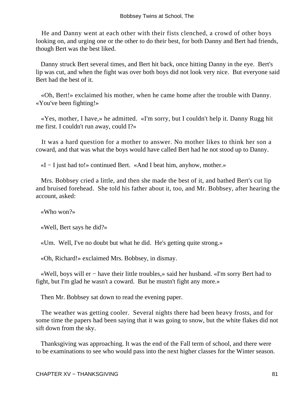He and Danny went at each other with their fists clenched, a crowd of other boys looking on, and urging one or the other to do their best, for both Danny and Bert had friends, though Bert was the best liked.

 Danny struck Bert several times, and Bert hit back, once hitting Danny in the eye. Bert's lip was cut, and when the fight was over both boys did not look very nice. But everyone said Bert had the best of it.

 «Oh, Bert!» exclaimed his mother, when he came home after the trouble with Danny. «You've been fighting!»

 «Yes, mother, I have,» he admitted. «I'm sorry, but I couldn't help it. Danny Rugg hit me first. I couldn't run away, could I?»

 It was a hard question for a mother to answer. No mother likes to think her son a coward, and that was what the boys would have called Bert had he not stood up to Danny.

«I − I just had to!» continued Bert. «And I beat him, anyhow, mother.»

 Mrs. Bobbsey cried a little, and then she made the best of it, and bathed Bert's cut lip and bruised forehead. She told his father about it, too, and Mr. Bobbsey, after hearing the account, asked:

«Who won?»

«Well, Bert says he did?»

«Um. Well, I've no doubt but what he did. He's getting quite strong.»

«Oh, Richard!» exclaimed Mrs. Bobbsey, in dismay.

 «Well, boys will er − have their little troubles,» said her husband. «I'm sorry Bert had to fight, but I'm glad he wasn't a coward. But he mustn't fight any more.»

Then Mr. Bobbsey sat down to read the evening paper.

 The weather was getting cooler. Several nights there had been heavy frosts, and for some time the papers had been saying that it was going to snow, but the white flakes did not sift down from the sky.

 Thanksgiving was approaching. It was the end of the Fall term of school, and there were to be examinations to see who would pass into the next higher classes for the Winter season.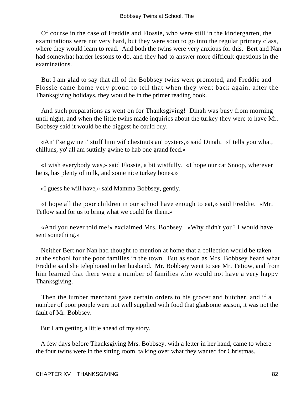Of course in the case of Freddie and Flossie, who were still in the kindergarten, the examinations were not very hard, but they were soon to go into the regular primary class, where they would learn to read. And both the twins were very anxious for this. Bert and Nan had somewhat harder lessons to do, and they had to answer more difficult questions in the examinations.

 But I am glad to say that all of the Bobbsey twins were promoted, and Freddie and Flossie came home very proud to tell that when they went back again, after the Thanksgiving holidays, they would be in the primer reading book.

 And such preparations as went on for Thanksgiving! Dinah was busy from morning until night, and when the little twins made inquiries about the turkey they were to have Mr. Bobbsey said it would be the biggest he could buy.

 «An' I'se gwine t' stuff him wif chestnuts an' oysters,» said Dinah. «I tells you what, chilluns, yo' all am suttinly gwine to hab one grand feed.»

 «I wish everybody was,» said Flossie, a bit wistfully. «I hope our cat Snoop, wherever he is, has plenty of milk, and some nice turkey bones.»

«I guess he will have,» said Mamma Bobbsey, gently.

 «I hope all the poor children in our school have enough to eat,» said Freddie. «Mr. Tetlow said for us to bring what we could for them.»

 «And you never told me!» exclaimed Mrs. Bobbsey. «Why didn't you? I would have sent something.»

 Neither Bert nor Nan had thought to mention at home that a collection would be taken at the school for the poor families in the town. But as soon as Mrs. Bobbsey heard what Freddie said she telephoned to her husband. Mr. Bobbsey went to see Mr. Tetiow, and from him learned that there were a number of families who would not have a very happy Thanksgiving.

 Then the lumber merchant gave certain orders to his grocer and butcher, and if a number of poor people were not well supplied with food that gladsome season, it was not the fault of Mr. Bobbsey.

But I am getting a little ahead of my story.

 A few days before Thanksgiving Mrs. Bobbsey, with a letter in her hand, came to where the four twins were in the sitting room, talking over what they wanted for Christmas.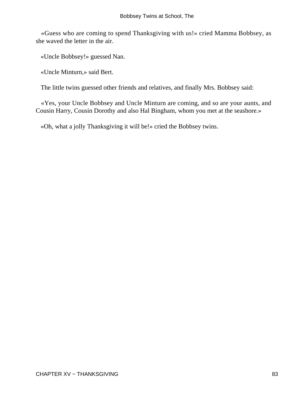«Guess who are coming to spend Thanksgiving with us!» cried Mamma Bobbsey, as she waved the letter in the air.

«Uncle Bobbsey!» guessed Nan.

«Uncle Minturn,» said Bert.

The little twins guessed other friends and relatives, and finally Mrs. Bobbsey said:

 «Yes, your Uncle Bobbsey and Uncle Minturn are coming, and so are your aunts, and Cousin Harry, Cousin Dorothy and also Hal Bingham, whom you met at the seashore.»

«Oh, what a jolly Thanksgiving it will be!» cried the Bobbsey twins.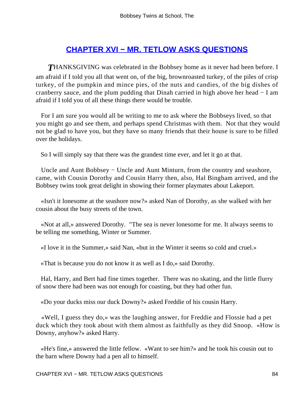# **[CHAPTER XVI − MR. TETLOW ASKS QUESTIONS](#page-113-0)**

**THANKSGIVING** was celebrated in the Bobbsey home as it never had been before. I am afraid if I told you all that went on, of the big, brownroasted turkey, of the piles of crisp turkey, of the pumpkin and mince pies, of the nuts and candies, of the big dishes of cranberry sauce, and the plum pudding that Dinah carried in high above her head − I am afraid if I told you of all these things there would be trouble.

 For I am sure you would all be writing to me to ask where the Bobbseys lived, so that you might go and see them, and perhaps spend Christmas with them. Not that they would not be glad to have you, but they have so many friends that their house is sure to be filled over the holidays.

So I will simply say that there was the grandest time ever, and let it go at that.

 Uncle and Aunt Bobbsey − Uncle and Aunt Minturn, from the country and seashore, came, with Cousin Dorothy and Cousin Harry then, also, Hal Bingham arrived, and the Bobbsey twins took great delight in showing their former playmates about Lakeport.

 «Isn't it lonesome at the seashore now?» asked Nan of Dorothy, as she walked with her cousin about the busy streets of the town.

 «Not at all,» answered Dorothy. "The sea is never lonesome for me. It always seems to be telling me something, Winter or Summer.

«I love it in the Summer,» said Nan, «but in the Winter it seems so cold and cruel.»

«That is because you do not know it as well as I do,» said Dorothy.

 Hal, Harry, and Bert had fine times together. There was no skating, and the little flurry of snow there had been was not enough for coasting, but they had other fun.

«Do your ducks miss our duck Downy?» asked Freddie of his cousin Harry.

 «Well, I guess they do,» was the laughing answer, for Freddie and Flossie had a pet duck which they took about with them almost as faithfully as they did Snoop. «How is Downy, anyhow?» asked Harry.

 «He's fine,» answered the little fellow. «Want to see him?» and he took his cousin out to the barn where Downy had a pen all to himself.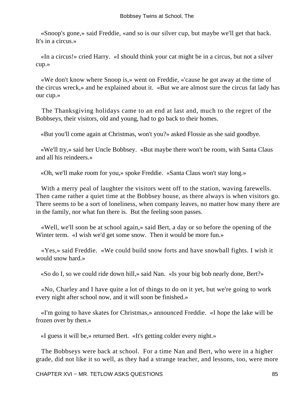«Snoop's gone,» said Freddie, «and so is our silver cup, but maybe we'll get that back. It's in a circus.»

 «In a circus!» cried Harry. «I should think your cat might be in a circus, but not a silver cup.»

 «We don't know where Snoop is,» went on Freddie, «'cause he got away at the time of the circus wreck,» and he explained about it. «But we are almost sure the circus fat lady has our cup.»

 The Thanksgiving holidays came to an end at last and, much to the regret of the Bobbseys, their visitors, old and young, had to go back to their homes.

«But you'll come again at Christmas, won't you?» asked Flossie as she said goodbye.

 «We'll try,» said her Uncle Bobbsey. «But maybe there won't be room, with Santa Claus and all his reindeers.»

«Oh, we'll make room for you,» spoke Freddie. «Santa Claus won't stay long.»

 With a merry peal of laughter the visitors went off to the station, waving farewells. Then came rather a quiet time at the Bobbsey house, as there always is when visitors go. There seems to be a sort of loneliness, when company leaves, no matter how many there are in the family, nor what fun there is. But the feeling soon passes.

 «Well, we'll soon be at school again,» said Bert, a day or so before the opening of the Winter term. «I wish we'd get some snow. Then it would be more fun.»

 «Yes,» said Freddie. «We could build snow forts and have snowball fights. I wish it would snow hard.»

«So do I, so we could ride down hill,» said Nan. «Is your big bob nearly done, Bert?»

 «No, Charley and I have quite a lot of things to do on it yet, but we're going to work every night after school now, and it will soon be finished.»

 «I'm going to have skates for Christmas,» announced Freddie. «I hope the lake will be frozen over by then.»

«I guess it will be,» returned Bert. «It's getting colder every night.»

 The Bobbseys were back at school. For a time Nan and Bert, who were in a higher grade, did not like it so well, as they had a strange teacher, and lessons, too, were more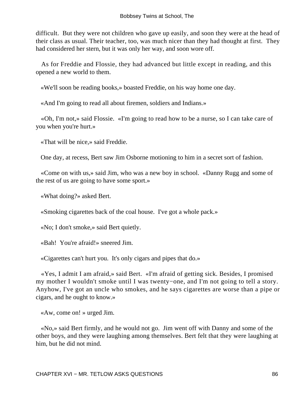difficult. But they were not children who gave up easily, and soon they were at the head of their class as usual. Their teacher, too, was much nicer than they had thought at first. They had considered her stern, but it was only her way, and soon wore off.

 As for Freddie and Flossie, they had advanced but little except in reading, and this opened a new world to them.

«We'll soon be reading books,» boasted Freddie, on his way home one day.

«And I'm going to read all about firemen, soldiers and Indians.»

 «Oh, I'm not,» said Flossie. «I'm going to read how to be a nurse, so I can take care of you when you're hurt.»

«That will be nice,» said Freddie.

One day, at recess, Bert saw Jim Osborne motioning to him in a secret sort of fashion.

 «Come on with us,» said Jim, who was a new boy in school. «Danny Rugg and some of the rest of us are going to have some sport.»

«What doing?» asked Bert.

«Smoking cigarettes back of the coal house. I've got a whole pack.»

«No; I don't smoke,» said Bert quietly.

«Bah! You're afraid!» sneered Jim.

«Cigarettes can't hurt you. It's only cigars and pipes that do.»

 «Yes, I admit I am afraid,» said Bert. «I'm afraid of getting sick. Besides, I promised my mother I wouldn't smoke until I was twenty−one, and I'm not going to tell a story. Anyhow, I've got an uncle who smokes, and he says cigarettes are worse than a pipe or cigars, and he ought to know.»

«Aw, come on! » urged Jim.

 «No,» said Bert firmly, and he would not go. Jim went off with Danny and some of the other boys, and they were laughing among themselves. Bert felt that they were laughing at him, but he did not mind.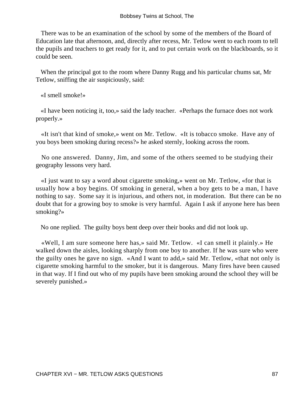There was to be an examination of the school by some of the members of the Board of Education late that afternoon, and, directly after recess, Mr. Tetlow went to each room to tell the pupils and teachers to get ready for it, and to put certain work on the blackboards, so it could be seen.

 When the principal got to the room where Danny Rugg and his particular chums sat, Mr Tetlow, sniffing the air suspiciously, said:

«I smell smoke!»

 «I have been noticing it, too,» said the lady teacher. «Perhaps the furnace does not work properly.»

 «It isn't that kind of smoke,» went on Mr. Tetlow. «It is tobacco smoke. Have any of you boys been smoking during recess?» he asked sternly, looking across the room.

 No one answered. Danny, Jim, and some of the others seemed to be studying their geography lessons very hard.

 «I just want to say a word about cigarette smoking,» went on Mr. Tetlow, «for that is usually how a boy begins. Of smoking in general, when a boy gets to be a man, I have nothing to say. Some say it is injurious, and others not, in moderation. But there can be no doubt that for a growing boy to smoke is very harmful. Again I ask if anyone here has been smoking?»

No one replied. The guilty boys bent deep over their books and did not look up.

 «Well, I am sure someone here has,» said Mr. Tetlow. «I can smell it plainly.» He walked down the aisles, looking sharply from one boy to another. If he was sure who were the guilty ones he gave no sign. «And I want to add,» said Mr. Tetlow, «that not only is cigarette smoking harmful to the smoker, but it is dangerous. Many fires have been caused in that way. If I find out who of my pupils have been smoking around the school they will be severely punished.»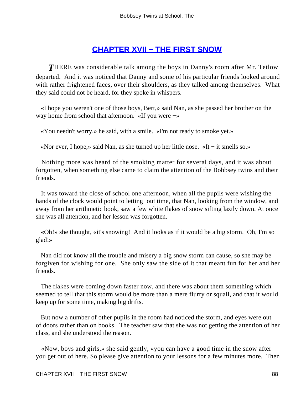### **[CHAPTER XVII − THE FIRST SNOW](#page-113-0)**

**THERE** was considerable talk among the boys in Danny's room after Mr. Tetlow departed. And it was noticed that Danny and some of his particular friends looked around with rather frightened faces, over their shoulders, as they talked among themselves. What they said could not be heard, for they spoke in whispers.

 «I hope you weren't one of those boys, Bert,» said Nan, as she passed her brother on the way home from school that afternoon. «If you were −»

«You needn't worry,» he said, with a smile. «I'm not ready to smoke yet.»

«Nor ever, I hope,» said Nan, as she turned up her little nose. «It − it smells so.»

 Nothing more was heard of the smoking matter for several days, and it was about forgotten, when something else came to claim the attention of the Bobbsey twins and their friends.

 It was toward the close of school one afternoon, when all the pupils were wishing the hands of the clock would point to letting−out time, that Nan, looking from the window, and away from her arithmetic book, saw a few white flakes of snow sifting lazily down. At once she was all attention, and her lesson was forgotten.

 «Oh!» she thought, «it's snowing! And it looks as if it would be a big storm. Oh, I'm so glad!»

 Nan did not know all the trouble and misery a big snow storm can cause, so she may be forgiven for wishing for one. She only saw the side of it that meant fun for her and her friends.

 The flakes were coming down faster now, and there was about them something which seemed to tell that this storm would be more than a mere flurry or squall, and that it would keep up for some time, making big drifts.

 But now a number of other pupils in the room had noticed the storm, and eyes were out of doors rather than on books. The teacher saw that she was not getting the attention of her class, and she understood the reason.

 «Now, boys and girls,» she said gently, «you can have a good time in the snow after you get out of here. So please give attention to your lessons for a few minutes more. Then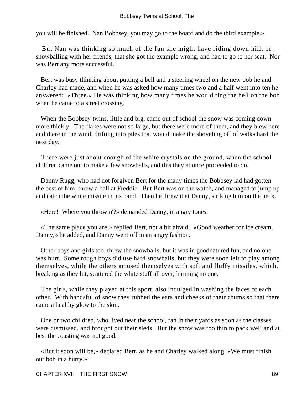you will be finished. Nan Bobbsey, you may go to the board and do the third example.»

 But Nan was thinking so much of the fun she might have riding down hill, or snowballing with her friends, that she got the example wrong, and had to go to her seat. Nor was Bert any more successful.

 Bert was busy thinking about putting a bell and a steering wheel on the new bob he and Charley had made, and when he was asked how many times two and a half went into ten he answered: «Three.» He was thinking how many times he would ring the bell on the bob when he came to a street crossing.

 When the Bobbsey twins, little and big, came out of school the snow was coming down more thickly. The flakes were not so large, but there were more of them, and they blew here and there in the wind, drifting into piles that would make the shoveling off of walks hard the next day.

 There were just about enough of the white crystals on the ground, when the school children came out to make a few snowballs, and this they at once proceeded to do.

 Danny Rugg, who had not forgiven Bert for the many times the Bobbsey lad had gotten the best of him, threw a ball at Freddie. But Bert was on the watch, and managed to jump up and catch the white missile in his hand. Then he threw it at Danny, striking him on the neck.

«Here! Where you throwin'?» demanded Danny, in angry tones.

 «The same place you are,» replied Bert, not a bit afraid. «Good weather for ice cream, Danny,» he added, and Danny went off in an angry fashion.

 Other boys and girls too, threw the snowballs, but it was in goodnatured fun, and no one was hurt. Some rough boys did use hard snowballs, but they were soon left to play among themselves, while the others amused themselves with soft and fluffy missiles, which, breaking as they hit, scattered the white stuff all over, harming no one.

 The girls, while they played at this sport, also indulged in washing the faces of each other. With handsful of snow they rubbed the ears and cheeks of their chums so that there came a healthy glow to the skin.

 One or two children, who lived near the school, ran in their yards as soon as the classes were dismissed, and brought out their sleds. But the snow was too thin to pack well and at best the coasting was not good.

 «But it soon will be,» declared Bert, as he and Charley walked along. «We must finish our bob in a hurry.»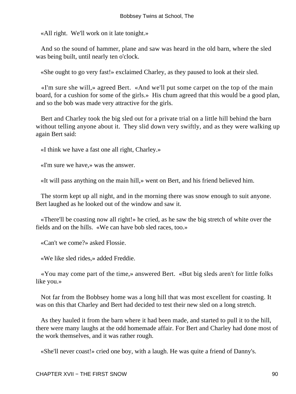«All right. We'll work on it late tonight.»

 And so the sound of hammer, plane and saw was heard in the old barn, where the sled was being built, until nearly ten o'clock.

«She ought to go very fast!» exclaimed Charley, as they paused to look at their sled.

 «I'm sure she will,» agreed Bert. «And we'll put some carpet on the top of the main board, for a cushion for some of the girls.» His chum agreed that this would be a good plan, and so the bob was made very attractive for the girls.

 Bert and Charley took the big sled out for a private trial on a little hill behind the barn without telling anyone about it. They slid down very swiftly, and as they were walking up again Bert said:

«I think we have a fast one all right, Charley.»

«I'm sure we have,» was the answer.

«It will pass anything on the main hill,» went on Bert, and his friend believed him.

 The storm kept up all night, and in the morning there was snow enough to suit anyone. Bert laughed as he looked out of the window and saw it.

 «There'll be coasting now all right!» he cried, as he saw the big stretch of white over the fields and on the hills. «We can have bob sled races, too.»

«Can't we come?» asked Flossie.

«We like sled rides,» added Freddie.

 «You may come part of the time,» answered Bert. «But big sleds aren't for little folks like you.»

 Not far from the Bobbsey home was a long hill that was most excellent for coasting. It was on this that Charley and Bert had decided to test their new sled on a long stretch.

 As they hauled it from the barn where it had been made, and started to pull it to the hill, there were many laughs at the odd homemade affair. For Bert and Charley had done most of the work themselves, and it was rather rough.

«She'll never coast!» cried one boy, with a laugh. He was quite a friend of Danny's.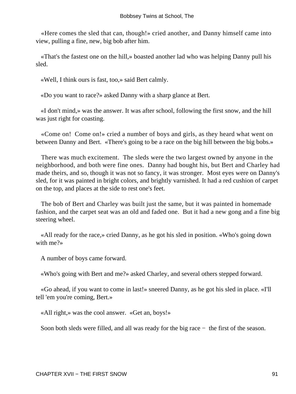«Here comes the sled that can, though!» cried another, and Danny himself came into view, pulling a fine, new, big bob after him.

 «That's the fastest one on the hill,» boasted another lad who was helping Danny pull his sled.

«Well, I think ours is fast, too,» said Bert calmly.

«Do you want to race?» asked Danny with a sharp glance at Bert.

 «I don't mind,» was the answer. It was after school, following the first snow, and the hill was just right for coasting.

 «Come on! Come on!» cried a number of boys and girls, as they heard what went on between Danny and Bert. «There's going to be a race on the big hill between the big bobs.»

 There was much excitement. The sleds were the two largest owned by anyone in the neighborhood, and both were fine ones. Danny had bought his, but Bert and Charley had made theirs, and so, though it was not so fancy, it was stronger. Most eyes were on Danny's sled, for it was painted in bright colors, and brightly varnished. It had a red cushion of carpet on the top, and places at the side to rest one's feet.

 The bob of Bert and Charley was built just the same, but it was painted in homemade fashion, and the carpet seat was an old and faded one. But it had a new gong and a fine big steering wheel.

 «All ready for the race,» cried Danny, as he got his sled in position. «Who's going down with me?»

A number of boys came forward.

«Who's going with Bert and me?» asked Charley, and several others stepped forward.

 «Go ahead, if you want to come in last!» sneered Danny, as he got his sled in place. «I'll tell 'em you're coming, Bert.»

«All right,» was the cool answer. «Get an, boys!»

Soon both sleds were filled, and all was ready for the big race − the first of the season.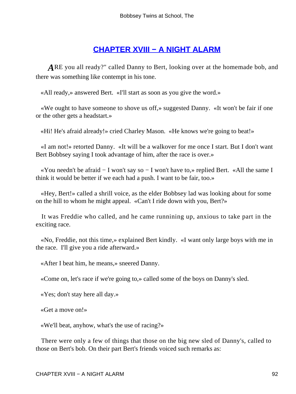# **[CHAPTER XVIII − A NIGHT ALARM](#page-113-0)**

*A*RE you all ready?" called Danny to Bert, looking over at the homemade bob, and there was something like contempt in his tone.

«All ready,» answered Bert. «I'll start as soon as you give the word.»

 «We ought to have someone to shove us off,» suggested Danny. «It won't be fair if one or the other gets a headstart.»

«Hi! He's afraid already!» cried Charley Mason. «He knows we're going to beat!»

 «I am not!» retorted Danny. «It will be a walkover for me once I start. But I don't want Bert Bobbsey saying I took advantage of him, after the race is over.»

 «You needn't be afraid − I won't say so − I won't have to,» replied Bert. «All the same I think it would be better if we each had a push. I want to be fair, too.»

 «Hey, Bert!» called a shrill voice, as the elder Bobbsey lad was looking about for some on the hill to whom he might appeal. «Can't I ride down with you, Bert?»

 It was Freddie who called, and he came runnining up, anxious to take part in the exciting race.

 «No, Freddie, not this time,» explained Bert kindly. «I want only large boys with me in the race. I'll give you a ride afterward.»

«After I beat him, he means,» sneered Danny.

«Come on, let's race if we're going to,» called some of the boys on Danny's sled.

«Yes; don't stay here all day.»

«Get a move on!»

«We'll beat, anyhow, what's the use of racing?»

 There were only a few of things that those on the big new sled of Danny's, called to those on Bert's bob. On their part Bert's friends voiced such remarks as: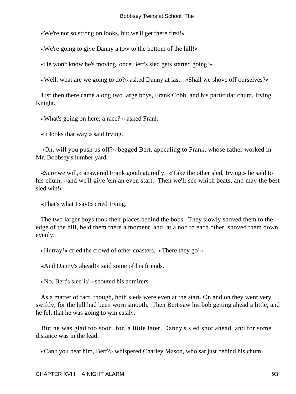«We're not so strong on looks, but we'll get there first!»

«We're going to give Danny a tow to the bottom of the hill!»

«He won't know he's moving, once Bert's sled gets started going!»

«Well, what are we going to do?» asked Danny at last. «Shall we shove off ourselves?»

 Just then there came along two large boys, Frank Cobb, and his particular chum, Irving Knight.

«What's going on here; a race? » asked Frank.

«It looks that way,» said Irving.

 «Oh, will you push us off?» begged Bert, appealing to Frank, whose father worked in Mr. Bobbsey's lumber yard.

 «Sure we will,» answered Frank goodnaturedly. «Take the other sled, Irving,» he said to his chum, «and we'll give 'em an even start. Then we'll see which beats, and may the best sled win!»

«That's what I say!» cried Irving.

 The two larger boys took their places behind the bobs. They slowly shoved them to the edge of the hill, held them there a moment, and, at a nod to each other, shoved them down evenly.

«Hurray!» cried the crowd of other coasters. «There they go!»

«And Danny's ahead!» said some of his friends.

«No, Bert's sled is!» shouted his admirers.

 As a matter of fact, though, both sleds were even at the start. On and on they went very swiftly, for the hill had been worn smooth. Then Bert saw his bob getting ahead a little, and he felt that he was going to win easily.

 But he was glad too soon, for, a little later, Danny's sled shot ahead, and for some distance was in the lead.

«Can't you beat him, Bert?» whispered Charley Mason, who sat just behind his chum.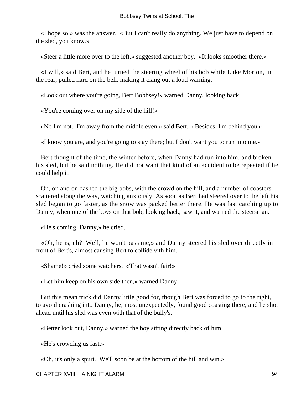«I hope so,» was the answer. «But I can't really do anything. We just have to depend on the sled, you know.»

«Steer a little more over to the left,» suggested another boy. «It looks smoother there.»

 «I will,» said Bert, and he turned the steertng wheel of his bob while Luke Morton, in the rear, pulled hard on the bell, making it clang out a loud warning.

«Look out where you're going, Bert Bobbsey!» warned Danny, looking back.

«You're coming over on my side of the hill!»

«No I'm not. I'm away from the middle even,» said Bert. «Besides, I'm behind you.»

«I know you are, and you're going to stay there; but I don't want you to run into me.»

 Bert thought of the time, the winter before, when Danny had run into him, and broken his sled, but he said nothing. He did not want that kind of an accident to be repeated if he could help it.

 On, on and on dashed the big bobs, with the crowd on the hill, and a number of coasters scattered along the way, watching anxiously. As soon as Bert had steered over to the left his sled began to go faster, as the snow was packed better there. He was fast catching up to Danny, when one of the boys on that bob, looking back, saw it, and warned the steersman.

«He's coming, Danny,» he cried.

 «Oh, he is; eh? Well, he won't pass me,» and Danny steered his sled over directly in front of Bert's, almost causing Bert to collide vith him.

«Shame!» cried some watchers. «That wasn't fair!»

«Let him keep on his own side then,» warned Danny.

 But this mean trick did Danny little good for, though Bert was forced to go to the right, to avoid crashing into Danny, he, most unexpectedly, found good coasting there, and he shot ahead until his sled was even with that of the bully's.

«Better look out, Danny,» warned the boy sitting directly back of him.

«He's crowding us fast.»

«Oh, it's only a spurt. We'll soon be at the bottom of the hill and win.»

CHAPTER XVIII − A NIGHT ALARM 94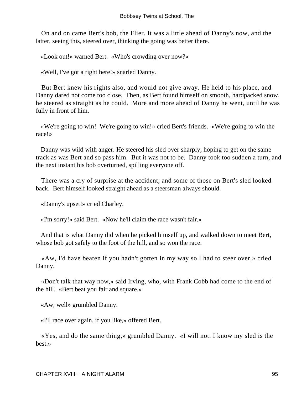On and on came Bert's bob, the Flier. It was a little ahead of Danny's now, and the latter, seeing this, steered over, thinking the going was better there.

«Look out!» warned Bert. «Who's crowding over now?»

«Well, I've got a right here!» snarled Danny.

 But Bert knew his rights also, and would not give away. He held to his place, and Danny dared not come too close. Then, as Bert found himself on smooth, hardpacked snow, he steered as straight as he could. More and more ahead of Danny he went, until he was fully in front of him.

 «We're going to win! We're going to win!» cried Bert's friends. «We're going to win the race!»

 Danny was wild with anger. He steered his sled over sharply, hoping to get on the same track as was Bert and so pass him. But it was not to be. Danny took too sudden a turn, and the next instant his bob overturned, spilling everyone off.

 There was a cry of surprise at the accident, and some of those on Bert's sled looked back. Bert himself looked straight ahead as a steersman always should.

«Danny's upset!» cried Charley.

«I'm sorry!» said Bert. «Now he'll claim the race wasn't fair.»

 And that is what Danny did when he picked himself up, and walked down to meet Bert, whose bob got safely to the foot of the hill, and so won the race.

 «Aw, I'd have beaten if you hadn't gotten in my way so I had to steer over,» cried Danny.

 «Don't talk that way now,» said Irving, who, with Frank Cobb had come to the end of the hill. «Bert beat you fair and square.»

«Aw, well» grumbled Danny.

«I'll race over again, if you like,» offered Bert.

 «Yes, and do the same thing,» grumbled Danny. «I will not. I know my sled is the best.»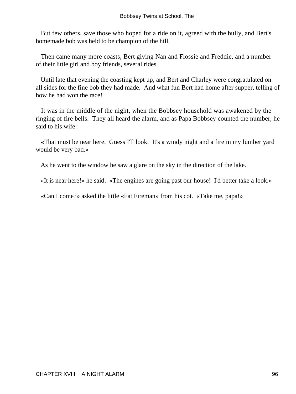But few others, save those who hoped for a ride on it, agreed with the bully, and Bert's homemade bob was held to be champion of the hill.

 Then came many more coasts, Bert giving Nan and Flossie and Freddie, and a number of their little girl and boy friends, several rides.

 Until late that evening the coasting kept up, and Bert and Charley were congratulated on all sides for the fine bob they had made. And what fun Bert had home after supper, telling of how he had won the race!

 It was in the middle of the night, when the Bobbsey household was awakened by the ringing of fire bells. They all heard the alarm, and as Papa Bobbsey counted the number, he said to his wife:

 «That must be near here. Guess I'll look. It's a windy night and a fire in my lumber yard would be very bad.»

As he went to the window he saw a glare on the sky in the direction of the lake.

«It is near here!» he said. «The engines are going past our house! I'd better take a look.»

«Can I come?» asked the little «Fat Fireman» from his cot. «Take me, papa!»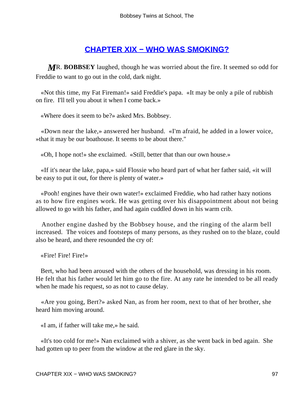### **[CHAPTER XIX − WHO WAS SMOKING?](#page-113-0)**

*M*R. **BOBBSEY** laughed, though he was worried about the fire. It seemed so odd for Freddie to want to go out in the cold, dark night.

 «Not this time, my Fat Fireman!» said Freddie's papa. «It may be only a pile of rubbish on fire. I'll tell you about it when I come back.»

«Where does it seem to be?» asked Mrs. Bobbsey.

 «Down near the lake,» answered her husband. «I'm afraid, he added in a lower voice, »that it may be our boathouse. It seems to be about there."

«Oh, I hope not!» she exclaimed. «Still, better that than our own house.»

 «If it's near the lake, papa,» said Flossie who heard part of what her father said, «it will be easy to put it out, for there is plenty of water.»

 «Pooh! engines have their own water!» exclaimed Freddie, who had rather hazy notions as to how fire engines work. He was getting over his disappointment about not being allowed to go with his father, and had again cuddled down in his warm crib.

 Another engine dashed by the Bobbsey house, and the ringing of the alarm bell increased. The voices and footsteps of many persons, as they rushed on to the blaze, could also be heard, and there resounded the cry of:

«Fire! Fire! Fire!»

 Bert, who had been aroused with the others of the household, was dressing in his room. He felt that his father would let him go to the fire. At any rate he intended to be all ready when he made his request, so as not to cause delay.

 «Are you going, Bert?» asked Nan, as from her room, next to that of her brother, she heard him moving around.

«I am, if father will take me,» he said.

 «It's too cold for me!» Nan exclaimed with a shiver, as she went back in bed again. She had gotten up to peer from the window at the red glare in the sky.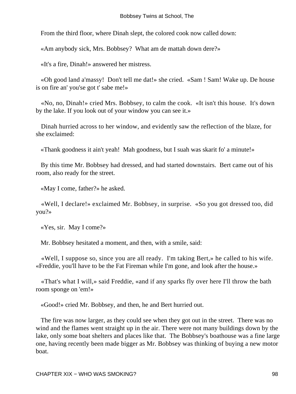From the third floor, where Dinah slept, the colored cook now called down:

«Am anybody sick, Mrs. Bobbsey? What am de mattah down dere?»

«It's a fire, Dinah!» answered her mistress.

 «Oh good land a'massy! Don't tell me dat!» she cried. «Sam ! Sam! Wake up. De house is on fire an' you'se got t' sabe me!»

 «No, no, Dinah!» cried Mrs. Bobbsey, to calm the cook. «It isn't this house. It's down by the lake. If you look out of your window you can see it.»

 Dinah hurried across to her window, and evidently saw the reflection of the blaze, for she exclaimed:

«Thank goodness it ain't yeah! Mah goodness, but I suah was skarit fo' a minute!»

 By this time Mr. Bobbsey had dressed, and had started downstairs. Bert came out of his room, also ready for the street.

«May I come, father?» he asked.

 «Well, I declare!» exclaimed Mr. Bobbsey, in surprise. «So you got dressed too, did you?»

«Yes, sir. May I come?»

Mr. Bobbsey hesitated a moment, and then, with a smile, said:

 «Well, I suppose so, since you are all ready. I'm taking Bert,» he called to his wife. «Freddie, you'll have to be the Fat Fireman while I'm gone, and look after the house.»

 «That's what I will,» said Freddie, «and if any sparks fly over here I'll throw the bath room sponge on 'em!»

«Good!» cried Mr. Bobbsey, and then, he and Bert hurried out.

 The fire was now larger, as they could see when they got out in the street. There was no wind and the flames went straight up in the air. There were not many buildings down by the lake, only some boat shelters and places like that. The Bobbsey's boathouse was a fine large one, having recently been made bigger as Mr. Bobbsey was thinking of buying a new motor boat.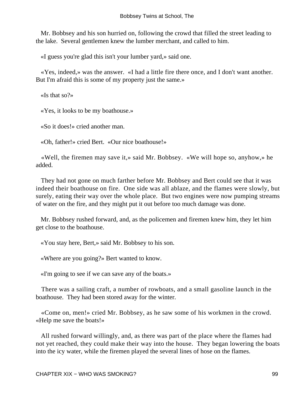Mr. Bobbsey and his son hurried on, following the crowd that filled the street leading to the lake. Several gentlemen knew the lumber merchant, and called to him.

«I guess you're glad this isn't your lumber yard,» said one.

 «Yes, indeed,» was the answer. «I had a little fire there once, and I don't want another. But I'm afraid this is some of my property just the same.»

«Is that so?»

«Yes, it looks to be my boathouse.»

«So it does!» cried another man.

«Oh, father!» cried Bert. «Our nice boathouse!»

 «Well, the firemen may save it,» said Mr. Bobbsey. «We will hope so, anyhow,» he added.

 They had not gone on much farther before Mr. Bobbsey and Bert could see that it was indeed their boathouse on fire. One side was all ablaze, and the flames were slowly, but surely, eating their way over the whole place. But two engines were now pumping streams of water on the fire, and they might put it out before too much damage was done.

 Mr. Bobbsey rushed forward, and, as the policemen and firemen knew him, they let him get close to the boathouse.

«You stay here, Bert,» said Mr. Bobbsey to his son.

«Where are you going?» Bert wanted to know.

«I'm going to see if we can save any of the boats.»

 There was a sailing craft, a number of rowboats, and a small gasoline launch in the boathouse. They had been stored away for the winter.

 «Come on, men!» cried Mr. Bobbsey, as he saw some of his workmen in the crowd. «Help me save the boats!»

 All rushed forward willingly, and, as there was part of the place where the flames had not yet reached, they could make their way into the house. They began lowering the boats into the icy water, while the firemen played the several lines of hose on the flames.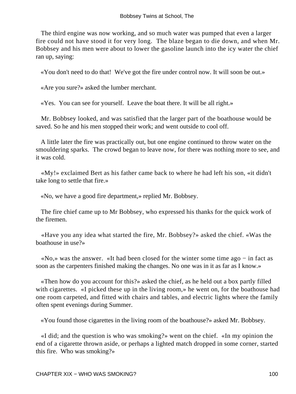The third engine was now working, and so much water was pumped that even a larger fire could not have stood it for very long. The blaze began to die down, and when Mr. Bobbsey and his men were about to lower the gasoline launch into the icy water the chief ran up, saying:

«You don't need to do that! We've got the fire under control now. It will soon be out.»

«Are you sure?» asked the lumber merchant.

«Yes. You can see for yourself. Leave the boat there. It will be all right.»

 Mr. Bobbsey looked, and was satisfied that the larger part of the boathouse would be saved. So he and his men stopped their work; and went outside to cool off.

 A little later the fire was practically out, but one engine continued to throw water on the smouldering sparks. The crowd began to leave now, for there was nothing more to see, and it was cold.

 «My!» exclaimed Bert as his father came back to where he had left his son, «it didn't take long to settle that fire.»

«No, we have a good fire department,» replied Mr. Bobbsey.

 The fire chief came up to Mr Bobbsey, who expressed his thanks for the quick work of the firemen.

 «Have you any idea what started the fire, Mr. Bobbsey?» asked the chief. «Was the boathouse in use?»

 «No,» was the answer. «It had been closed for the winter some time ago − in fact as soon as the carpenters finished making the changes. No one was in it as far as I know.»

 «Then how do you account for this?» asked the chief, as he held out a box partly filled with cigarettes. «I picked these up in the living room,» he went on, for the boathouse had one room carpeted, and fitted with chairs and tables, and electric lights where the family often spent evenings during Summer.

«You found those cigarettes in the living room of the boathouse?» asked Mr. Bobbsey.

 «I did; and the question is who was smoking?» went on the chief. «In my opinion the end of a cigarette thrown aside, or perhaps a lighted match dropped in some corner, started this fire. Who was smoking?»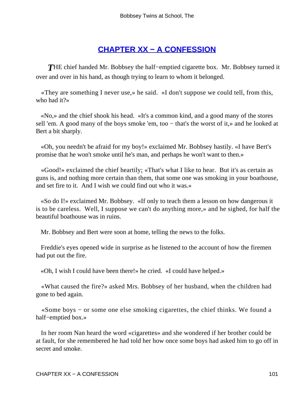### **[CHAPTER XX − A CONFESSION](#page-113-0)**

*T*HE chief handed Mr. Bobbsey the half−emptied cigarette box. Mr. Bobbsey turned it over and over in his hand, as though trying to learn to whom it belonged.

 «They are something I never use,» he said. «I don't suppose we could tell, from this, who had it?»

 «No,» and the chief shook his head. «It's a common kind, and a good many of the stores sell 'em. A good many of the boys smoke 'em, too – that's the worst of it,» and he looked at Bert a bit sharply.

 «Oh, you needn't be afraid for my boy!» exclaimed Mr. Bobbsey hastily. «I have Bert's promise that he won't smoke until he's man, and perhaps he won't want to then.»

 «Good!» exclaimed the chief heartily; «That's what I like to hear. But it's as certain as guns is, and nothing more certain than them, that some one was smoking in your boathouse, and set fire to it. And I wish we could find out who it was.»

 «So do I!» exclaimed Mr. Bobbsey. «If only to teach them a lesson on how dangerous it is to be careless. Well, I suppose we can't do anything more,» and he sighed, for half the beautiful boathouse was in ruins.

Mr. Bobbsey and Bert were soon at home, telling the news to the folks.

 Freddie's eyes opened wide in surprise as he listened to the account of how the firemen had put out the fire.

«Oh, I wish I could have been there!» he cried. «I could have helped.»

 «What caused the fire?» asked Mrs. Bobbsey of her husband, when the children had gone to bed again.

 «Some boys − or some one else smoking cigarettes, the chief thinks. We found a half−emptied box.»

 In her room Nan heard the word «cigarettes» and she wondered if her brother could be at fault, for she remembered he had told her how once some boys had asked him to go off in secret and smoke.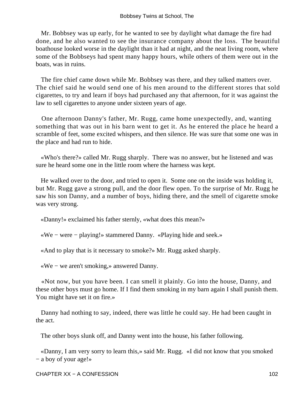Mr. Bobbsey was up early, for he wanted to see by daylight what damage the fire had done, and he also wanted to see the insurance company about the loss. The beautiful boathouse looked worse in the daylight than it had at night, and the neat living room, where some of the Bobbseys had spent many happy hours, while others of them were out in the boats, was in ruins.

 The fire chief came down while Mr. Bobbsey was there, and they talked matters over. The chief said he would send one of his men around to the different stores that sold cigarettes, to try and learn if boys had purchased any that afternoon, for it was against the law to sell cigarettes to anyone under sixteen years of age.

 One afternoon Danny's father, Mr. Rugg, came home unexpectedly, and, wanting something that was out in his barn went to get it. As he entered the place he heard a scramble of feet, some excited whispers, and then silence. He was sure that some one was in the place and had run to hide.

 «Who's there?» called Mr. Rugg sharply. There was no answer, but he listened and was sure he heard some one in the little room where the harness was kept.

 He walked over to the door, and tried to open it. Some one on the inside was holding it, but Mr. Rugg gave a strong pull, and the door flew open. To the surprise of Mr. Rugg he saw his son Danny, and a number of boys, hiding there, and the smell of cigarette smoke was very strong.

«Danny!» exclaimed his father sternly, «what does this mean?»

«We − were − playing!» stammered Danny. «Playing hide and seek.»

«And to play that is it necessary to smoke?» Mr. Rugg asked sharply.

«We − we aren't smoking,» answered Danny.

 «Not now, but you have been. I can smell it plainly. Go into the house, Danny, and these other boys must go home. If I find them smoking in my barn again I shall punish them. You might have set it on fire.»

 Danny had nothing to say, indeed, there was little he could say. He had been caught in the act.

The other boys slunk off, and Danny went into the house, his father following.

 «Danny, I am very sorry to learn this,» said Mr. Rugg. «I did not know that you smoked − a boy of your age!»

CHAPTER XX – A CONFESSION 102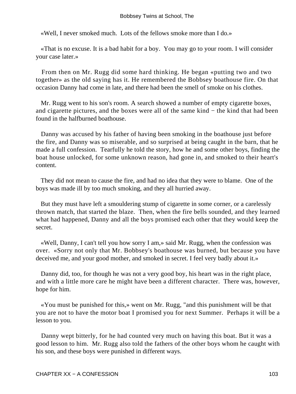«Well, I never smoked much. Lots of the fellows smoke more than I do.»

 «That is no excuse. It is a bad habit for a boy. You may go to your room. I will consider your case later.»

 From then on Mr. Rugg did some hard thinking. He began «putting two and two together» as the old saying has it. He remembered the Bobbsey boathouse fire. On that occasion Danny had come in late, and there had been the smell of smoke on his clothes.

 Mr. Rugg went to his son's room. A search showed a number of empty cigarette boxes, and cigarette pictures, and the boxes were all of the same kind − the kind that had been found in the halfburned boathouse.

 Danny was accused by his father of having been smoking in the boathouse just before the fire, and Danny was so miserable, and so surprised at being caught in the barn, that he made a full confession. Tearfully he told the story, how he and some other boys, finding the boat house unlocked, for some unknown reason, had gone in, and smoked to their heart's content.

 They did not mean to cause the fire, and had no idea that they were to blame. One of the boys was made ill by too much smoking, and they all hurried away.

 But they must have left a smouldering stump of cigarette in some corner, or a carelessly thrown match, that started the blaze. Then, when the fire bells sounded, and they learned what had happened, Danny and all the boys promised each other that they would keep the secret.

 «Well, Danny, I can't tell you how sorry I am,» said Mr. Rugg, when the confession was over. «Sorry not only that Mr. Bobbsey's boathouse was burned, but because you have deceived me, and your good mother, and smoked in secret. I feel very badly about it.»

 Danny did, too, for though he was not a very good boy, his heart was in the right place, and with a little more care he might have been a different character. There was, however, hope for him.

 «You must be punished for this,» went on Mr. Rugg, "and this punishment will be that you are not to have the motor boat I promised you for next Summer. Perhaps it will be a lesson to you.

 Danny wept bitterly, for he had counted very much on having this boat. But it was a good lesson to him. Mr. Rugg also told the fathers of the other boys whom he caught with his son, and these boys were punished in different ways.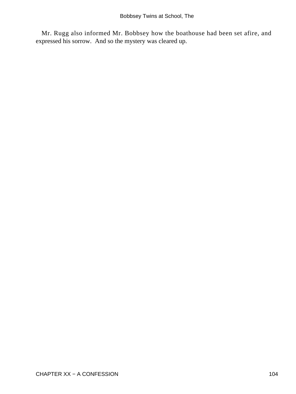Mr. Rugg also informed Mr. Bobbsey how the boathouse had been set afire, and expressed his sorrow. And so the mystery was cleared up.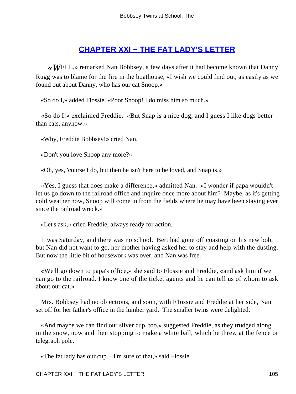### **[CHAPTER XXI − THE FAT LADY'S LETTER](#page-114-0)**

*«W*ELL,» remarked Nan Bobbsey, a few days after it had become known that Danny Rugg was to blame for the fire in the boathouse, «I wish we could find out, as easily as we found out about Danny, who has our cat Snoop.»

«So do I,» added Flossie. «Poor Snoop! I do miss him so much.»

 «So do I!» exclaimed Freddie. «But Snap is a nice dog, and I guess I like dogs better than cats, anyhow.»

«Why, Freddie Bobbsey!» cried Nan.

«Don't you love Snoop any more?»

«Oh, yes, 'course I do, but then he isn't here to be loved, and Snap is.»

 «Yes, I guess that does make a difference,» admitted Nan. «I wonder if papa wouldn't let us go down to the railroad office and inquire once more about him? Maybe, as it's getting cold weather now, Snoop will come in from the fields where he may have been staying ever since the railroad wreck.»

«Let's ask,» cried Freddie, always ready for action.

 It was Saturday, and there was no school. Bert had gone off coasting on his new bob, but Nan did not want to go, her mother having asked her to stay and help with the dusting. But now the little bit of housework was over, and Nan was free.

 «We'll go down to papa's office,» she said to Flossie and Freddie, «and ask him if we can go to the railroad. I know one of the ticket agents and he can tell us of whom to ask about our cat.»

 Mrs. Bobbsey had no objections, and soon, with F1ossie and Freddie at her side, Nan set off for her father's office in the lumber yard. The smaller twins were delighted.

 «And maybe we can find our silver cup, too,» suggested Freddie, as they trudged along in the snow, now and then stopping to make a white ball, which he threw at the fence or telegraph pole.

«The fat lady has our cup − I'm sure of that,» said Flossie.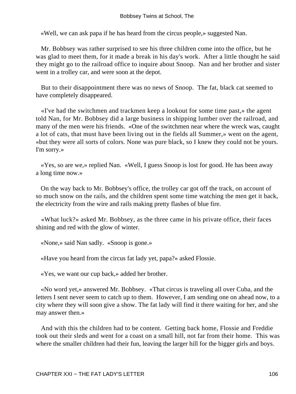«Well, we can ask papa if he has heard from the circus people,» suggested Nan.

 Mr. Bobbsey was rather surprised to see his three children come into the office, but he was glad to meet them, for it made a break in his day's work. After a little thought he said they might go to the railroad office to inquire about Snoop. Nan and her brother and sister went in a trolley car, and were soon at the depot.

 But to their disappointment there was no news of Snoop. The fat, black cat seemed to have completely disappeared.

 «I've had the switchmen and trackmen keep a lookout for some time past,» the agent told Nan, for Mr. Bobbsey did a large business in shipping lumber over the railroad, and many of the men were his friends. «One of the switchmen near where the wreck was, caught a lot of cats, that must have been living out in the fields all Summer,» went on the agent, «but they were all sorts of colors. None was pure black, so I knew they could not be yours. I'm sorry.»

 «Yes, so are we,» replied Nan. «Well, I guess Snoop is lost for good. He has been away a long time now.»

 On the way back to Mr. Bobbsey's office, the trolley car got off the track, on account of so much snow on the rails, and the children spent some time watching the men get it back, the electricity from the wire and rails making pretty flashes of blue fire.

 «What luck?» asked Mr. Bobbsey, as the three came in his private office, their faces shining and red with the glow of winter.

«None,» said Nan sadly. «Snoop is gone.»

«Have you heard from the circus fat lady yet, papa?» asked Flossie.

«Yes, we want our cup back,» added her brother.

 «No word yet,» answered Mr. Bobbsey. «That circus is traveling all over Cuba, and the letters I sent never seem to catch up to them. However, I am sending one on ahead now, to a city where they will soon give a show. The fat lady will find it there waiting for her, and she may answer then.»

 And with this the children had to be content. Getting back home, Flossie and Freddie took out their sleds and went for a coast on a small hill, not far from their home. This was where the smaller children had their fun, leaving the larger hill for the bigger girls and boys.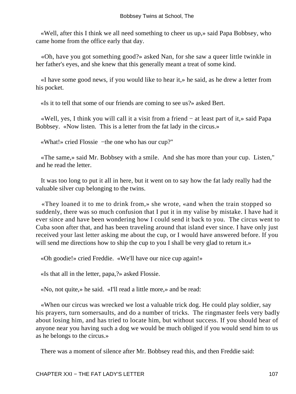«Well, after this I think we all need something to cheer us up,» said Papa Bobbsey, who came home from the office early that day.

 «Oh, have you got something good?» asked Nan, for she saw a queer little twinkle in her father's eyes, and she knew that this generally meant a treat of some kind.

 «I have some good news, if you would like to hear it,» he said, as he drew a letter from his pocket.

«Is it to tell that some of our friends are coming to see us?» asked Bert.

 «Well, yes, I think you will call it a visit from a friend − at least part of it,» said Papa Bobbsey. «Now listen. This is a letter from the fat lady in the circus.»

«What!» cried Flossie −the one who has our cup?"

 «The same,» said Mr. Bobbsey with a smile. And she has more than your cup. Listen," and he read the letter.

 It was too long to put it all in here, but it went on to say how the fat lady really had the valuable silver cup belonging to the twins.

 «They loaned it to me to drink from,» she wrote, «and when the train stopped so suddenly, there was so much confusion that I put it in my valise by mistake. I have had it ever since and have been wondering how I could send it back to you. The circus went to Cuba soon after that, and has been traveling around that island ever since. I have only just received your last letter asking me about the cup, or I would have answered before. If you will send me directions how to ship the cup to you I shall be very glad to return it.»

«Oh goodie!» cried Freddie. «We'll have our nice cup again!»

«Is that all in the letter, papa,?» asked Flossie.

«No, not quite,» he said. «I'll read a little more,» and be read:

 «When our circus was wrecked we lost a valuable trick dog. He could play soldier, say his prayers, turn somersaults, and do a number of tricks. The ringmaster feels very badly about losing him, and has tried to locate him, but without success. If you should hear of anyone near you having such a dog we would be much obliged if you would send him to us as he belongs to the circus.»

There was a moment of silence after Mr. Bobbsey read this, and then Freddie said: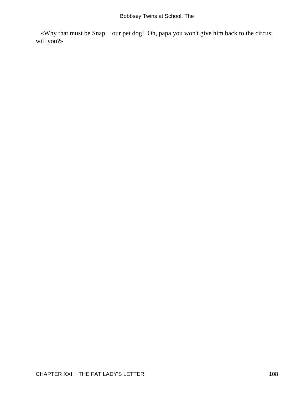«Why that must be Snap − our pet dog! Oh, papa you won't give him back to the circus; will you?»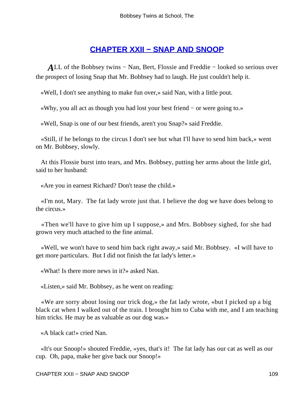#### **[CHAPTER XXII − SNAP AND SNOOP](#page-114-0)**

<span id="page-109-0"></span>*A*LL of the Bobbsey twins − Nan, Bert, Flossie and Freddie − looked so serious over the prospect of losing Snap that Mr. Bobbsey had to laugh. He just couldn't help it.

«Well, I don't see anything to make fun over,» said Nan, with a little pout.

«Why, you all act as though you had lost your best friend − or were going to.»

«Well, Snap is one of our best friends, aren't you Snap?» said Freddie.

 «Still, if he belongs to the circus I don't see but what I'll have to send him back,» went on Mr. Bobbsey, slowly.

 At this Flossie burst into tears, and Mrs. Bobbsey, putting her arms about the little girl, said to her husband:

«Are you in earnest Richard? Don't tease the child.»

 «I'm not, Mary. The fat lady wrote just that. I believe the dog we have does belong to the circus.»

 «Then we'll have to give him up I suppose,» and Mrs. Bobbsey sighed, for she had grown very much attached to the fine animal.

 «Well, we won't have to send him back right away,» said Mr. Bobbsey. «I will have to get more particulars. But I did not finish the fat lady's letter.»

«What! Is there more news in it?» asked Nan.

«Listen,» said Mr. Bobbsey, as he went on reading:

 «We are sorry about losing our trick dog,» the fat lady wrote, «but I picked up a big black cat when I walked out of the train. I brought him to Cuba with me, and I am teaching him tricks. He may be as valuable as our dog was.»

«A black cat!» cried Nan.

 «It's our Snoop!» shouted Freddie, «yes, that's it! The fat lady has our cat as well as our cup. Oh, papa, make her give back our Snoop!»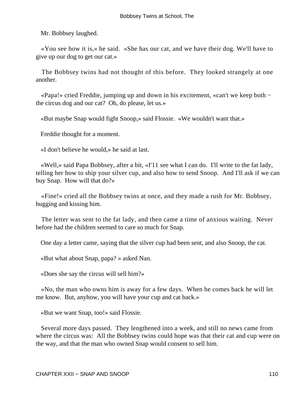Mr. Bobbsey laughed.

 «You see how it is,» he said. «She has our cat, and we have their dog. We'll have to give up our dog to get our cat.»

 The Bobbsey twins had not thought of this before. They looked strangely at one another.

 «Papa!» cried Freddie, jumping up and down in his excitement, «can't we keep both − the circus dog and our cat? Oh, do please, let us.»

«But maybe Snap would fight Snoop,» said Flossie. «We wouldn't want that.»

Freddie thought for a moment.

«I don't believe he would,» he said at last.

 «Well,» said Papa Bobbsey, after a bit, «I'11 see what I can do. I'll write to the fat lady, telling her how to ship your silver cup, and also how to send Snoop. And I'll ask if we can buy Snap. How will that do?»

 «Fine!» cried all the Bobbsey twins at once, and they made a rush for Mr. Bobbsey, hugging and kissing him.

 The letter was sent to the fat lady, and then came a time of anxious waiting. Never before had the children seemed to care so much for Snap.

One day a letter came, saying that the silver cup had been sent, and also Snoop, the cat.

«But what about Snap, papa? » asked Nan.

«Does she say the circus will sell him?»

 «No, the man who owns him is away for a few days. When he comes back he will let me know. But, anyhow, you will have your cup and cat back.»

«But we want Snap, too!» said Flossie.

 Several more days passed. They lengthened into a week, and still no news came from where the circus was: All the Bobbsey twins could hope was that their cat and cup were on the way, and that the man who owned Snap would consent to sell him.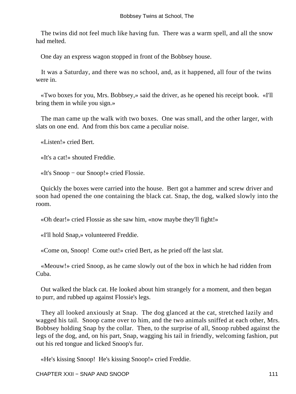The twins did not feel much like having fun. There was a warm spell, and all the snow had melted.

One day an express wagon stopped in front of the Bobbsey house.

 It was a Saturday, and there was no school, and, as it happened, all four of the twins were in.

 «Two boxes for you, Mrs. Bobbsey,» said the driver, as he opened his receipt book. «I'll bring them in while you sign.»

 The man came up the walk with two boxes. One was small, and the other larger, with slats on one end. And from this box came a peculiar noise.

«Listen!» cried Bert.

«It's a cat!» shouted Freddie.

«It's Snoop − our Snoop!» cried Flossie.

 Quickly the boxes were carried into the house. Bert got a hammer and screw driver and soon had opened the one containing the black cat. Snap, the dog, walked slowly into the room.

«Oh dear!» cried Flossie as she saw him, «now maybe they'll fight!»

«I'll hold Snap,» volunteered Freddie.

«Come on, Snoop! Come out!» cried Bert, as he pried off the last slat.

 «Meouw!» cried Snoop, as he came slowly out of the box in which he had ridden from Cuba.

 Out walked the black cat. He looked about him strangely for a moment, and then began to purr, and rubbed up against Flossie's legs.

 They all looked anxiously at Snap. The dog glanced at the cat, stretched lazily and wagged his tail. Snoop came over to him, and the two animals sniffed at each other, Mrs. Bobbsey holding Snap by the collar. Then, to the surprise of all, Snoop rubbed against the legs of the dog, and, on his part, Snap, wagging his tail in friendly, welcoming fashion, put out his red tongue and licked Snoop's fur.

«He's kissing Snoop! He's kissing Snoop!» cried Freddie.

CHAPTER XXII – SNAP AND SNOOP 111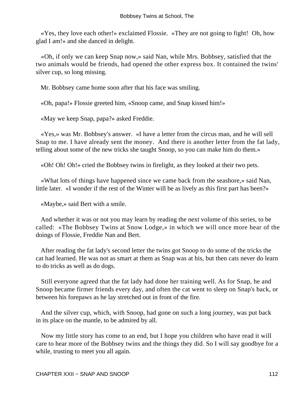«Yes, they love each other!» exclaimed Flossie. «They are not going to fight! Oh, how glad I am!» and she danced in delight.

 «Oh, if only we can keep Snap now,» said Nan, while Mrs. Bobbsey, satisfied that the two animals would be friends, had opened the other express box. It contained the twins' silver cup, so long missing.

Mr. Bobbsey came home soon after that his face was smiling.

«Oh, papa!» Flossie greeted him, «Snoop came, and Snap kissed him!»

«May we keep Snap, papa?» asked Freddie.

 «Yes,» was Mr. Bobbsey's answer. «I have a letter from the circus man, and he will sell Snap to me. I have already sent the money. And there is another letter from the fat lady, telling about some of the new tricks she taught Snoop, so you can make him do them.»

«Oh! Oh! Oh!» cried the Bobbsey twins in firelight, as they looked at their two pets.

 «What lots of things have happened since we came back from the seashore,» said Nan, little later. «I wonder if the rest of the Winter will be as lively as this first part has been?»

«Maybe,» said Bert with a smile.

 And whether it was or not you may learn by reading the next volume of this series, to be called: «The Bobbsey Twins at Snow Lodge,» in which we will once more hear of the doings of Flossie, Freddie Nan and Bert.

 After reading the fat lady's second letter the twins got Snoop to do some of the tricks the cat had learned. He was not as smart at them as Snap was at his, but then cats never do learn to do tricks as well as do dogs.

 Still everyone agreed that the fat lady had done her training well. As for Snap, he and Snoop became firmer friends every day, and often the cat went to sleep on Snap's back, or between his forepaws as he lay stretched out in front of the fire.

 And the silver cup, which, with Snoop, had gone on such a long journey, was put back in its place on the mantle, to be admired by all.

 Now my little story has come to an end, but I hope you children who have read it will care to hear more of the Bobbsey twins and the things they did. So I will say goodbye for a while, trusting to meet you all again.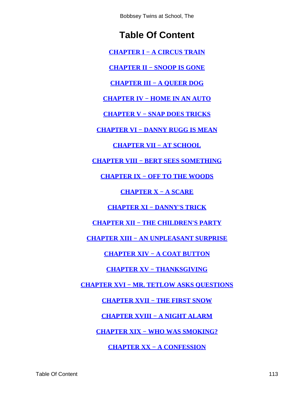Bobbsey Twins at School, The

# **Table Of Content**

**[CHAPTER I − A CIRCUS TRAIN](#page-3-0)**

**[CHAPTER II − SNOOP IS GONE](#page-10-0)**

**[CHAPTER III − A QUEER DOG](#page-16-0)**

**[CHAPTER IV − HOME IN AN AUTO](#page-20-0)**

**[CHAPTER V − SNAP DOES TRICKS](#page-26-0)**

**[CHAPTER VI − DANNY RUGG IS MEAN](#page-31-0)**

**[CHAPTER VII − AT SCHOOL](#page-36-0)**

**[CHAPTER VIII − BERT SEES SOMETHING](#page-42-0)**

**[CHAPTER IX − OFF TO THE WOODS](#page-47-0)**

**[CHAPTER X − A SCARE](#page-53-0)**

**[CHAPTER XI − DANNY'S TRICK](#page-58-0)**

**[CHAPTER XII − THE CHILDREN'S PARTY](#page-64-0)**

**[CHAPTER XIII − AN UNPLEASANT SURPRISE](#page-68-0)**

**[CHAPTER XIV − A COAT BUTTON](#page-72-0)**

**[CHAPTER XV − THANKSGIVING](#page-79-0)**

**[CHAPTER XVI − MR. TETLOW ASKS QUESTIONS](#page-84-0)**

**[CHAPTER XVII − THE FIRST SNOW](#page-88-0)**

**[CHAPTER XVIII − A NIGHT ALARM](#page-92-0)**

**[CHAPTER XIX − WHO WAS SMOKING?](#page-97-0)**

**[CHAPTER XX − A CONFESSION](#page-101-0)**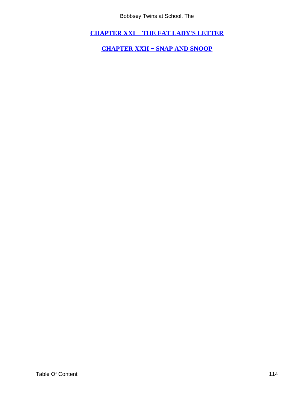Bobbsey Twins at School, The

<span id="page-114-0"></span>**[CHAPTER XXI − THE FAT LADY'S LETTER](#page-105-0)**

**[CHAPTER XXII − SNAP AND SNOOP](#page-109-0)**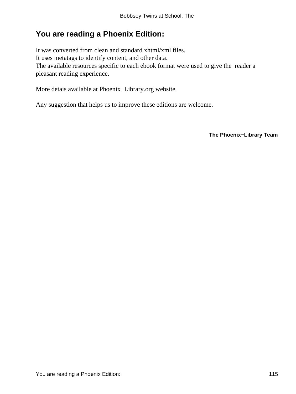## **You are reading a Phoenix Edition:**

It was converted from clean and standard xhtml/xml files. It uses metatags to identify content, and other data. The available resources specific to each ebook format were used to give the reader a pleasant reading experience.

More detais available at Phoenix−Library.org website.

Any suggestion that helps us to improve these editions are welcome.

**The Phoenix−Library Team**